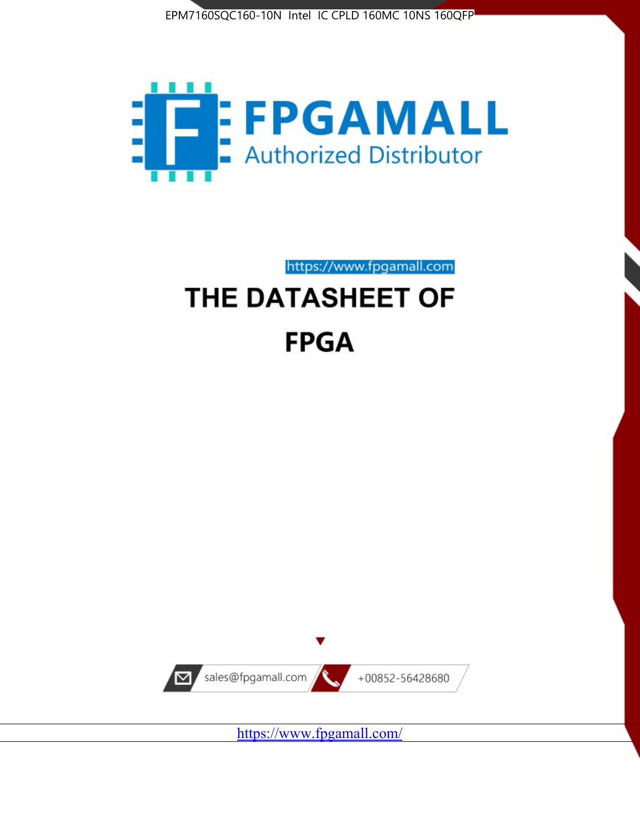



https://www.fpgamall.com THE DATASHEET OF

# **FPGA**



<https://www.fpgamall.com/>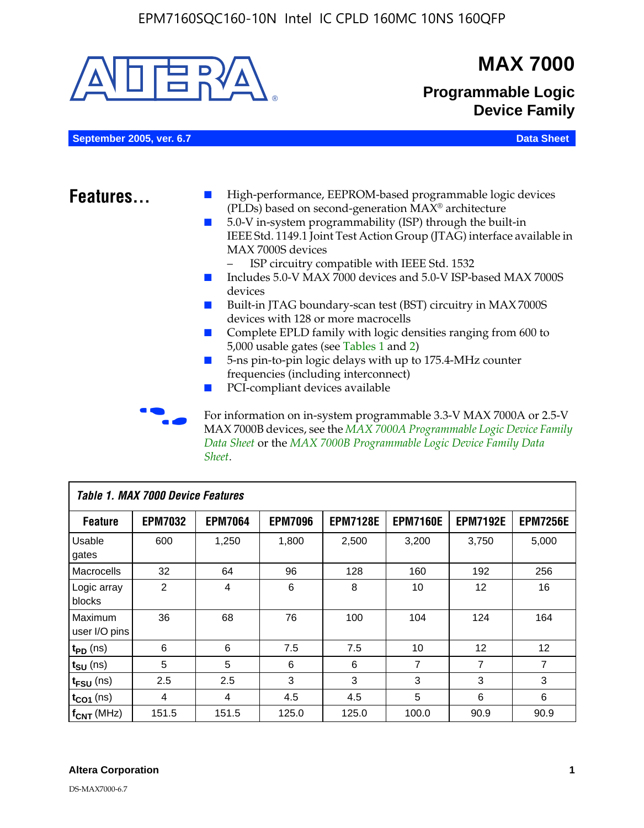

MAX 7000B devices, see the *MAX 7000A Programmable Logic Device Family Data Sheet* or the *MAX 7000B Programmable Logic Device Family Data Sheet*.

| <b>Table 1. MAX 7000 Device Features</b> |                |                |                |                 |                 |                 |                 |
|------------------------------------------|----------------|----------------|----------------|-----------------|-----------------|-----------------|-----------------|
| <b>Feature</b>                           | <b>EPM7032</b> | <b>EPM7064</b> | <b>EPM7096</b> | <b>EPM7128E</b> | <b>EPM7160E</b> | <b>EPM7192E</b> | <b>EPM7256E</b> |
| Usable<br>gates                          | 600            | 1,250          | 1,800          | 2,500           | 3,200           | 3,750           | 5,000           |
| Macrocells                               | 32             | 64             | 96             | 128             | 160             | 192             | 256             |
| Logic array<br>blocks                    | 2              | 4              | 6              | 8               | 10              | 12              | 16              |
| Maximum<br>user I/O pins                 | 36             | 68             | 76             | 100             | 104             | 124             | 164             |
| $t_{PD}$ (ns)                            | 6              | 6              | 7.5            | 7.5             | 10              | 12              | 12              |
| $t_{\text{SU}}$ (ns)                     | 5              | 5              | 6              | 6               | 7               | 7               | 7               |
| $t_{\text{FSU}}$ (ns)                    | 2.5            | 2.5            | 3              | 3               | 3               | 3               | 3               |
| $t_{CO1}$ (ns)                           | 4              | 4              | 4.5            | 4.5             | 5               | 6               | 6               |
| $f_{CNT}$ (MHz)                          | 151.5          | 151.5          | 125.0          | 125.0           | 100.0           | 90.9            | 90.9            |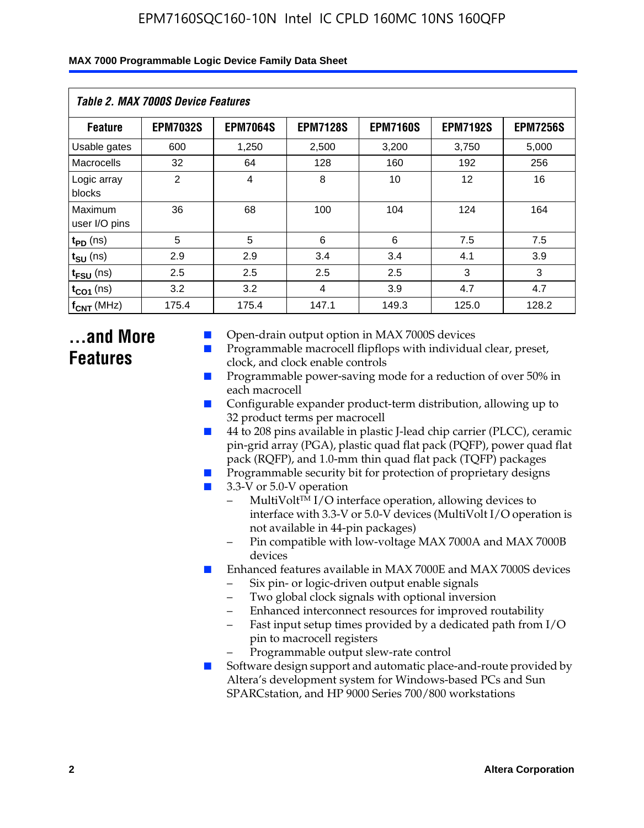| <b>Table 2. MAX 7000S Device Features</b> |                 |                 |                 |                 |                 |                 |  |  |
|-------------------------------------------|-----------------|-----------------|-----------------|-----------------|-----------------|-----------------|--|--|
| <b>Feature</b>                            | <b>EPM7032S</b> | <b>EPM7064S</b> | <b>EPM7128S</b> | <b>EPM7160S</b> | <b>EPM7192S</b> | <b>EPM7256S</b> |  |  |
| Usable gates                              | 600             | 1,250           | 2,500           | 3,200           | 3,750           | 5,000           |  |  |
| Macrocells                                | 32              | 64              | 128             | 160             | 192             | 256             |  |  |
| Logic array<br>blocks                     | 2               | 4               | 8               | 10              | 12              | 16              |  |  |
| Maximum<br>user I/O pins                  | 36              | 68              | 100             | 104             | 124             | 164             |  |  |
| $t_{PD}$ (ns)                             | 5               | 5               | 6               | 6               | 7.5             | 7.5             |  |  |
| $t_{SU}$ (ns)                             | 2.9             | 2.9             | 3.4             | 3.4             | 4.1             | 3.9             |  |  |
| $t_{\text{FSU}}$ (ns)                     | 2.5             | 2.5             | 2.5             | 2.5             | 3               | 3               |  |  |
| $t_{CO1}$ (ns)                            | 3.2             | 3.2             | 4               | 3.9             | 4.7             | 4.7             |  |  |
| $f_{CNT}$ (MHz)                           | 175.4           | 175.4           | 147.1           | 149.3           | 125.0           | 128.2           |  |  |

## **...and More Features**

- Open-drain output option in MAX 7000S devices
- Programmable macrocell flipflops with individual clear, preset, clock, and clock enable controls
- Programmable power-saving mode for a reduction of over 50% in each macrocell
- Configurable expander product-term distribution, allowing up to 32 product terms per macrocell
- 44 to 208 pins available in plastic J-lead chip carrier (PLCC), ceramic pin-grid array (PGA), plastic quad flat pack (PQFP), power quad flat pack (RQFP), and 1.0-mm thin quad flat pack (TQFP) packages
- Programmable security bit for protection of proprietary designs
- 3.3-V or 5.0-V operation
	- MultiVolt<sup>TM</sup> I/O interface operation, allowing devices to interface with 3.3-V or 5.0-V devices (MultiVolt I/O operation is not available in 44-pin packages)
	- Pin compatible with low-voltage MAX 7000A and MAX 7000B devices
- Enhanced features available in MAX 7000E and MAX 7000S devices
	- Six pin- or logic-driven output enable signals
	- Two global clock signals with optional inversion
	- Enhanced interconnect resources for improved routability
	- Fast input setup times provided by a dedicated path from I/O pin to macrocell registers
	- Programmable output slew-rate control
- Software design support and automatic place-and-route provided by Altera's development system for Windows-based PCs and Sun SPARCstation, and HP 9000 Series 700/800 workstations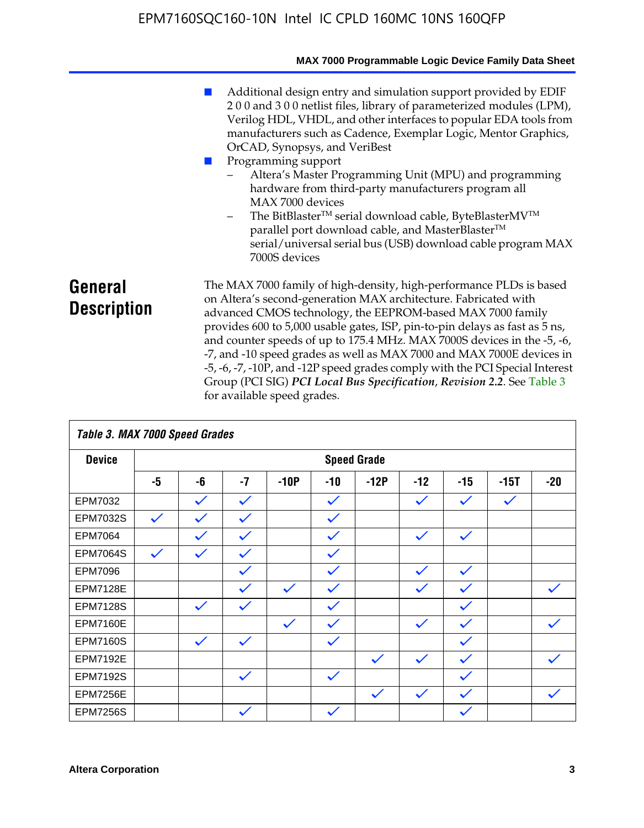|                               | MAX 7000 Programmable Logic Device Family Data Sheet                                                                                                                                                                                                                                                                                                                                                                                                                                                                                                                                                                                                                            |
|-------------------------------|---------------------------------------------------------------------------------------------------------------------------------------------------------------------------------------------------------------------------------------------------------------------------------------------------------------------------------------------------------------------------------------------------------------------------------------------------------------------------------------------------------------------------------------------------------------------------------------------------------------------------------------------------------------------------------|
|                               | Additional design entry and simulation support provided by EDIF<br>200 and 300 netlist files, library of parameterized modules (LPM),<br>Verilog HDL, VHDL, and other interfaces to popular EDA tools from<br>manufacturers such as Cadence, Exemplar Logic, Mentor Graphics,<br>OrCAD, Synopsys, and VeriBest<br>Programming support<br>Altera's Master Programming Unit (MPU) and programming<br>hardware from third-party manufacturers program all<br>MAX 7000 devices<br>The BitBlaster™ serial download cable, ByteBlasterMV™<br>$-$<br>parallel port download cable, and MasterBlaster™<br>serial/universal serial bus (USB) download cable program MAX<br>7000S devices |
| General<br><b>Description</b> | The MAX 7000 family of high-density, high-performance PLDs is based<br>on Altera's second-generation MAX architecture. Fabricated with<br>advanced CMOS technology, the EEPROM-based MAX 7000 family<br>provides 600 to 5,000 usable gates, ISP, pin-to-pin delays as fast as 5 ns,<br>and counter speeds of up to 175.4 MHz. MAX 7000S devices in the -5, -6,<br>-7, and -10 speed grades as well as MAX 7000 and MAX 7000E devices in<br>-5, -6, -7, -10P, and -12P speed grades comply with the PCI Special Interest<br>Group (PCI SIG) PCI Local Bus Specification, Revision 2.2. See Table 3                                                                               |

|                 | Table 3. MAX 7000 Speed Grades |              |              |              |              |                    |              |              |              |              |
|-----------------|--------------------------------|--------------|--------------|--------------|--------------|--------------------|--------------|--------------|--------------|--------------|
| <b>Device</b>   |                                |              |              |              |              | <b>Speed Grade</b> |              |              |              |              |
|                 | -5                             | -6           | $-7$         | $-10P$       | $-10$        | $-12P$             | $-12$        | $-15$        | $-15T$       | $-20$        |
| EPM7032         |                                | $\checkmark$ | $\checkmark$ |              | $\checkmark$ |                    | $\checkmark$ | $\checkmark$ | $\checkmark$ |              |
| EPM7032S        | $\checkmark$                   | $\checkmark$ | $\checkmark$ |              | $\checkmark$ |                    |              |              |              |              |
| <b>EPM7064</b>  |                                | $\checkmark$ | $\checkmark$ |              | $\checkmark$ |                    | $\checkmark$ | $\checkmark$ |              |              |
| <b>EPM7064S</b> | $\checkmark$                   | $\checkmark$ | $\checkmark$ |              | $\checkmark$ |                    |              |              |              |              |
| <b>EPM7096</b>  |                                |              | $\checkmark$ |              | $\checkmark$ |                    | $\checkmark$ | $\checkmark$ |              |              |
| <b>EPM7128E</b> |                                |              | $\checkmark$ | $\checkmark$ | $\checkmark$ |                    | $\checkmark$ | $\checkmark$ |              | $\checkmark$ |
| <b>EPM7128S</b> |                                | $\checkmark$ | $\checkmark$ |              | $\checkmark$ |                    |              | $\checkmark$ |              |              |
| <b>EPM7160E</b> |                                |              |              | $\checkmark$ | $\checkmark$ |                    | $\checkmark$ | $\checkmark$ |              | $\checkmark$ |
| <b>EPM7160S</b> |                                | $\checkmark$ | $\checkmark$ |              | $\checkmark$ |                    |              | $\checkmark$ |              |              |
| <b>EPM7192E</b> |                                |              |              |              |              | $\checkmark$       | $\checkmark$ | $\checkmark$ |              |              |
| <b>EPM7192S</b> |                                |              | $\checkmark$ |              | $\checkmark$ |                    |              | $\checkmark$ |              |              |
| <b>EPM7256E</b> |                                |              |              |              |              | $\checkmark$       | $\checkmark$ | $\checkmark$ |              | $\checkmark$ |
| <b>EPM7256S</b> |                                |              | $\checkmark$ |              | $\checkmark$ |                    |              | $\checkmark$ |              |              |

for available speed grades.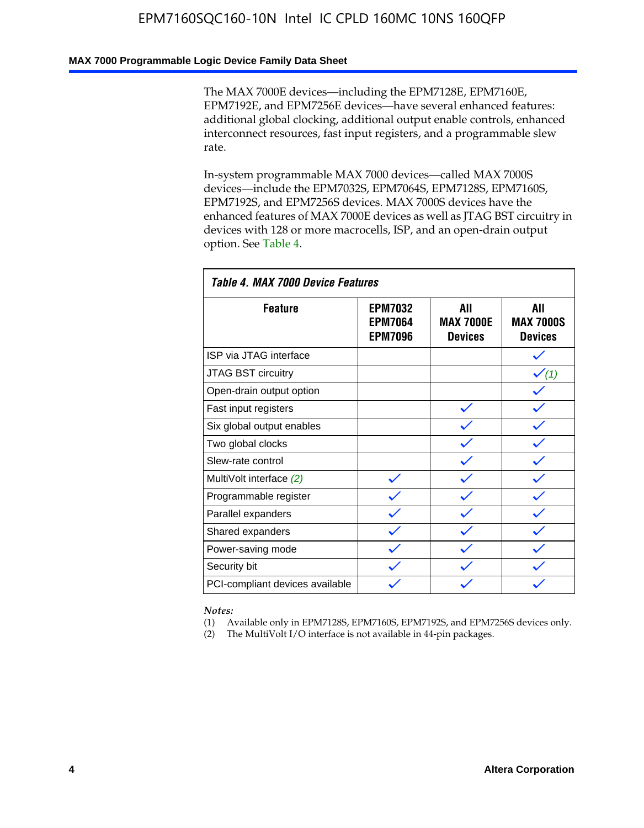### **MAX 7000 Programmable Logic Device Family Data Sheet**

The MAX 7000E devices—including the EPM7128E, EPM7160E, EPM7192E, and EPM7256E devices—have several enhanced features: additional global clocking, additional output enable controls, enhanced interconnect resources, fast input registers, and a programmable slew rate.

In-system programmable MAX 7000 devices—called MAX 7000S devices—include the EPM7032S, EPM7064S, EPM7128S, EPM7160S, EPM7192S, and EPM7256S devices. MAX 7000S devices have the enhanced features of MAX 7000E devices as well as JTAG BST circuitry in devices with 128 or more macrocells, ISP, and an open-drain output option. See Table 4.

| Table 4. MAX 7000 Device Features |                                                    |                                           |                                           |  |  |  |
|-----------------------------------|----------------------------------------------------|-------------------------------------------|-------------------------------------------|--|--|--|
| <b>Feature</b>                    | <b>EPM7032</b><br><b>EPM7064</b><br><b>EPM7096</b> | All<br><b>MAX 7000E</b><br><b>Devices</b> | All<br><b>MAX 7000S</b><br><b>Devices</b> |  |  |  |
| ISP via JTAG interface            |                                                    |                                           |                                           |  |  |  |
| JTAG BST circuitry                |                                                    |                                           | $\checkmark$ (1)                          |  |  |  |
| Open-drain output option          |                                                    |                                           |                                           |  |  |  |
| Fast input registers              |                                                    |                                           |                                           |  |  |  |
| Six global output enables         |                                                    |                                           |                                           |  |  |  |
| Two global clocks                 |                                                    |                                           |                                           |  |  |  |
| Slew-rate control                 |                                                    |                                           |                                           |  |  |  |
| MultiVolt interface (2)           |                                                    |                                           |                                           |  |  |  |
| Programmable register             |                                                    |                                           |                                           |  |  |  |
| Parallel expanders                |                                                    |                                           |                                           |  |  |  |
| Shared expanders                  |                                                    |                                           |                                           |  |  |  |
| Power-saving mode                 |                                                    |                                           |                                           |  |  |  |
| Security bit                      |                                                    |                                           |                                           |  |  |  |
| PCI-compliant devices available   |                                                    |                                           |                                           |  |  |  |

*Notes:*

(1) Available only in EPM7128S, EPM7160S, EPM7192S, and EPM7256S devices only.

(2) The MultiVolt I/O interface is not available in 44-pin packages.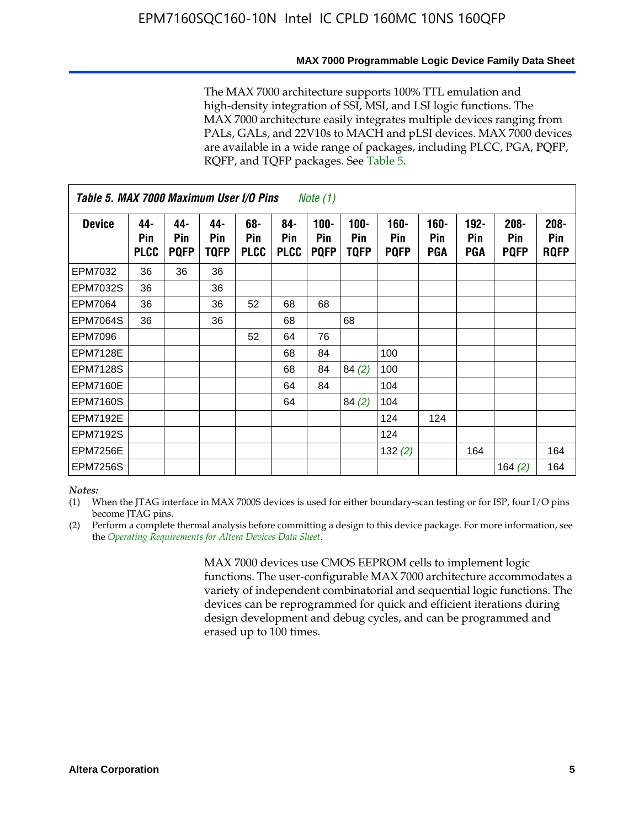The MAX 7000 architecture supports 100% TTL emulation and high-density integration of SSI, MSI, and LSI logic functions. The MAX 7000 architecture easily integrates multiple devices ranging from PALs, GALs, and 22V10s to MACH and pLSI devices. MAX 7000 devices are available in a wide range of packages, including PLCC, PGA, PQFP, RQFP, and TQFP packages. See Table 5.

| Table 5. MAX 7000 Maximum User I/O Pins<br><i>Note</i> $(1)$ |                           |                           |                           |                           |                           |                               |                        |                            |                       |                              |                               |                               |
|--------------------------------------------------------------|---------------------------|---------------------------|---------------------------|---------------------------|---------------------------|-------------------------------|------------------------|----------------------------|-----------------------|------------------------------|-------------------------------|-------------------------------|
| <b>Device</b>                                                | 44-<br>Pin<br><b>PLCC</b> | 44-<br>Pin<br><b>PQFP</b> | 44-<br>Pin<br><b>TQFP</b> | 68-<br>Pin<br><b>PLCC</b> | 84-<br>Pin<br><b>PLCC</b> | $100 -$<br>Pin<br><b>PQFP</b> | $100 -$<br>Pin<br>TQFP | 160-<br>Pin<br><b>PQFP</b> | $160 -$<br>Pin<br>PGA | $192 -$<br>Pin<br><b>PGA</b> | $208 -$<br>Pin<br><b>PQFP</b> | $208 -$<br>Pin<br><b>RQFP</b> |
| EPM7032                                                      | 36                        | 36                        | 36                        |                           |                           |                               |                        |                            |                       |                              |                               |                               |
| <b>EPM7032S</b>                                              | 36                        |                           | 36                        |                           |                           |                               |                        |                            |                       |                              |                               |                               |
| <b>EPM7064</b>                                               | 36                        |                           | 36                        | 52                        | 68                        | 68                            |                        |                            |                       |                              |                               |                               |
| <b>EPM7064S</b>                                              | 36                        |                           | 36                        |                           | 68                        |                               | 68                     |                            |                       |                              |                               |                               |
| <b>EPM7096</b>                                               |                           |                           |                           | 52                        | 64                        | 76                            |                        |                            |                       |                              |                               |                               |
| <b>EPM7128E</b>                                              |                           |                           |                           |                           | 68                        | 84                            |                        | 100                        |                       |                              |                               |                               |
| <b>EPM7128S</b>                                              |                           |                           |                           |                           | 68                        | 84                            | 84(2)                  | 100                        |                       |                              |                               |                               |
| <b>EPM7160E</b>                                              |                           |                           |                           |                           | 64                        | 84                            |                        | 104                        |                       |                              |                               |                               |
| EPM7160S                                                     |                           |                           |                           |                           | 64                        |                               | 84(2)                  | 104                        |                       |                              |                               |                               |
| <b>EPM7192E</b>                                              |                           |                           |                           |                           |                           |                               |                        | 124                        | 124                   |                              |                               |                               |
| <b>EPM7192S</b>                                              |                           |                           |                           |                           |                           |                               |                        | 124                        |                       |                              |                               |                               |
| <b>EPM7256E</b>                                              |                           |                           |                           |                           |                           |                               |                        | 132(2)                     |                       | 164                          |                               | 164                           |
| <b>EPM7256S</b>                                              |                           |                           |                           |                           |                           |                               |                        |                            |                       |                              | 164 $(2)$                     | 164                           |

#### *Notes:*

(1) When the JTAG interface in MAX 7000S devices is used for either boundary-scan testing or for ISP, four I/O pins become JTAG pins.

(2) Perform a complete thermal analysis before committing a design to this device package. For more information, see the *Operating Requirements for Altera Devices Data Sheet*.

> MAX 7000 devices use CMOS EEPROM cells to implement logic functions. The user-configurable MAX 7000 architecture accommodates a variety of independent combinatorial and sequential logic functions. The devices can be reprogrammed for quick and efficient iterations during design development and debug cycles, and can be programmed and erased up to 100 times.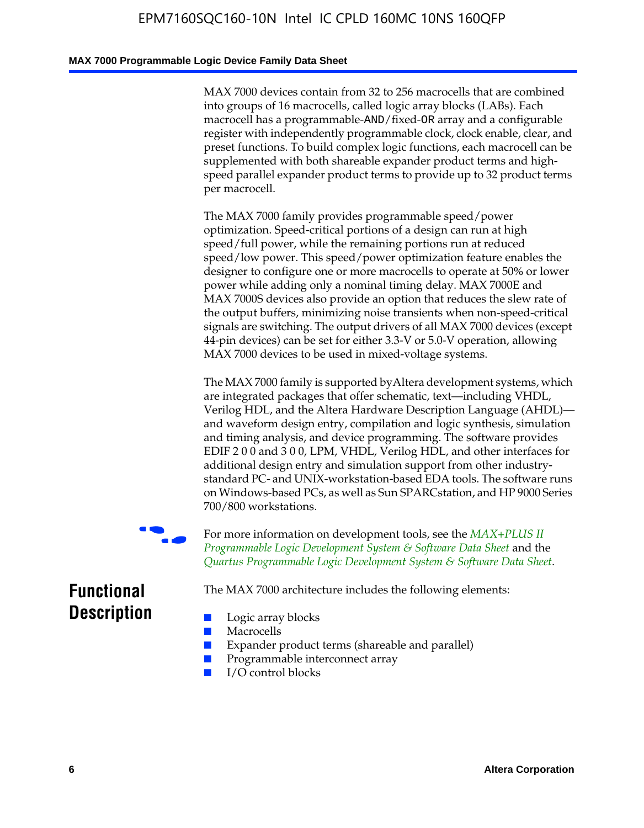### **MAX 7000 Programmable Logic Device Family Data Sheet**

MAX 7000 devices contain from 32 to 256 macrocells that are combined into groups of 16 macrocells, called logic array blocks (LABs). Each macrocell has a programmable-AND/fixed-OR array and a configurable register with independently programmable clock, clock enable, clear, and preset functions. To build complex logic functions, each macrocell can be supplemented with both shareable expander product terms and highspeed parallel expander product terms to provide up to 32 product terms per macrocell.

The MAX 7000 family provides programmable speed/power optimization. Speed-critical portions of a design can run at high speed/full power, while the remaining portions run at reduced speed/low power. This speed/power optimization feature enables the designer to configure one or more macrocells to operate at 50% or lower power while adding only a nominal timing delay. MAX 7000E and MAX 7000S devices also provide an option that reduces the slew rate of the output buffers, minimizing noise transients when non-speed-critical signals are switching. The output drivers of all MAX 7000 devices (except 44-pin devices) can be set for either 3.3-V or 5.0-V operation, allowing MAX 7000 devices to be used in mixed-voltage systems.

The MAX 7000 family is supported byAltera development systems, which are integrated packages that offer schematic, text—including VHDL, Verilog HDL, and the Altera Hardware Description Language (AHDL) and waveform design entry, compilation and logic synthesis, simulation and timing analysis, and device programming. The [software provides](http://www.altera.com/literature/ds/dsmii.pdf)  [EDIF 2 0 0 and 3 0 0, LPM, VHDL, Verilog HDL, and other in](http://www.altera.com/literature/ds/dsmii.pdf)terfaces for [additional design entry and simulation support from other industry](http://www.altera.com/literature/ds/quartus.pdf)standard PC- and UNIX-workstation-based EDA tools. The software runs on Windows-based PCs, as well as Sun SPARCstation, and HP 9000 Series 700/800 workstations.

For more information on development tools, see the **MAX+PLUS II** *Programmable Logic Development System & Software Data Sheet* and the *Quartus Programmable Logic Development System & Software Data Sheet*.

The MAX 7000 architecture includes the following elements:

## **Functional Description**

- Logic array blocks
- **Macrocells**
- Expander product terms (shareable and parallel)
- Programmable interconnect array
- I/O control blocks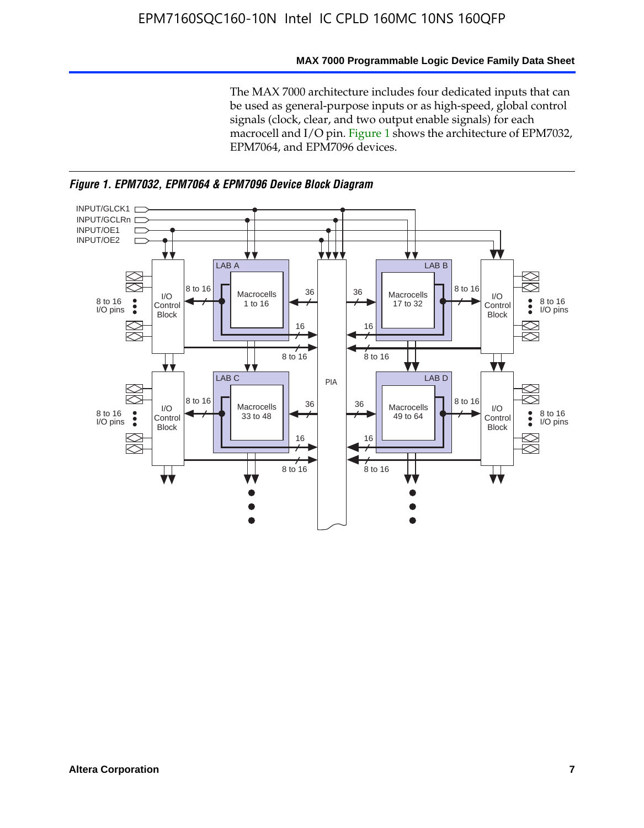### **MAX 7000 Programmable Logic Device Family Data Sheet**

The MAX 7000 architecture includes four dedicated inputs that can be used as general-purpose inputs or as high-speed, global control signals (clock, clear, and two output enable signals) for each macrocell and I/O pin. Figure 1 shows the architecture of EPM7032, EPM7064, and EPM7096 devices.



*Figure 1. EPM7032, EPM7064 & EPM7096 Device Block Diagram*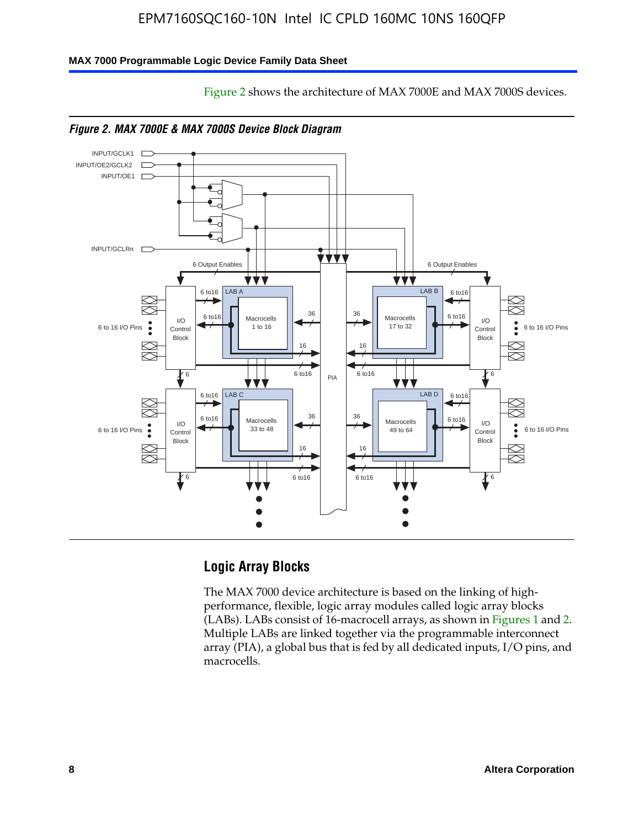Figure 2 shows the architecture of MAX 7000E and MAX 7000S devices.

### **MAX 7000 Programmable Logic Device Family Data Sheet**





### **Logic Array Blocks**

The MAX 7000 device architecture is based on the linking of highperformance, flexible, logic array modules called logic array blocks (LABs). LABs consist of 16-macrocell arrays, as shown in Figures 1 and 2. Multiple LABs are linked together via the programmable interconnect array (PIA), a global bus that is fed by all dedicated inputs, I/O pins, and macrocells.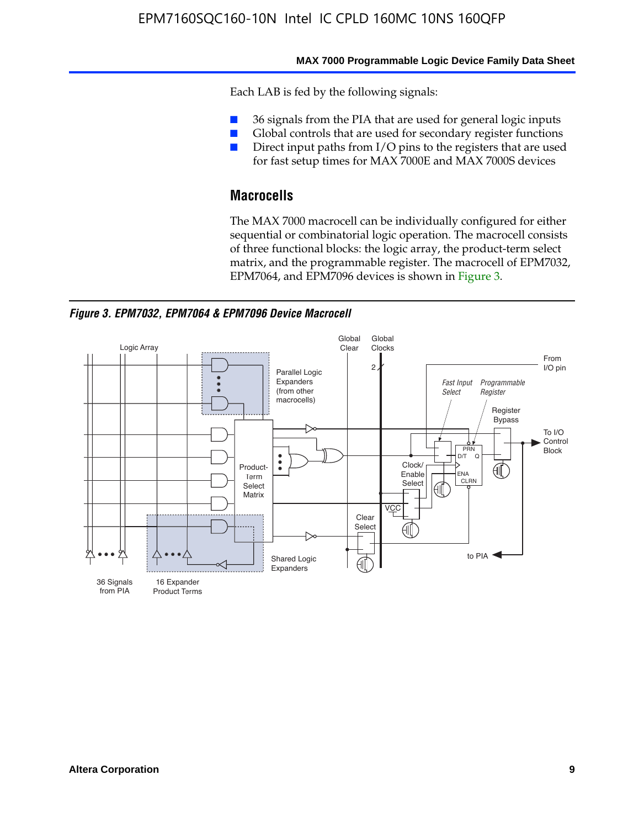#### **MAX 7000 Programmable Logic Device Family Data Sheet**

Each LAB is fed by the following signals:

- 36 signals from the PIA that are used for general logic inputs
- Global controls that are used for secondary register functions
- Direct input paths from I/O pins to the registers that are used for fast setup times for MAX 7000E and MAX 7000S devices

## **Macrocells**

The MAX 7000 macrocell can be individually configured for either sequential or combinatorial logic operation. The macrocell consists of three functional blocks: the logic array, the product-term select matrix, and the programmable register. The macrocell of EPM7032, EPM7064, and EPM7096 devices is shown in Figure 3.

*Figure 3. EPM7032, EPM7064 & EPM7096 Device Macrocell*

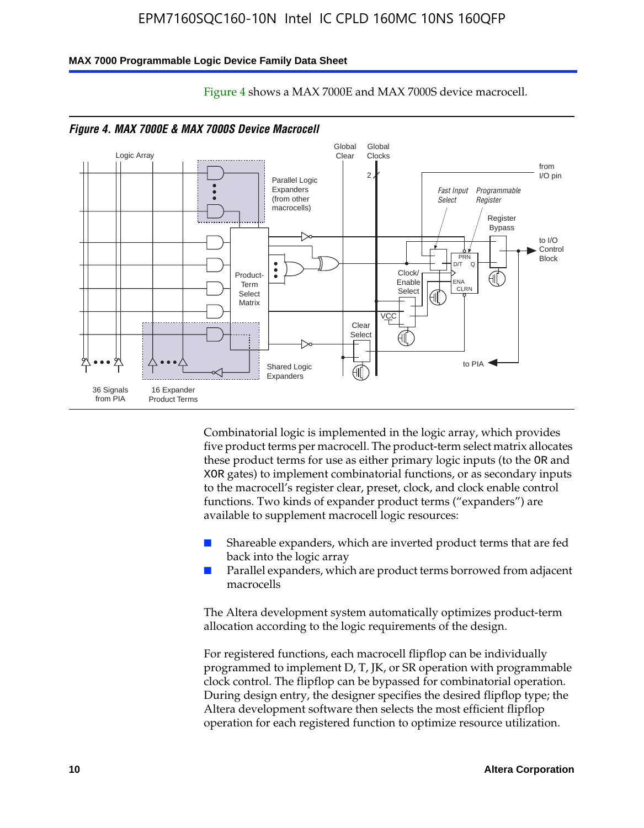#### **MAX 7000 Programmable Logic Device Family Data Sheet**



Figure 4 shows a MAX 7000E and MAX 7000S device macrocell.

Combinatorial logic is implemented in the logic array, which provides five product terms per macrocell. The product-term select matrix allocates these product terms for use as either primary logic inputs (to the OR and XOR gates) to implement combinatorial functions, or as secondary inputs to the macrocell's register clear, preset, clock, and clock enable control functions. Two kinds of expander product terms ("expanders") are available to supplement macrocell logic resources:

- Shareable expanders, which are inverted product terms that are fed back into the logic array
- Parallel expanders, which are product terms borrowed from adjacent macrocells

The Altera development system automatically optimizes product-term allocation according to the logic requirements of the design.

For registered functions, each macrocell flipflop can be individually programmed to implement D, T, JK, or SR operation with programmable clock control. The flipflop can be bypassed for combinatorial operation. During design entry, the designer specifies the desired flipflop type; the Altera development software then selects the most efficient flipflop operation for each registered function to optimize resource utilization.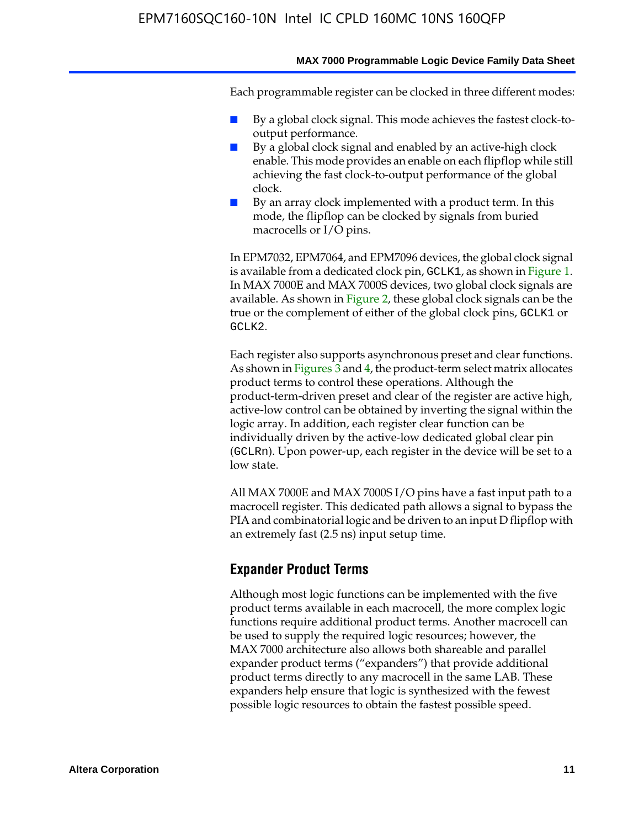Each programmable register can be clocked in three different modes:

- By a global clock signal. This mode achieves the fastest clock-tooutput performance.
- By a global clock signal and enabled by an active-high clock enable. This mode provides an enable on each flipflop while still achieving the fast clock-to-output performance of the global clock.
- By an array clock implemented with a product term. In this mode, the flipflop can be clocked by signals from buried macrocells or I/O pins.

In EPM7032, EPM7064, and EPM7096 devices, the global clock signal is available from a dedicated clock pin, GCLK1, as shown in Figure 1. In MAX 7000E and MAX 7000S devices, two global clock signals are available. As shown in Figure 2, these global clock signals can be the true or the complement of either of the global clock pins, GCLK1 or GCLK2.

Each register also supports asynchronous preset and clear functions. As shown in Figures 3 and 4, the product-term select matrix allocates product terms to control these operations. Although the product-term-driven preset and clear of the register are active high, active-low control can be obtained by inverting the signal within the logic array. In addition, each register clear function can be individually driven by the active-low dedicated global clear pin (GCLRn). Upon power-up, each register in the device will be set to a low state.

All MAX 7000E and MAX 7000S I/O pins have a fast input path to a macrocell register. This dedicated path allows a signal to bypass the PIA and combinatorial logic and be driven to an input D flipflop with an extremely fast (2.5 ns) input setup time.

### **Expander Product Terms**

Although most logic functions can be implemented with the five product terms available in each macrocell, the more complex logic functions require additional product terms. Another macrocell can be used to supply the required logic resources; however, the MAX 7000 architecture also allows both shareable and parallel expander product terms ("expanders") that provide additional product terms directly to any macrocell in the same LAB. These expanders help ensure that logic is synthesized with the fewest possible logic resources to obtain the fastest possible speed.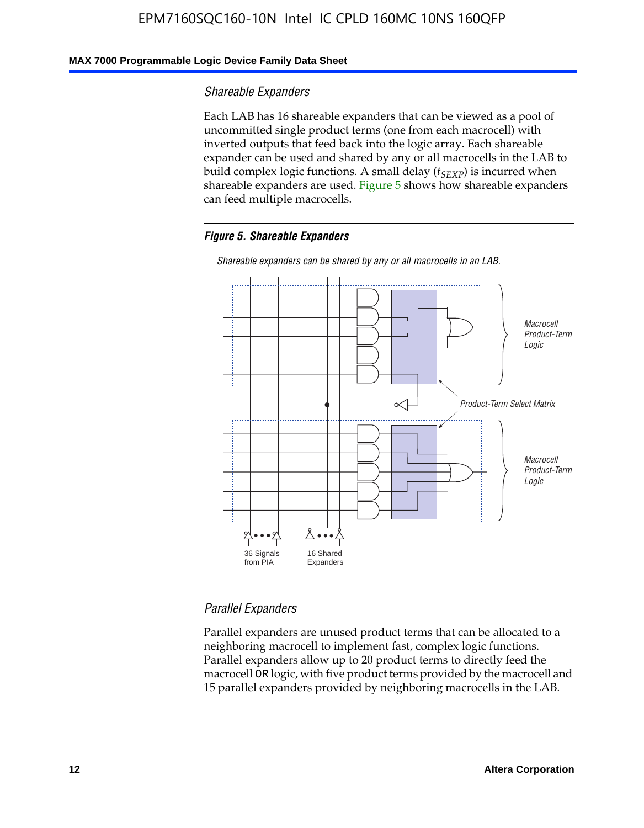### **MAX 7000 Programmable Logic Device Family Data Sheet**

### *Shareable Expanders*

Each LAB has 16 shareable expanders that can be viewed as a pool of uncommitted single product terms (one from each macrocell) with inverted outputs that feed back into the logic array. Each shareable expander can be used and shared by any or all macrocells in the LAB to build complex logic functions. A small delay ( $t_{SEXP}$ ) is incurred when shareable expanders are used. Figure 5 shows how shareable expanders can feed multiple macrocells.

### *Figure 5. Shareable Expanders*



*Shareable expanders can be shared by any or all macrocells in an LAB.*

### *Parallel Expanders*

Parallel expanders are unused product terms that can be allocated to a neighboring macrocell to implement fast, complex logic functions. Parallel expanders allow up to 20 product terms to directly feed the macrocell OR logic, with five product terms provided by the macrocell and 15 parallel expanders provided by neighboring macrocells in the LAB.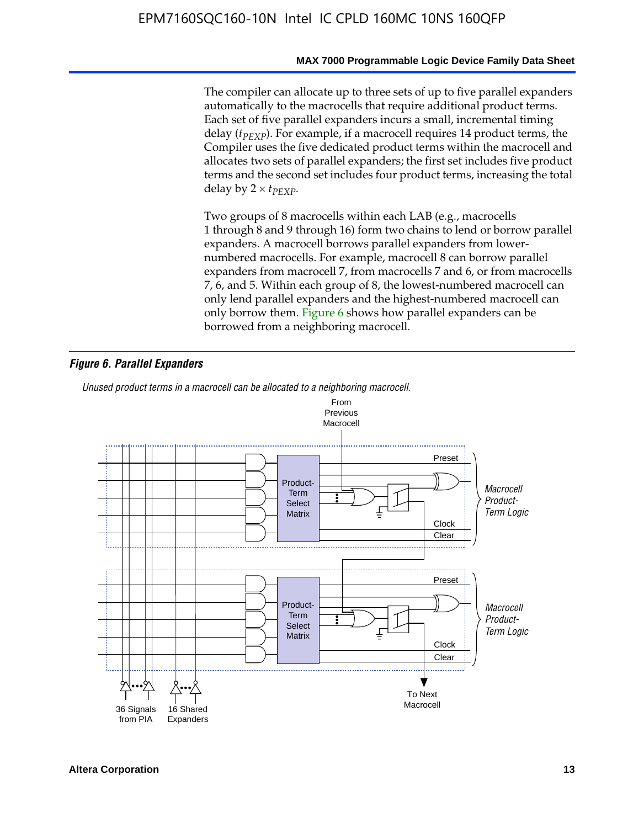The compiler can allocate up to three sets of up to five parallel expanders automatically to the macrocells that require additional product terms. Each set of five parallel expanders incurs a small, incremental timing delay (*t<sub>PEXP</sub>*). For example, if a macrocell requires 14 product terms, the Compiler uses the five dedicated product terms within the macrocell and allocates two sets of parallel expanders; the first set includes five product terms and the second set includes four product terms, increasing the total delay by  $2 \times t_{PFXP}$ .

Two groups of 8 macrocells within each LAB (e.g., macrocells 1 through 8 and 9 through 16) form two chains to lend or borrow parallel expanders. A macrocell borrows parallel expanders from lowernumbered macrocells. For example, macrocell 8 can borrow parallel expanders from macrocell 7, from macrocells 7 and 6, or from macrocells 7, 6, and 5. Within each group of 8, the lowest-numbered macrocell can only lend parallel expanders and the highest-numbered macrocell can only borrow them. Figure 6 shows how parallel expanders can be borrowed from a neighboring macrocell.

### *Figure 6. Parallel Expanders*

*Unused product terms in a macrocell can be allocated to a neighboring macrocell.*

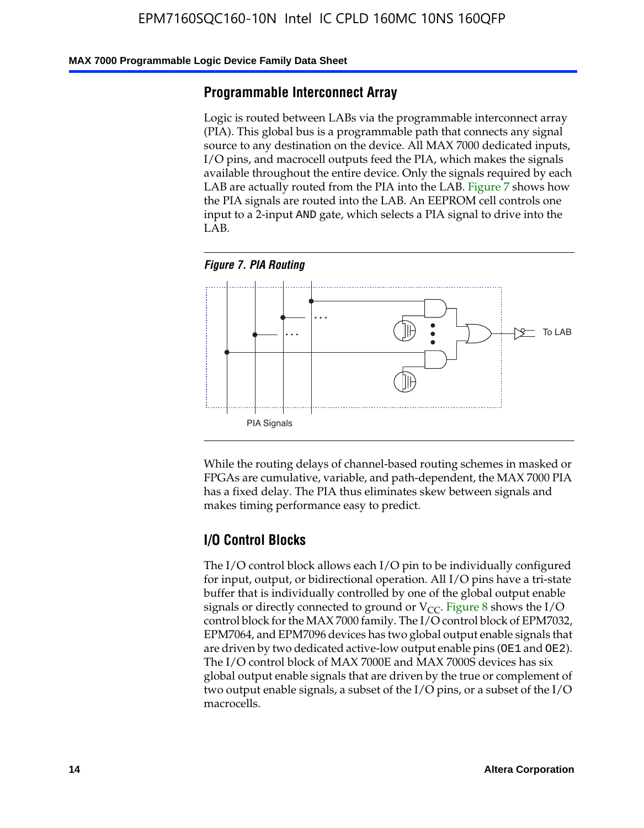#### **MAX 7000 Programmable Logic Device Family Data Sheet**

### **Programmable Interconnect Array**

Logic is routed between LABs via the programmable interconnect array (PIA). This global bus is a programmable path that connects any signal source to any destination on the device. All MAX 7000 dedicated inputs, I/O pins, and macrocell outputs feed the PIA, which makes the signals available throughout the entire device. Only the signals required by each LAB are actually routed from the PIA into the LAB. Figure 7 shows how the PIA signals are routed into the LAB. An EEPROM cell controls one input to a 2-input AND gate, which selects a PIA signal to drive into the LAB.





While the routing delays of channel-based routing schemes in masked or FPGAs are cumulative, variable, and path-dependent, the MAX 7000 PIA has a fixed delay. The PIA thus eliminates skew between signals and makes timing performance easy to predict.

### **I/O Control Blocks**

The I/O control block allows each I/O pin to be individually configured for input, output, or bidirectional operation. All I/O pins have a tri-state buffer that is individually controlled by one of the global output enable signals or directly connected to ground or  $V_{CC}$ . Figure 8 shows the I/O control block for the MAX 7000 family. The I/O control block of EPM7032, EPM7064, and EPM7096 devices has two global output enable signals that are driven by two dedicated active-low output enable pins (OE1 and OE2). The I/O control block of MAX 7000E and MAX 7000S devices has six global output enable signals that are driven by the true or complement of two output enable signals, a subset of the I/O pins, or a subset of the I/O macrocells.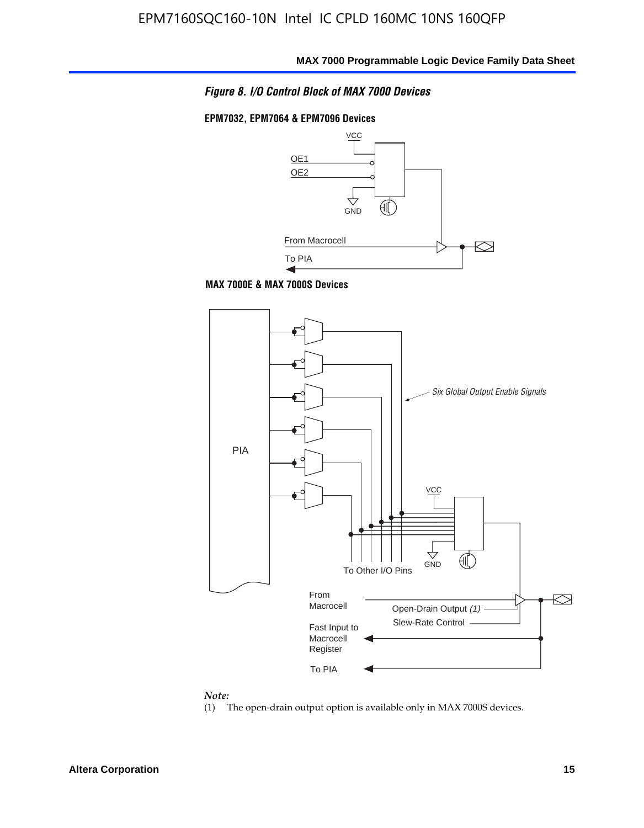*Figure 8. I/O Control Block of MAX 7000 Devices*

#### **EPM7032, EPM7064 & EPM7096 Devices**







## *Note:*<br>(1) <sup>1</sup>

The open-drain output option is available only in MAX 7000S devices.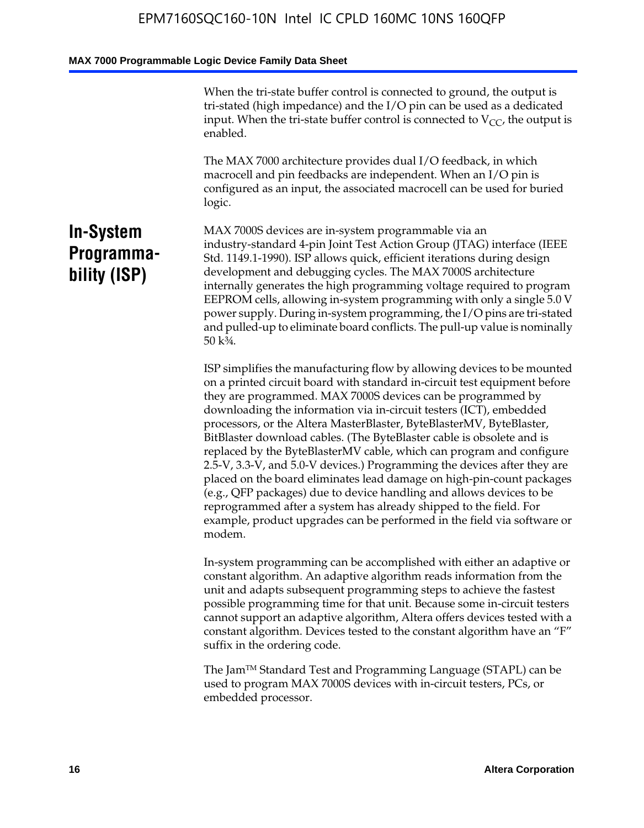When the tri-state buffer control is connected to ground, the output is tri-stated (high impedance) and the I/O pin can be used as a dedicated input. When the tri-state buffer control is connected to  $V_{CC}$ , the output is enabled.

The MAX 7000 architecture provides dual I/O feedback, in which macrocell and pin feedbacks are independent. When an I/O pin is configured as an input, the associated macrocell can be used for buried logic.

## **In-System Programmability (ISP)**

MAX 7000S devices are in-system programmable via an industry-standard 4-pin Joint Test Action Group (JTAG) interface (IEEE Std. 1149.1-1990). ISP allows quick, efficient iterations during design development and debugging cycles. The MAX 7000S architecture internally generates the high programming voltage required to program EEPROM cells, allowing in-system programming with only a single 5.0 V power supply. During in-system programming, the I/O pins are tri-stated and pulled-up to eliminate board conflicts. The pull-up value is nominally 50 k¾.

ISP simplifies the manufacturing flow by allowing devices to be mounted on a printed circuit board with standard in-circuit test equipment before they are programmed. MAX 7000S devices can be programmed by downloading the information via in-circuit testers (ICT), embedded processors, or the Altera MasterBlaster, ByteBlasterMV, ByteBlaster, BitBlaster download cables. (The ByteBlaster cable is obsolete and is replaced by the ByteBlasterMV cable, which can program and configure 2.5-V, 3.3-V, and 5.0-V devices.) Programming the devices after they are placed on the board eliminates lead damage on high-pin-count packages (e.g., QFP packages) due to device handling and allows devices to be reprogrammed after a system has already shipped to the field. For example, product upgrades can be performed in the field via software or modem.

In-system programming can be accomplished with either an adaptive or constant algorithm. An adaptive algorithm reads information from the unit and adapts subsequent programming steps to achieve the fastest possible programming time for that unit. Because some in-circuit testers cannot support an adaptive algorithm, Altera offers devices tested with a constant algorithm. Devices tested to the constant algorithm have an "F" suffix in the ordering code.

The Jam™ Standard Test and Programming Language (STAPL) can be used to program MAX 7000S devices with in-circuit testers, PCs, or embedded processor.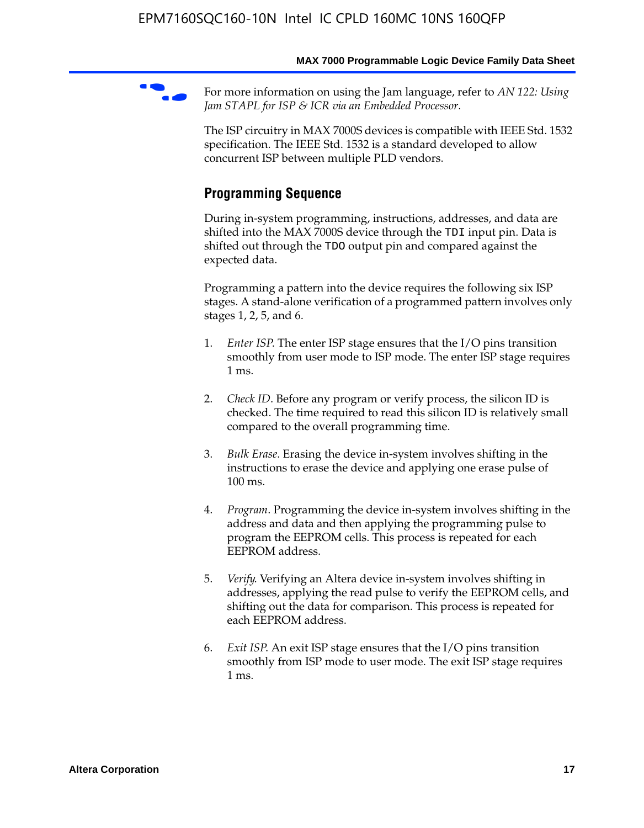For more information on using the Jam language, refer to *AN* 122: Using *Jam STAPL for ISP & ICR via an Embedded Processor*.

The ISP circuitry in MAX 7000S devices is compatible with IEEE Std. 1532 specification. The IEEE Std. 1532 is a standard developed to allow concurrent ISP between multiple PLD vendors.

## **Programming Sequence**

During in-system programming, instructions, addresses, and data are shifted into the MAX 7000S device through the TDI input pin. Data is shifted out through the TDO output pin and compared against the expected data.

Programming a pattern into the device requires the following six ISP stages. A stand-alone verification of a programmed pattern involves only stages 1, 2, 5, and 6.

- 1. *Enter ISP*. The enter ISP stage ensures that the I/O pins transition smoothly from user mode to ISP mode. The enter ISP stage requires 1 ms.
- 2. *Check ID*. Before any program or verify process, the silicon ID is checked. The time required to read this silicon ID is relatively small compared to the overall programming time.
- 3. *Bulk Erase*. Erasing the device in-system involves shifting in the instructions to erase the device and applying one erase pulse of 100 ms.
- 4. *Program*. Programming the device in-system involves shifting in the address and data and then applying the programming pulse to program the EEPROM cells. This process is repeated for each EEPROM address.
- 5. *Verify*. Verifying an Altera device in-system involves shifting in addresses, applying the read pulse to verify the EEPROM cells, and shifting out the data for comparison. This process is repeated for each EEPROM address.
- 6. *Exit ISP*. An exit ISP stage ensures that the I/O pins transition smoothly from ISP mode to user mode. The exit ISP stage requires 1 ms.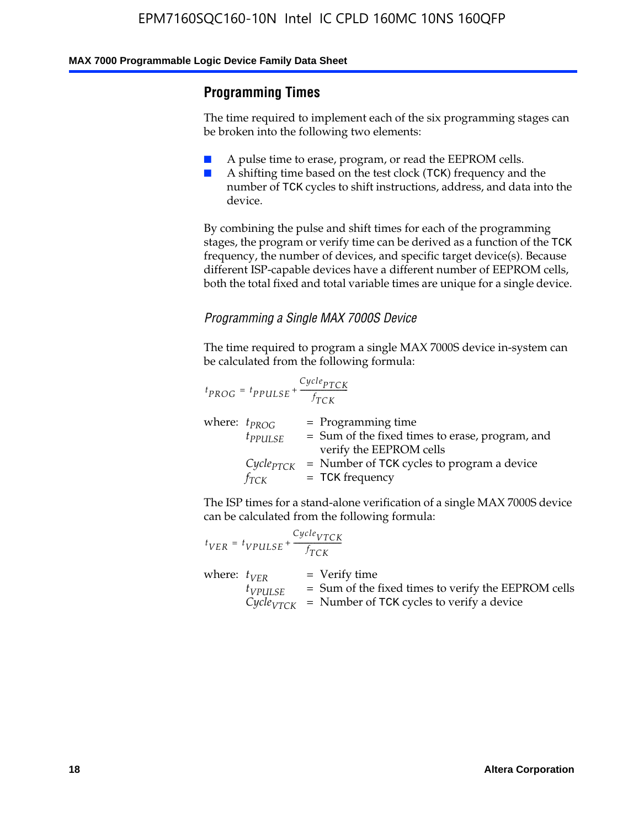## **Programming Times**

The time required to implement each of the six programming stages can be broken into the following two elements:

- A pulse time to erase, program, or read the EEPROM cells.
- A shifting time based on the test clock (TCK) frequency and the number of TCK cycles to shift instructions, address, and data into the device.

By combining the pulse and shift times for each of the programming stages, the program or verify time can be derived as a function of the TCK frequency, the number of devices, and specific target device(s). Because different ISP-capable devices have a different number of EEPROM cells, both the total fixed and total variable times are unique for a single device.

### *Programming a Single MAX 7000S Device*

The time required to program a single MAX 7000S device in-system can be calculated from the following formula:

$$
t_{PROG} = t_{PPULSE} + \frac{C_{ycle_{PTCK}}}{f_{TCK}}
$$
  
where:  $t_{PROG}$  = Programming time  
 $t_{PPULSE}$  = Sum of the fixed times to erase, program, and  
verify the EEPROM cells  
 $C_{ycle_{PTCK}}$  = Number of TCK cycles to program a device  
 $f_{TCK}$  = TCK frequency

The ISP times for a stand-alone verification of a single MAX 7000S device can be calculated from the following formula:

|                  | $t_{VER} = t_{VPULSE} + \frac{Cycle_{VTCK}}{f_{TCK}}$ |                                                                                                                                 |
|------------------|-------------------------------------------------------|---------------------------------------------------------------------------------------------------------------------------------|
| where: $t_{VFR}$ | $t_{VPULSE}$                                          | = Verify time<br>$=$ Sum of the fixed times to verify the EEPROM cells<br>$CycleVTCK$ = Number of TCK cycles to verify a device |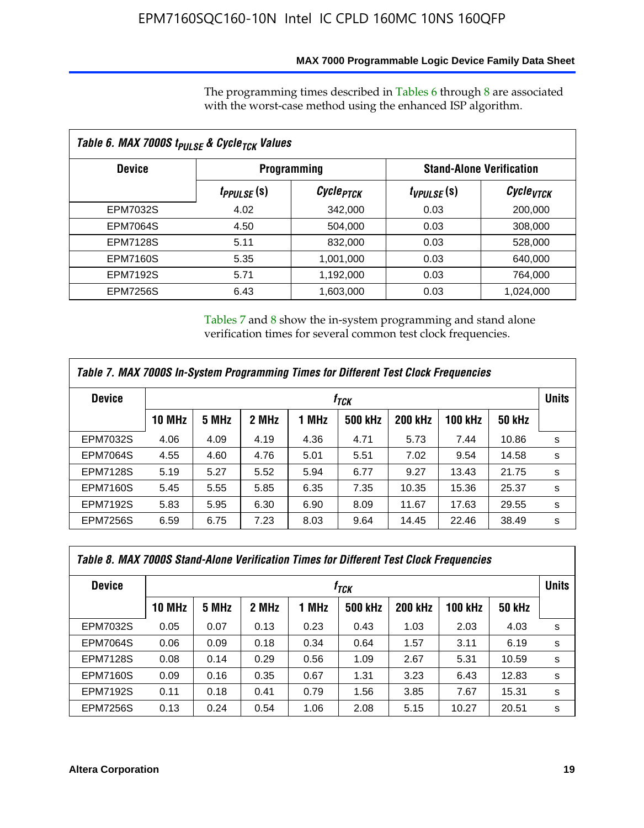### **MAX 7000 Programmable Logic Device Family Data Sheet**

The programming times described in Tables 6 through 8 are associated with the worst-case method using the enhanced ISP algorithm.

| Table 6. MAX 7000S t <sub>PULSE</sub> & Cycle <sub>TCK</sub> Values |                         |                                                       |                 |                             |  |  |  |
|---------------------------------------------------------------------|-------------------------|-------------------------------------------------------|-----------------|-----------------------------|--|--|--|
| <b>Device</b>                                                       |                         | <b>Stand-Alone Verification</b><br><b>Programming</b> |                 |                             |  |  |  |
|                                                                     | t <sub>PPULSE</sub> (S) | Cycle <sub>PTCK</sub>                                 | $t_{VPULSE}(s)$ | $\mathcal C$ ycle $_{VTCK}$ |  |  |  |
| EPM7032S                                                            | 4.02                    | 342,000                                               | 0.03            | 200,000                     |  |  |  |
| <b>EPM7064S</b>                                                     | 4.50                    | 504,000                                               | 0.03            | 308,000                     |  |  |  |
| <b>EPM7128S</b>                                                     | 5.11                    | 832,000                                               | 0.03            | 528,000                     |  |  |  |
| <b>EPM7160S</b>                                                     | 5.35                    | 1,001,000                                             | 0.03            | 640,000                     |  |  |  |
| <b>EPM7192S</b>                                                     | 5.71                    | 1,192,000                                             | 0.03            | 764,000                     |  |  |  |
| <b>EPM7256S</b>                                                     | 6.43                    | 1,603,000                                             | 0.03            | 1,024,000                   |  |  |  |

Tables 7 and 8 show the in-system programming and stand alone verification times for several common test clock frequencies.

| Table 7. MAX 7000S In-System Programming Times for Different Test Clock Frequencies |                  |       |       |       |                |                |                |               |              |
|-------------------------------------------------------------------------------------|------------------|-------|-------|-------|----------------|----------------|----------------|---------------|--------------|
| <b>Device</b>                                                                       | † <sub>TCK</sub> |       |       |       |                |                |                |               | <b>Units</b> |
|                                                                                     | <b>10 MHz</b>    | 5 MHz | 2 MHz | 1 MHz | <b>500 kHz</b> | <b>200 kHz</b> | <b>100 kHz</b> | <b>50 kHz</b> |              |
| <b>EPM7032S</b>                                                                     | 4.06             | 4.09  | 4.19  | 4.36  | 4.71           | 5.73           | 7.44           | 10.86         | s            |
| <b>EPM7064S</b>                                                                     | 4.55             | 4.60  | 4.76  | 5.01  | 5.51           | 7.02           | 9.54           | 14.58         | s            |
| <b>EPM7128S</b>                                                                     | 5.19             | 5.27  | 5.52  | 5.94  | 6.77           | 9.27           | 13.43          | 21.75         | s            |
| <b>EPM7160S</b>                                                                     | 5.45             | 5.55  | 5.85  | 6.35  | 7.35           | 10.35          | 15.36          | 25.37         | s            |
| <b>EPM7192S</b>                                                                     | 5.83             | 5.95  | 6.30  | 6.90  | 8.09           | 11.67          | 17.63          | 29.55         | s            |
| <b>EPM7256S</b>                                                                     | 6.59             | 6.75  | 7.23  | 8.03  | 9.64           | 14.45          | 22.46          | 38.49         | s            |

| Table 8. MAX 7000S Stand-Alone Verification Times for Different Test Clock Frequencies |               |       |       |       |                  |                |                |               |              |
|----------------------------------------------------------------------------------------|---------------|-------|-------|-------|------------------|----------------|----------------|---------------|--------------|
| <b>Device</b>                                                                          |               |       |       |       | † <sub>TCK</sub> |                |                |               | <b>Units</b> |
|                                                                                        | <b>10 MHz</b> | 5 MHz | 2 MHz | 1 MHz | <b>500 kHz</b>   | <b>200 kHz</b> | <b>100 kHz</b> | <b>50 kHz</b> |              |
| <b>EPM7032S</b>                                                                        | 0.05          | 0.07  | 0.13  | 0.23  | 0.43             | 1.03           | 2.03           | 4.03          | s            |
| <b>EPM7064S</b>                                                                        | 0.06          | 0.09  | 0.18  | 0.34  | 0.64             | 1.57           | 3.11           | 6.19          | s            |
| <b>EPM7128S</b>                                                                        | 0.08          | 0.14  | 0.29  | 0.56  | 1.09             | 2.67           | 5.31           | 10.59         | s            |
| <b>EPM7160S</b>                                                                        | 0.09          | 0.16  | 0.35  | 0.67  | 1.31             | 3.23           | 6.43           | 12.83         | s            |
| <b>EPM7192S</b>                                                                        | 0.11          | 0.18  | 0.41  | 0.79  | 1.56             | 3.85           | 7.67           | 15.31         | s            |
| <b>EPM7256S</b>                                                                        | 0.13          | 0.24  | 0.54  | 1.06  | 2.08             | 5.15           | 10.27          | 20.51         | s            |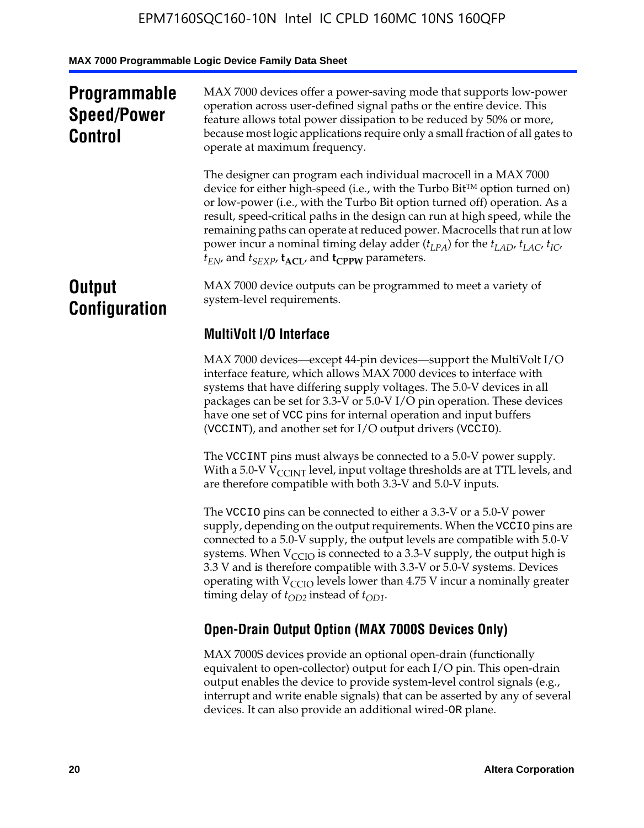## **Programmable Speed/Power Control**

MAX 7000 devices offer a power-saving mode that supports low-power operation across user-defined signal paths or the entire device. This feature allows total power dissipation to be reduced by 50% or more, because most logic applications require only a small fraction of all gates to operate at maximum frequency.

The designer can program each individual macrocell in a MAX 7000 device for either high-speed (i.e., with the Turbo  $Bit^{TM}$  option turned on) or low-power (i.e., with the Turbo Bit option turned off) operation. As a result, speed-critical paths in the design can run at high speed, while the remaining paths can operate at reduced power. Macrocells that run at low power incur a nominal timing delay adder  $(t_{LPA})$  for the  $t_{LAD}$ ,  $t_{LAC}$ ,  $t_{IC}$ ,  $t_{EN}$ , and  $t_{SEXP}$ ,  $t_{ACL}$ , and  $t_{CPPW}$  parameters.

## **Output Configuration**

MAX 7000 device outputs can be programmed to meet a variety of system-level requirements.

## **MultiVolt I/O Interface**

MAX 7000 devices—except 44-pin devices—support the MultiVolt I/O interface feature, which allows MAX 7000 devices to interface with systems that have differing supply voltages. The 5.0-V devices in all packages can be set for 3.3-V or 5.0-V I/O pin operation. These devices have one set of VCC pins for internal operation and input buffers (VCCINT), and another set for I/O output drivers (VCCIO).

The VCCINT pins must always be connected to a 5.0-V power supply. With a 5.0-V  $V_{\text{CCINT}}$  level, input voltage thresholds are at TTL levels, and are therefore compatible with both 3.3-V and 5.0-V inputs.

The VCCIO pins can be connected to either a 3.3-V or a 5.0-V power supply, depending on the output requirements. When the VCCIO pins are connected to a 5.0-V supply, the output levels are compatible with 5.0-V systems. When  $V_{\text{CGO}}$  is connected to a 3.3-V supply, the output high is 3.3 V and is therefore compatible with 3.3-V or 5.0-V systems. Devices operating with  $V_{\text{CCIO}}$  levels lower than 4.75 V incur a nominally greater timing delay of  $t_{OD2}$  instead of  $t_{OD1}$ .

## **Open-Drain Output Option (MAX 7000S Devices Only)**

MAX 7000S devices provide an optional open-drain (functionally equivalent to open-collector) output for each I/O pin. This open-drain output enables the device to provide system-level control signals (e.g., interrupt and write enable signals) that can be asserted by any of several devices. It can also provide an additional wired-OR plane.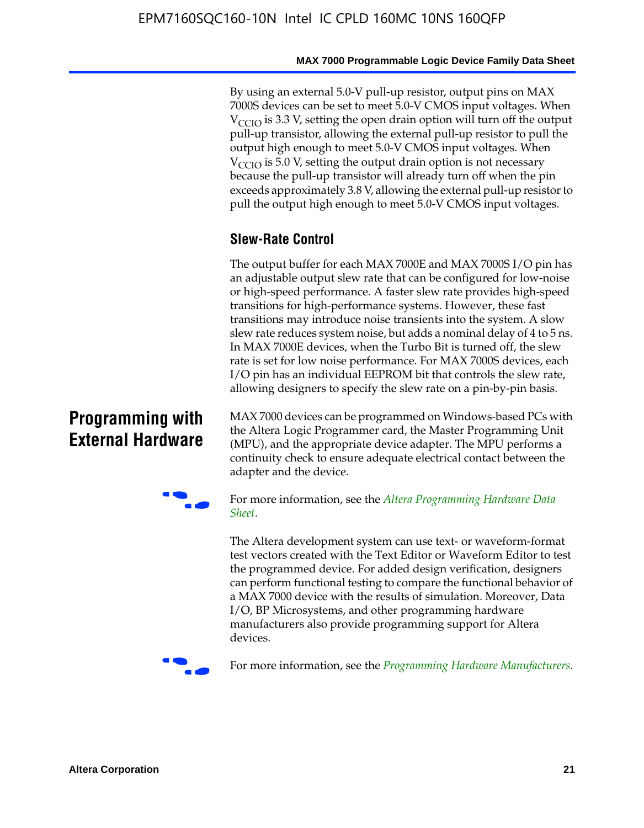By using an external 5.0-V pull-up resistor, output pins on MAX 7000S devices can be set to meet 5.0-V CMOS input voltages. When  $V<sub>CCIO</sub>$  is 3.3 V, setting the open drain option will turn off the output pull-up transistor, allowing the external pull-up resistor to pull the output high enough to meet 5.0-V CMOS input voltages. When  $V_{\text{CCIO}}$  is 5.0 V, setting the output drain option is not necessary because the pull-up transistor will already turn off when the pin exceeds approximately 3.8 V, allowing the external pull-up resistor to pull the output high enough to meet 5.0-V CMOS input voltages.

## **Slew-Rate Control**

The output buffer for each MAX 7000E and MAX 7000S I/O pin has an adjustable output slew rate that can be configured for low-noise or high-speed performance. A faster slew rate provides high-speed transitions for high-performance systems. However, these fast transitions may introduce noise transients into the system. A slow slew rate reduces system noise, but adds a nominal delay of 4 to 5 ns. In MAX 7000E devices, when the Turbo Bit is turned off, the slew rate is set for low noise performance. For MAX 7000S devices, each I/O pin has an individual EEPROM bit that controls the slew rate, allowing designers to specify the slew rate on a pin-by-pin basis.

## **Programming with External Hardware**

[MAX](http://www.altera.com/literature/ds/dspghd.pdf) 7000 devices can be prog[rammed on Windows-based PCs with](http://www.altera.com/literature/ds/dspghd.pdf)  the Altera Logic Programmer card, the Master Programming Unit (MPU), and the appropriate device adapter. The MPU performs a continuity check to ensure adequate electrical contact between the adapter and the device.



For more information, see the *Altera Programming Hardware Data Sheet*.

The Altera development system can use text- or waveform-format test vectors created with the Text Editor or Waveform Editor to test the programmed device. For added design verification, designers can perform functional testing to compare the functional behavior of a MAX 7000 device with the results of simulation. Moreover, Data I/O, BP Microsystems, and other programming hardware manufacturers also provide programming support for Altera devices.



For more information, see the *Programming Hardware Manufacturers*.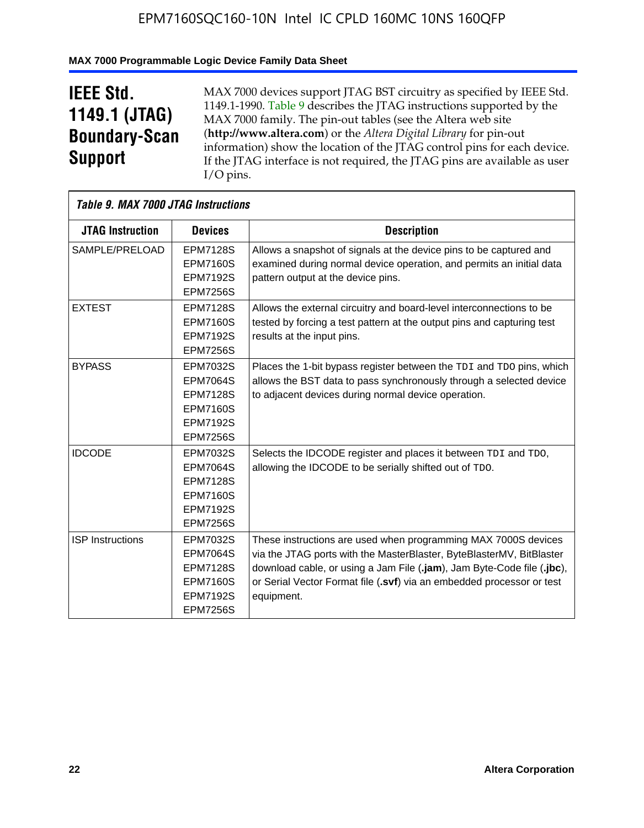## **MAX 7000 Programmable Logic Device Family Data Sheet**

## **IEEE Std. 1149.1 (JTAG) Boundary-Scan Support**

 $\mathsf{r}$ 

MAX 7000 devices support JTAG BST circuitry as specified by IEEE Std. 1149.1-1990. Table 9 describes the JTAG instructions supported by the MAX 7000 family. The pin-out tables (see the Altera web site (**http://www.altera.com**) or the *Altera Digital Library* for pin-out information) show the location of the JTAG control pins for each device. If the JTAG interface is not required, the JTAG pins are available as user I/O pins.

|                         | Table 9. MAX 7000 JTAG Instructions                                                                            |                                                                                                                                                                                                                                                                                                         |  |  |  |  |  |
|-------------------------|----------------------------------------------------------------------------------------------------------------|---------------------------------------------------------------------------------------------------------------------------------------------------------------------------------------------------------------------------------------------------------------------------------------------------------|--|--|--|--|--|
| <b>JTAG Instruction</b> | <b>Devices</b>                                                                                                 | <b>Description</b>                                                                                                                                                                                                                                                                                      |  |  |  |  |  |
| SAMPLE/PRELOAD          | <b>EPM7128S</b><br><b>EPM7160S</b><br><b>EPM7192S</b><br><b>EPM7256S</b>                                       | Allows a snapshot of signals at the device pins to be captured and<br>examined during normal device operation, and permits an initial data<br>pattern output at the device pins.                                                                                                                        |  |  |  |  |  |
| <b>EXTEST</b>           | <b>EPM7128S</b><br><b>EPM7160S</b><br><b>EPM7192S</b><br><b>EPM7256S</b>                                       | Allows the external circuitry and board-level interconnections to be<br>tested by forcing a test pattern at the output pins and capturing test<br>results at the input pins.                                                                                                                            |  |  |  |  |  |
| <b>BYPASS</b>           | EPM7032S<br><b>EPM7064S</b><br><b>EPM7128S</b><br><b>EPM7160S</b><br><b>EPM7192S</b><br><b>EPM7256S</b>        | Places the 1-bit bypass register between the TDI and TDO pins, which<br>allows the BST data to pass synchronously through a selected device<br>to adjacent devices during normal device operation.                                                                                                      |  |  |  |  |  |
| <b>IDCODE</b>           | EPM7032S<br><b>EPM7064S</b><br><b>EPM7128S</b><br><b>EPM7160S</b><br><b>EPM7192S</b><br><b>EPM7256S</b>        | Selects the IDCODE register and places it between TDI and TDO,<br>allowing the IDCODE to be serially shifted out of TDO.                                                                                                                                                                                |  |  |  |  |  |
| <b>ISP</b> Instructions | <b>EPM7032S</b><br><b>EPM7064S</b><br><b>EPM7128S</b><br><b>EPM7160S</b><br><b>EPM7192S</b><br><b>EPM7256S</b> | These instructions are used when programming MAX 7000S devices<br>via the JTAG ports with the MasterBlaster, ByteBlasterMV, BitBlaster<br>download cable, or using a Jam File (.jam), Jam Byte-Code file (.jbc),<br>or Serial Vector Format file (.svf) via an embedded processor or test<br>equipment. |  |  |  |  |  |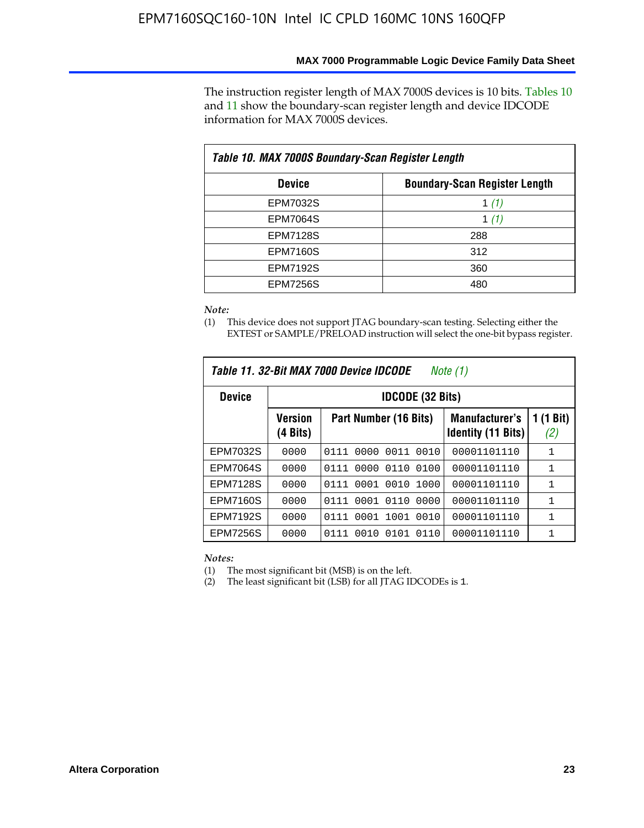The instruction register length of MAX 7000S devices is 10 bits. Tables 10 and 11 show the boundary-scan register length and device IDCODE information for MAX 7000S devices.

| Table 10. MAX 7000S Boundary-Scan Register Length |                                      |  |  |  |  |  |
|---------------------------------------------------|--------------------------------------|--|--|--|--|--|
| <b>Device</b>                                     | <b>Boundary-Scan Register Length</b> |  |  |  |  |  |
| EPM7032S                                          | 1 (1)                                |  |  |  |  |  |
| <b>EPM7064S</b>                                   | 1 $(1)$                              |  |  |  |  |  |
| <b>EPM7128S</b>                                   | 288                                  |  |  |  |  |  |
| <b>EPM7160S</b>                                   | 312                                  |  |  |  |  |  |
| <b>EPM7192S</b>                                   | 360                                  |  |  |  |  |  |
| <b>EPM7256S</b>                                   | 480                                  |  |  |  |  |  |

#### *Note:*

(1) This device does not support JTAG boundary-scan testing. Selecting either the EXTEST or SAMPLE/PRELOAD instruction will select the one-bit bypass register.

| Table 11. 32-Bit MAX 7000 Device IDCODE<br>Note $(1)$ |                            |                              |                                                    |                  |  |  |
|-------------------------------------------------------|----------------------------|------------------------------|----------------------------------------------------|------------------|--|--|
| <b>Device</b>                                         |                            | <b>IDCODE (32 Bits)</b>      |                                                    |                  |  |  |
|                                                       | <b>Version</b><br>(4 Bits) | Part Number (16 Bits)        | <b>Manufacturer's</b><br><b>Identity (11 Bits)</b> | 1 (1 Bit)<br>(2) |  |  |
| EPM7032S                                              | 0000                       | 0000<br>0011<br>0010<br>0111 | 00001101110                                        | 1                |  |  |
| <b>EPM7064S</b>                                       | 0000                       | 0000<br>0110<br>0100<br>0111 | 00001101110                                        | 1                |  |  |
| <b>EPM7128S</b>                                       | 0000                       | 0001 0010<br>1000<br>0111    | 00001101110                                        | 1                |  |  |
| <b>EPM7160S</b>                                       | 0000                       | 0001 0110<br>0000<br>0111    | 00001101110                                        | 1                |  |  |
| <b>EPM7192S</b>                                       | 0000                       | 0001<br>1001<br>0111<br>0010 | 00001101110                                        | $\mathbf{1}$     |  |  |
| <b>EPM7256S</b>                                       | 0000                       | 0111<br>0010<br>0110<br>0101 | 00001101110                                        | 1                |  |  |

*Notes:*

(1) The most significant bit (MSB) is on the left.

(2) The least significant bit (LSB) for all JTAG IDCODEs is 1.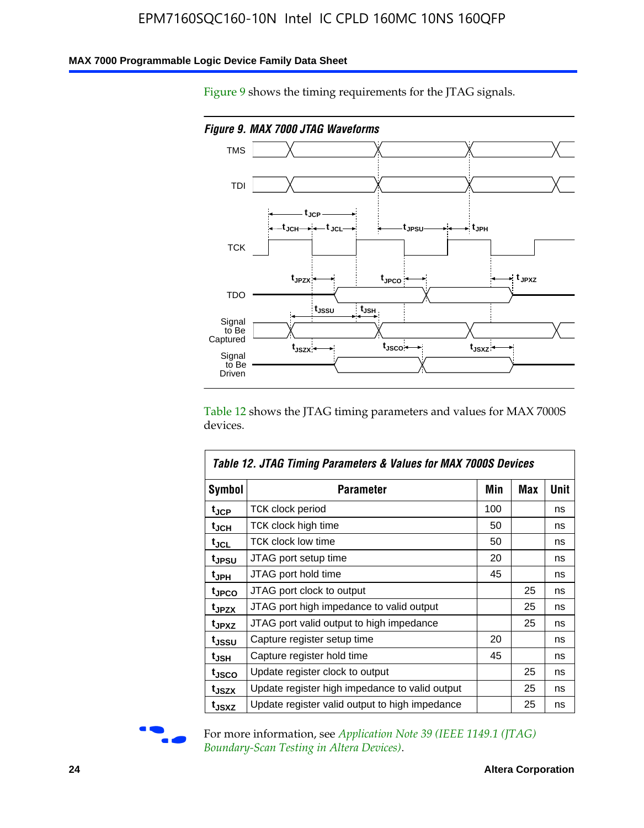### **MAX 7000 Programmable Logic Device Family Data Sheet**

Figure 9 shows the timing requirements for the JTAG signals.



Table 12 shows the JTAG timing parameters and values for MAX 7000S devices.

|                    | Table 12. JTAG Timing Parameters & Values for MAX 7000S Devices |     |     |      |
|--------------------|-----------------------------------------------------------------|-----|-----|------|
| <b>Symbol</b>      | Parameter                                                       | Min | Max | Unit |
| t <sub>JCP</sub>   | <b>TCK clock period</b>                                         | 100 |     | ns   |
| t <sub>JCH</sub>   | TCK clock high time                                             | 50  |     | ns   |
| $t_{JCL}$          | TCK clock low time                                              | 50  |     | ns   |
| t <sub>JPSU</sub>  | JTAG port setup time                                            | 20  |     | ns   |
| t <sub>JPH</sub>   | JTAG port hold time                                             | 45  |     | ns   |
| <sup>t</sup> JPCO  | JTAG port clock to output                                       |     | 25  | ns   |
| t <sub>JPZX</sub>  | JTAG port high impedance to valid output                        |     | 25  | ns   |
| t <sub>JPXZ</sub>  | JTAG port valid output to high impedance                        |     | 25  | ns   |
| tjssu              | Capture register setup time                                     | 20  |     | ns   |
| $t_{\mathsf{JSH}}$ | Capture register hold time                                      | 45  |     | ns   |
| tjsco              | Update register clock to output                                 |     | 25  | ns   |
| t <sub>JSZX</sub>  | Update register high impedance to valid output                  |     | 25  | ns   |
| t <sub>JSXZ</sub>  | Update register valid output to high impedance                  |     | 25  | ns   |



For more information, see *Application Note 39 (IEEE 1149.1 (JTAG) Boundary-Scan Testing in Altera Devices)*.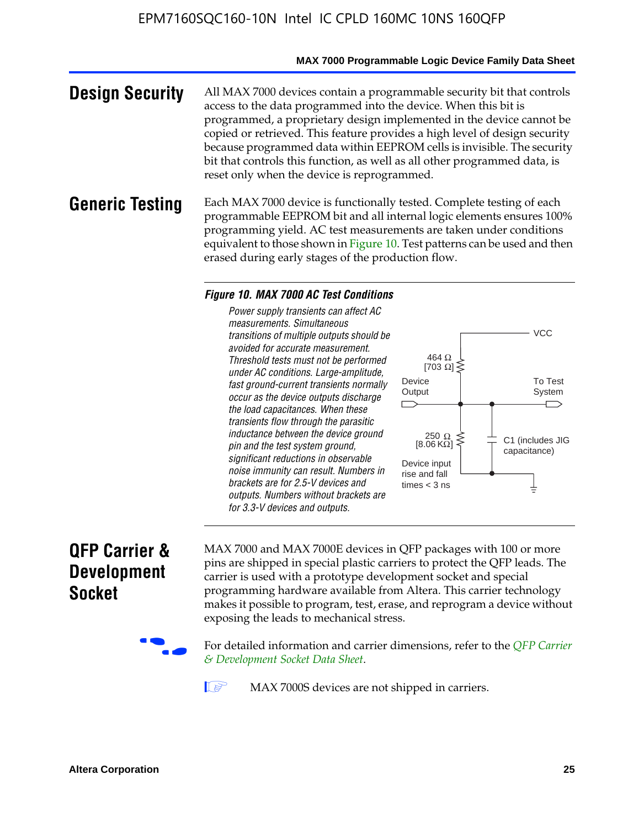#### **MAX 7000 Programmable Logic Device Family Data Sheet**

**Design Security** All MAX 7000 devices contain a programmable security bit that controls access to the data programmed into the device. When this bit is programmed, a proprietary design implemented in the device cannot be copied or retrieved. This feature provides a high level of design security because programmed data within EEPROM cells is invisible. The security bit that controls this function, as well as all other programmed data, is reset only when the device is reprogrammed.

### **Generic Testing** Each MAX 7000 device is functionally tested. Complete testing of each programmable EEPROM bit and all internal logic elements ensures 100% programming yield. AC test measurements are taken under conditions equivalent to those shown in Figure 10. Test patterns can be used and then erased during early stages of the production flow.

#### *Figure 10. MAX 7000 AC Test Conditions*

*Power supply transients can affect AC measurements. Simultaneous transitions of multiple outputs should be avoided for accurate measurement. Threshold tests must not be performed under AC conditions. Large-amplitude, fast ground-current transients normally occur as the device outputs discharge the load capacitances. When these transients flow through the parasitic inductance between the device ground pin and the test system ground, significant reductions in observable noise immunity can result. Numbers in brackets are for 2.5-V devices and outputs. Numbers without brackets are for 3.3-V devices and outputs.*



## **QFP Carrier & Development Socket**

MAX 7000 and MAX 7000E devices in QFP packages with 10[0 or more](http://www.altera.com/literature/ds/dsqfp.pdf)  [pins are shipped in special plas](http://www.altera.com/literature/ds/dsqfp.pdf)tic carriers to protect the QFP leads. The carrier is used with a prototype development socket and special programming hardware available from Altera. This carrier technology makes it possible to program, test, erase, and reprogram a device without exposing the leads to mechanical stress.

For detailed information and carrier dimensions, refer to the *QFP Carrier & Development Socket Data Sheet*.

MAX 7000S devices are not shipped in carriers.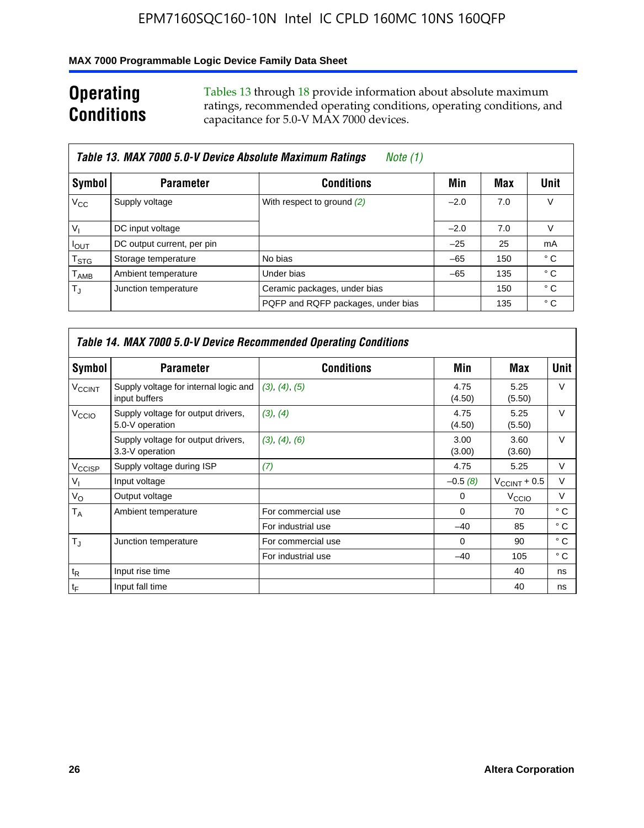### **MAX 7000 Programmable Logic Device Family Data Sheet**

## **Operating Conditions**

Tables 13 through 18 provide information about absolute maximum ratings, recommended operating conditions, operating conditions, and capacitance for 5.0-V MAX 7000 devices.

|                             | Table 13. MAX 7000 5.0-V Device Absolute Maximum Ratings | Note (1)                           |        |     |                |
|-----------------------------|----------------------------------------------------------|------------------------------------|--------|-----|----------------|
| Symbol                      | <b>Parameter</b>                                         | <b>Conditions</b>                  | Min    | Max | Unit           |
| $V_{\rm CC}$                | Supply voltage                                           | With respect to ground (2)         | $-2.0$ | 7.0 | V              |
| $V_{1}$                     | DC input voltage                                         |                                    | $-2.0$ | 7.0 | v              |
| $I_{OUT}$                   | DC output current, per pin                               |                                    | $-25$  | 25  | m <sub>A</sub> |
| $\mathsf{T}_{\textsf{STG}}$ | Storage temperature                                      | No bias                            | $-65$  | 150 | ° C            |
| $\mathsf{T}_{\mathsf{AMB}}$ | Ambient temperature                                      | Under bias                         | $-65$  | 135 | ° C            |
| $T_{\rm J}$                 | Junction temperature                                     | Ceramic packages, under bias       |        | 150 | $^{\circ}$ C   |
|                             |                                                          | PQFP and RQFP packages, under bias |        | 135 | ° C            |

|                          | Table 14. MAX 7000 5.0-V Device Recommended Operating Conditions |                    |                |                          |              |  |  |  |
|--------------------------|------------------------------------------------------------------|--------------------|----------------|--------------------------|--------------|--|--|--|
| Symbol                   | <b>Parameter</b>                                                 | <b>Conditions</b>  | Min            | Max                      | Unit         |  |  |  |
| <b>V<sub>CCINT</sub></b> | Supply voltage for internal logic and<br>input buffers           | (3), (4), (5)      | 4.75<br>(4.50) | 5.25<br>(5.50)           | $\vee$       |  |  |  |
| V <sub>CCIO</sub>        | Supply voltage for output drivers,<br>5.0-V operation            | (3), (4)           | 4.75<br>(4.50) | 5.25<br>(5.50)           | V            |  |  |  |
|                          | Supply voltage for output drivers,<br>3.3-V operation            | (3), (4), (6)      | 3.00<br>(3.00) | 3.60<br>(3.60)           | $\vee$       |  |  |  |
| V <sub>CCISP</sub>       | Supply voltage during ISP                                        | (7)                | 4.75           | 5.25                     | $\vee$       |  |  |  |
| $V_{1}$                  | Input voltage                                                    |                    | $-0.5(8)$      | $V_{\text{CCINT}} + 0.5$ | V            |  |  |  |
| $V_{\rm O}$              | Output voltage                                                   |                    | 0              | V <sub>CCIO</sub>        | V            |  |  |  |
| T <sub>A</sub>           | Ambient temperature                                              | For commercial use | $\Omega$       | 70                       | $^{\circ}$ C |  |  |  |
|                          |                                                                  | For industrial use | $-40$          | 85                       | $^{\circ}$ C |  |  |  |
| $T_{\rm J}$              | Junction temperature                                             | For commercial use | $\Omega$       | 90                       | ° C          |  |  |  |
|                          |                                                                  | For industrial use | $-40$          | 105                      | $^{\circ}$ C |  |  |  |
| $t_{\mathsf{R}}$         | Input rise time                                                  |                    |                | 40                       | ns           |  |  |  |
| $t_{\mathsf{F}}$         | Input fall time                                                  |                    |                | 40                       | ns           |  |  |  |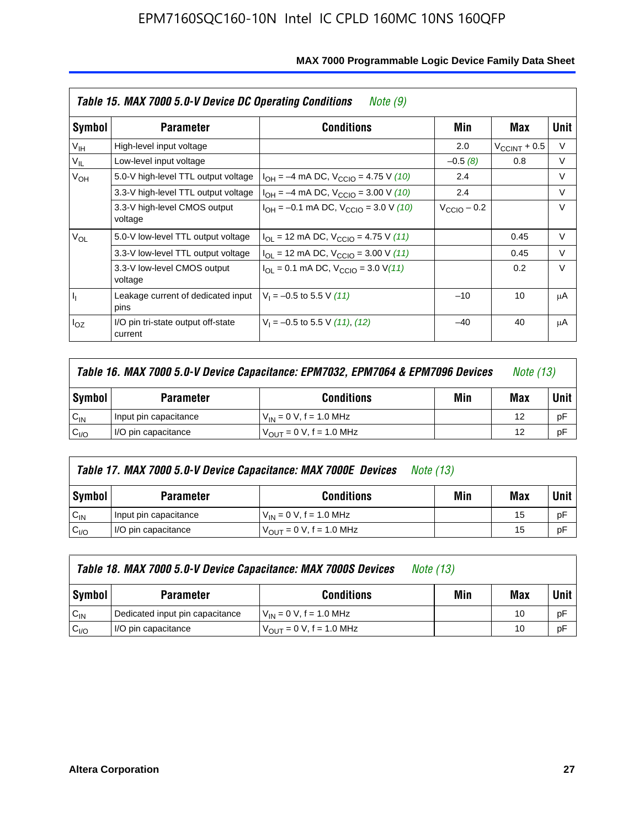|                 | Table 15. MAX 7000 5.0-V Device DC Operating Conditions<br>Note (9) |                                                                           |                      |                          |        |  |  |  |  |
|-----------------|---------------------------------------------------------------------|---------------------------------------------------------------------------|----------------------|--------------------------|--------|--|--|--|--|
| Symbol          | <b>Parameter</b>                                                    | <b>Conditions</b>                                                         | Min                  | Max                      | Unit   |  |  |  |  |
| V <sub>IH</sub> | High-level input voltage                                            |                                                                           | 2.0                  | $V_{\text{CCINT}} + 0.5$ | V      |  |  |  |  |
| $V_{IL}$        | Low-level input voltage                                             |                                                                           | $-0.5(8)$            | 0.8                      | V      |  |  |  |  |
| $V_{OH}$        | 5.0-V high-level TTL output voltage                                 | $I_{OH} = -4$ mA DC, $V_{CClO} = 4.75$ V (10)                             | 2.4                  |                          | $\vee$ |  |  |  |  |
| $V_{OL}$        | 3.3-V high-level TTL output voltage                                 | $I_{OH} = -4$ mA DC, $V_{CClO} = 3.00$ V (10)                             | 2.4                  |                          | V      |  |  |  |  |
|                 | 3.3-V high-level CMOS output<br>voltage                             | $I_{OH} = -0.1$ mA DC, $V_{CClO} = 3.0$ V (10)                            | $V_{\rm CClO}$ – 0.2 |                          | $\vee$ |  |  |  |  |
|                 | 5.0-V low-level TTL output voltage                                  | $I_{\text{OI}}$ = 12 mA DC, $V_{\text{CCIO}}$ = 4.75 V (11)               |                      | 0.45                     | $\vee$ |  |  |  |  |
|                 | 3.3-V low-level TTL output voltage                                  | $I_{OL}$ = 12 mA DC, $V_{CCIO}$ = 3.00 V (11)                             |                      | 0.45                     | V      |  |  |  |  |
|                 | 3.3-V low-level CMOS output<br>voltage                              | $I_{\text{OI}} = 0.1 \text{ mA DC}, V_{\text{CCIO}} = 3.0 \text{ V} (11)$ |                      | 0.2                      | $\vee$ |  |  |  |  |
| I <sub>I</sub>  | Leakage current of dedicated input<br>pins                          | $V_1 = -0.5$ to 5.5 V (11)                                                | $-10$                | 10                       | μA     |  |  |  |  |
| $I_{OZ}$        | I/O pin tri-state output off-state<br>current                       | $V_1 = -0.5$ to 5.5 V (11), (12)                                          | $-40$                | 40                       | μA     |  |  |  |  |

| Table 16. MAX 7000 5.0-V Device Capacitance: EPM7032, EPM7064 & EPM7096 Devices |                                              |                                     |  |    | <i>Note (13)</i> |
|---------------------------------------------------------------------------------|----------------------------------------------|-------------------------------------|--|----|------------------|
| Symbol                                                                          | Min<br><b>Conditions</b><br><b>Parameter</b> |                                     |  |    |                  |
| $C_{IN}$                                                                        | Input pin capacitance                        | $V_{IN} = 0 V$ , f = 1.0 MHz        |  | 12 | pF               |
| C <sub>I/O</sub>                                                                | I/O pin capacitance                          | $V_{\text{OUT}} = 0 V, f = 1.0 MHz$ |  | 12 | pF               |

|                                                        | Table 17. MAX 7000 5.0-V Device Capacitance: MAX 7000E Devices<br><i>Note (13)</i> |                                |  |    |        |  |
|--------------------------------------------------------|------------------------------------------------------------------------------------|--------------------------------|--|----|--------|--|
| Symbol<br>Min<br><b>Conditions</b><br><b>Parameter</b> |                                                                                    |                                |  |    | Unit I |  |
| $C_{IN}$                                               | Input pin capacitance                                                              | $V_{1N} = 0 V$ , f = 1.0 MHz   |  | 15 | pF     |  |
| C <sub>I/O</sub>                                       | I/O pin capacitance                                                                | $V_{OIII} = 0 V$ , f = 1.0 MHz |  | 15 | pF     |  |

|                  | Table 18. MAX 7000 5.0-V Device Capacitance: MAX 7000S Devices | <i>Note (13)</i>                    |     |     |        |
|------------------|----------------------------------------------------------------|-------------------------------------|-----|-----|--------|
| Symbol           | <b>Parameter</b>                                               | <b>Conditions</b>                   | Min | Max | Unit I |
| $C_{IN}$         | Dedicated input pin capacitance                                | $V_{IN} = 0 V$ , f = 1.0 MHz        |     | 10  | pF     |
| C <sub>I/O</sub> | I/O pin capacitance                                            | $V_{\text{OUT}} = 0$ V, f = 1.0 MHz |     | 10  | pF     |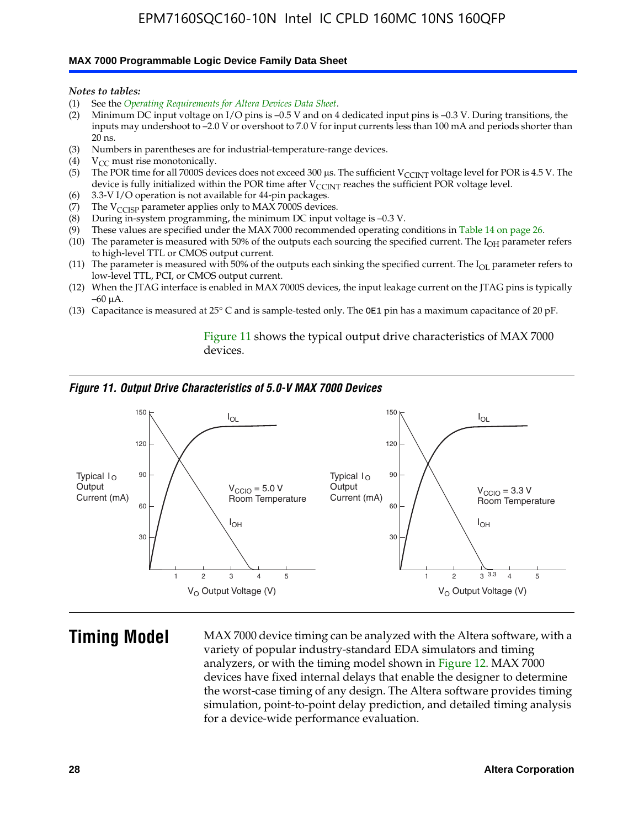#### **MAX 7000 Programmable Logic Device Family Data Sheet**

*Notes to tables:*

- (1) See the *Operating Requirements for Altera Devices Data Sheet*.
- (2) Minimum DC input voltage on I/O pins is –0.5 V and on 4 dedicated input pins is –0.3 V. During transitions, the inputs may undershoot to –2.0 V or overshoot to 7.0 V for input currents less than 100 mA and periods shorter than  $20$  ns.
- (3) Numbers in parentheses are for industrial-temperature-range devices.
- (4)  $V_{CC}$  must rise monotonically.
- (5) The POR time for all 7000S devices does not exceed 300 µs. The sufficient V<sub>CCINT</sub> voltage level for POR is 4.5 V. The device is fully initialized within the POR time after  $V_{\text{CCINT}}$  reaches the sufficient POR voltage level.
- (6) 3.3-V I/O operation is not available for 44-pin packages.
- (7) The  $V_{\text{CCISP}}$  parameter applies only to MAX 7000S devices.
- (8) During in-system programming, the minimum DC input voltage is –0.3 V.
- (9) These values are specified under the MAX 7000 recommended operating conditions in Table 14 on page 26.
- (10) The parameter is measured with 50% of the outputs each sourcing the specified current. The  $I_{OH}$  parameter refers to high-level TTL or CMOS output current.
- (11) The parameter is measured with 50% of the outputs each sinking the specified current. The  $I_{OL}$  parameter refers to low-level TTL, PCI, or CMOS output current.
- (12) When the JTAG interface is enabled in MAX 7000S devices, the input leakage current on the JTAG pins is typically –60 μA.
- (13) Capacitance is measured at 25° C and is sample-tested only. The OE1 pin has a maximum capacitance of 20 pF.

Figure 11 shows the typical output drive characteristics of MAX 7000 devices.

#### *Figure 11. Output Drive Characteristics of 5.0-V MAX 7000 Devices*



**Timing Model** MAX 7000 device timing can be analyzed with the Altera software, with a variety of popular industry-standard EDA simulators and timing analyzers, or with the timing model shown in Figure 12. MAX 7000 devices have fixed internal delays that enable the designer to determine the worst-case timing of any design. The Altera software provides timing simulation, point-to-point delay prediction, and detailed timing analysis for a device-wide performance evaluation.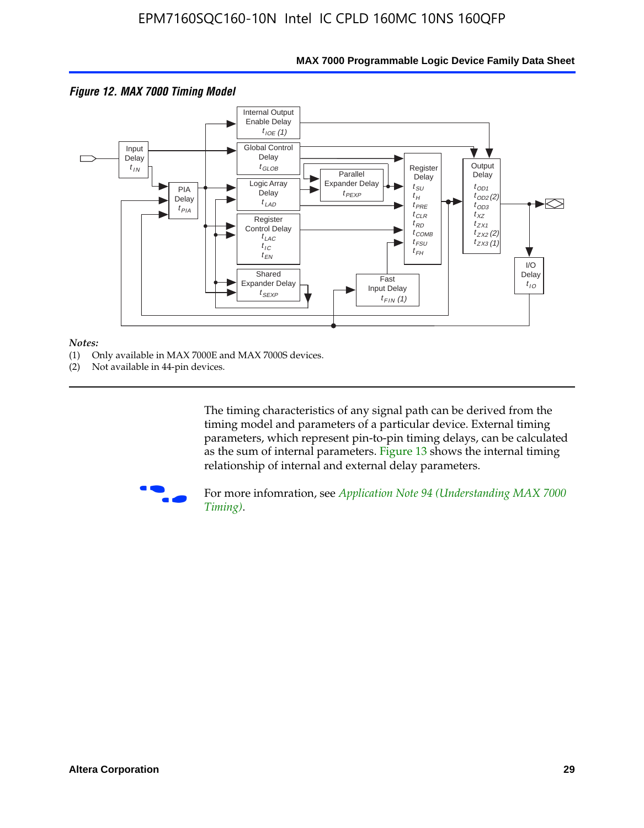

### **MAX 7000 Programmable Logic Device Family Data Sheet**

#### *Notes:*

- (1) Only available in MAX 7000E and MAX 7000S devices.
- (2) Not available in 44-pin devices.

[The tim](http://www.altera.com/literature/an/an094.pdf)ing characteristics [of any signal path can be derived from the](http://www.altera.com/literature/an/an094.pdf)  timing model and parameters of a particular device. External timing parameters, which represent pin-to-pin timing delays, can be calculated as the sum of internal parameters. Figure 13 shows the internal timing relationship of internal and external delay parameters.



For more infomration, see *Application Note 94 (Understanding MAX 7000 Timing)*.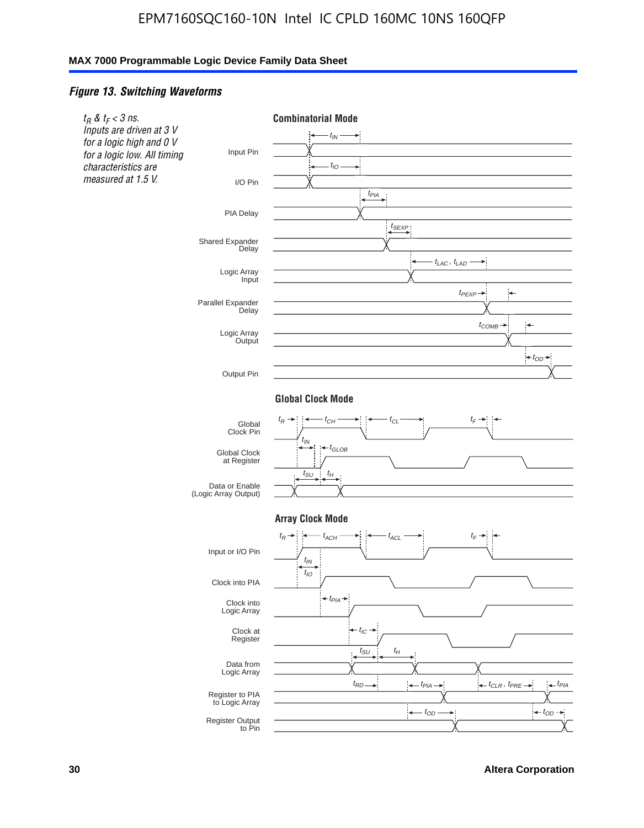## *Figure 13. Switching Waveforms*

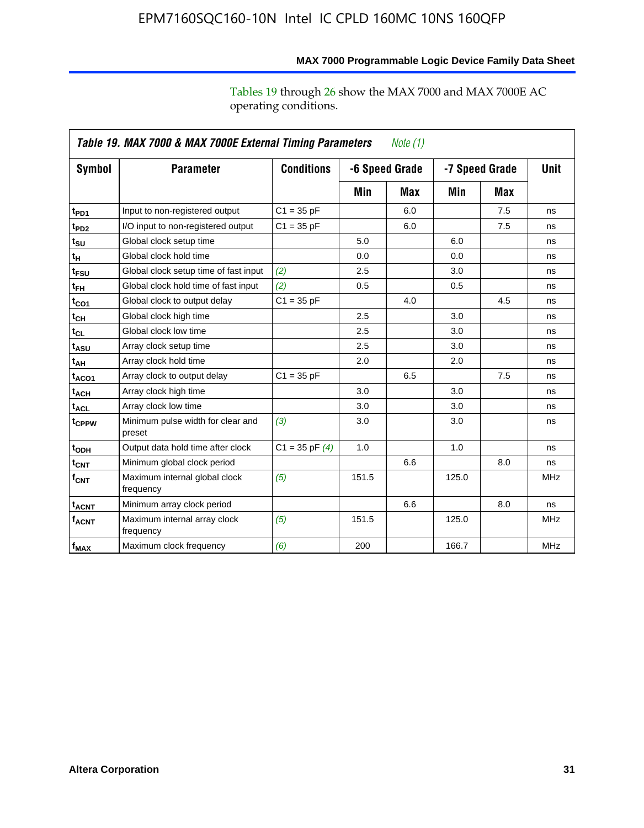operating conditions.

|                        | Table 19. MAX 7000 & MAX 7000E External Timing Parameters<br>Note (1) |                    |       |                                  |       |             |            |  |
|------------------------|-----------------------------------------------------------------------|--------------------|-------|----------------------------------|-------|-------------|------------|--|
| Symbol                 | <b>Parameter</b>                                                      | <b>Conditions</b>  |       | -6 Speed Grade<br>-7 Speed Grade |       | <b>Unit</b> |            |  |
|                        |                                                                       |                    | Min   | Max                              | Min   | Max         |            |  |
| t <sub>PD1</sub>       | Input to non-registered output                                        | $C1 = 35 pF$       |       | 6.0                              |       | 7.5         | ns         |  |
| t <sub>PD2</sub>       | I/O input to non-registered output                                    | $C1 = 35 pF$       |       | 6.0                              |       | 7.5         | ns         |  |
| $t_{\text{SU}}$        | Global clock setup time                                               |                    | 5.0   |                                  | 6.0   |             | ns         |  |
| t <sub>H</sub>         | Global clock hold time                                                |                    | 0.0   |                                  | 0.0   |             | ns         |  |
| $t_{FSU}$              | Global clock setup time of fast input                                 | (2)                | 2.5   |                                  | 3.0   |             | ns         |  |
| $t_{FH}$               | Global clock hold time of fast input                                  | (2)                | 0.5   |                                  | 0.5   |             | ns         |  |
| t <sub>CO1</sub>       | Global clock to output delay                                          | $C1 = 35 pF$       |       | 4.0                              |       | 4.5         | ns         |  |
| $t_{CL}$               | Global clock high time                                                |                    | 2.5   |                                  | 3.0   |             | ns         |  |
| $t_{CL}$               | Global clock low time                                                 |                    | 2.5   |                                  | 3.0   |             | ns         |  |
| t <sub>ASU</sub>       | Array clock setup time                                                |                    | 2.5   |                                  | 3.0   |             | ns         |  |
| t <sub>АН</sub>        | Array clock hold time                                                 |                    | 2.0   |                                  | 2.0   |             | ns         |  |
| t <sub>ACO1</sub>      | Array clock to output delay                                           | $C1 = 35 pF$       |       | 6.5                              |       | 7.5         | ns         |  |
| <b>t<sub>ACH</sub></b> | Array clock high time                                                 |                    | 3.0   |                                  | 3.0   |             | ns         |  |
| $t_{\text{ACL}}$       | Array clock low time                                                  |                    | 3.0   |                                  | 3.0   |             | ns         |  |
| t <sub>CPPW</sub>      | Minimum pulse width for clear and<br>preset                           | (3)                | 3.0   |                                  | 3.0   |             | ns         |  |
| t <sub>ODH</sub>       | Output data hold time after clock                                     | $C1 = 35$ pF $(4)$ | 1.0   |                                  | 1.0   |             | ns         |  |
| $t_{\mathsf{CNT}}$     | Minimum global clock period                                           |                    |       | 6.6                              |       | 8.0         | ns         |  |
| $f_{\mathsf{CNT}}$     | Maximum internal global clock<br>frequency                            | (5)                | 151.5 |                                  | 125.0 |             | <b>MHz</b> |  |
| t <sub>ACNT</sub>      | Minimum array clock period                                            |                    |       | 6.6                              |       | 8.0         | ns         |  |
| $f_{ACNT}$             | Maximum internal array clock<br>frequency                             | (5)                | 151.5 |                                  | 125.0 |             | <b>MHz</b> |  |
| $f_{MAX}$              | Maximum clock frequency                                               | (6)                | 200   |                                  | 166.7 |             | <b>MHz</b> |  |

## **MAX 7000 Programmable Logic Device Family Data Sheet**

Tables 19 through 26 show the MAX 7000 and MAX 7000E AC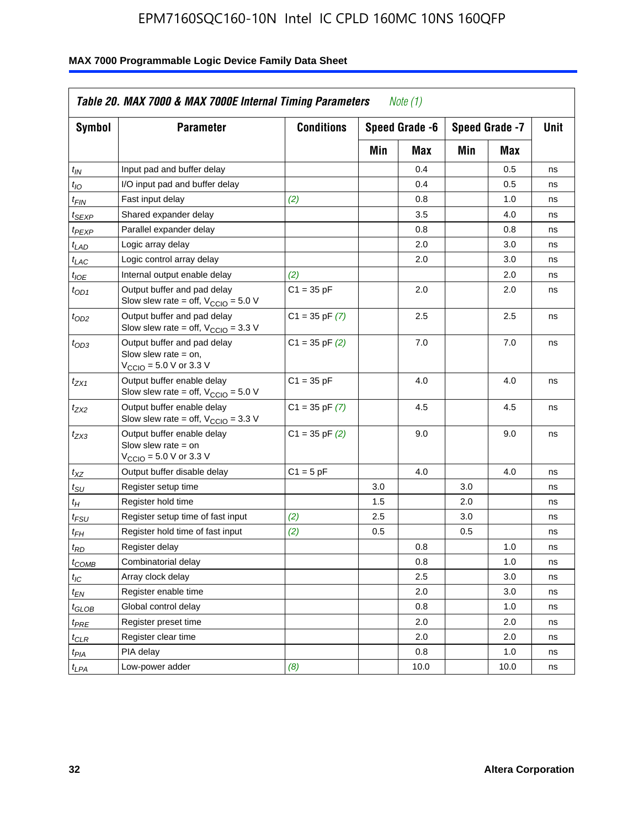| <b>Symbol</b>               | <b>Parameter</b>                                                                                             | <b>Conditions</b>  |     | Speed Grade -6 |     | Speed Grade -7 | Unit |
|-----------------------------|--------------------------------------------------------------------------------------------------------------|--------------------|-----|----------------|-----|----------------|------|
|                             |                                                                                                              |                    | Min | Max            | Min | Max            |      |
| $t_{IN}$                    | Input pad and buffer delay                                                                                   |                    |     | 0.4            |     | 0.5            | ns   |
| $t_{IO}$                    | I/O input pad and buffer delay                                                                               |                    |     | 0.4            |     | 0.5            | ns   |
| $t_{\sf FIN}$               | Fast input delay                                                                                             | (2)                |     | 0.8            |     | 1.0            | ns   |
| <sup>t</sup> SEXP           | Shared expander delay                                                                                        |                    |     | 3.5            |     | 4.0            | ns   |
| t <sub>PEXP</sub>           | Parallel expander delay                                                                                      |                    |     | 0.8            |     | 0.8            | ns   |
| t <sub>LAD</sub>            | Logic array delay                                                                                            |                    |     | 2.0            |     | 3.0            | ns   |
| t <sub>LAC</sub>            | Logic control array delay                                                                                    |                    |     | 2.0            |     | 3.0            | ns   |
| t <sub>IOE</sub>            | Internal output enable delay                                                                                 | (2)                |     |                |     | 2.0            | ns   |
| $t_{OD1}$                   | Output buffer and pad delay<br>Slow slew rate = off, $V_{\text{CCIO}} = 5.0 V$                               | $C1 = 35 pF$       |     | 2.0            |     | 2.0            | ns   |
| $t_{OD2}$                   | Output buffer and pad delay<br>Slow slew rate = off, $V_{\text{CCIO}} = 3.3$ V                               | $C1 = 35$ pF $(7)$ |     | 2.5            |     | 2.5            | ns   |
| $t_{OD3}$                   | Output buffer and pad delay<br>Slow slew rate $=$ on,<br>$V_{\text{CCIO}} = 5.0 \text{ V or } 3.3 \text{ V}$ | $C1 = 35$ pF $(2)$ |     | 7.0            |     | 7.0            | ns   |
| tzx1                        | Output buffer enable delay<br>Slow slew rate = off, $V_{\text{CCIO}} = 5.0 \text{ V}$                        | $C1 = 35 pF$       |     | 4.0            |     | 4.0            | ns   |
| $t_{ZX2}$                   | Output buffer enable delay<br>Slow slew rate = off, $V_{\text{CCIO}} = 3.3 \text{ V}$                        | $C1 = 35$ pF $(7)$ |     | 4.5            |     | 4.5            | ns   |
| t <sub>ZX3</sub>            | Output buffer enable delay<br>Slow slew rate $=$ on<br>$V_{\text{CCIO}} = 5.0 \text{ V or } 3.3 \text{ V}$   | $C1 = 35$ pF $(2)$ |     | 9.0            |     | 9.0            | ns   |
| $t_{\mathsf{XZ}}$           | Output buffer disable delay                                                                                  | $C1 = 5 pF$        |     | 4.0            |     | 4.0            | ns   |
| $t_{\scriptstyle\text{SU}}$ | Register setup time                                                                                          |                    | 3.0 |                | 3.0 |                | ns   |
| t <sub>Η</sub>              | Register hold time                                                                                           |                    | 1.5 |                | 2.0 |                | ns   |
| t <sub>FSU</sub>            | Register setup time of fast input                                                                            | (2)                | 2.5 |                | 3.0 |                | ns   |
| t <sub>FH</sub>             | Register hold time of fast input                                                                             | (2)                | 0.5 |                | 0.5 |                | ns   |
| t <sub>RD</sub>             | Register delay                                                                                               |                    |     | 0.8            |     | 1.0            | ns   |
| $t_{\sf COMB}$              | Combinatorial delay                                                                                          |                    |     | 0.8            |     | 1.0            | ns   |
| $t_{\mathcal{IC}}$          | Array clock delay                                                                                            |                    |     | 2.5            |     | 3.0            | ns   |
| $t_{EN}$                    | Register enable time                                                                                         |                    |     | 2.0            |     | 3.0            | ns   |
| t <sub>GLOB</sub>           | Global control delay                                                                                         |                    |     | 0.8            |     | 1.0            | ns   |
| t <sub>PRE</sub>            | Register preset time                                                                                         |                    |     | 2.0            |     | 2.0            | ns   |
| t <sub>CLR</sub>            | Register clear time                                                                                          |                    |     | 2.0            |     | 2.0            | ns   |
| t <sub>PIA</sub>            | PIA delay                                                                                                    |                    |     | 0.8            |     | 1.0            | ns   |
| $t_{LPA}$                   | Low-power adder                                                                                              | (8)                |     | 10.0           |     | 10.0           | ns   |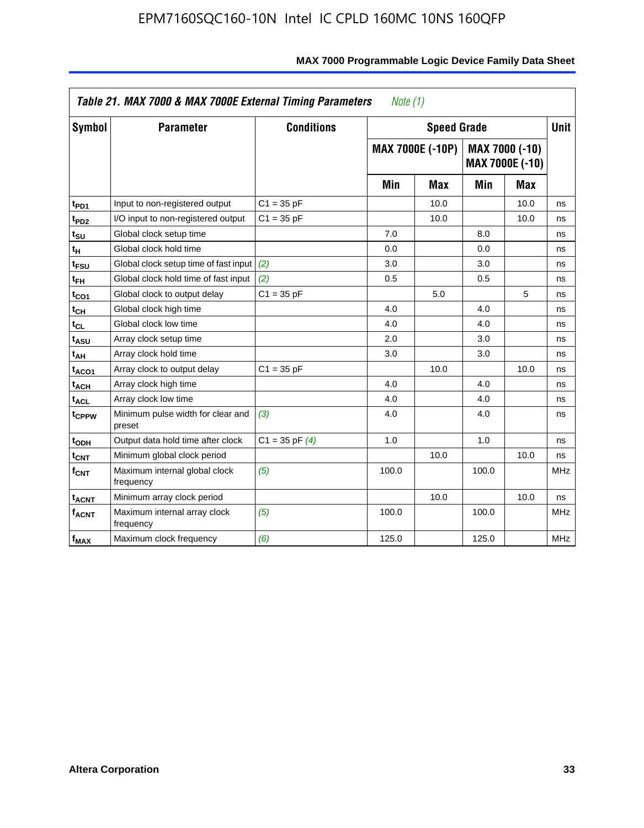|                              | Table 21. MAX 7000 & MAX 7000E External Timing Parameters<br>Note (1) |                    |       |                         |       |                                   |             |  |
|------------------------------|-----------------------------------------------------------------------|--------------------|-------|-------------------------|-------|-----------------------------------|-------------|--|
| Symbol                       | <b>Parameter</b>                                                      | <b>Conditions</b>  |       | <b>Speed Grade</b>      |       |                                   | <b>Unit</b> |  |
|                              |                                                                       |                    |       | <b>MAX 7000E (-10P)</b> |       | MAX 7000 (-10)<br>MAX 7000E (-10) |             |  |
|                              |                                                                       |                    | Min   | <b>Max</b>              | Min   | Max                               |             |  |
| t <sub>PD1</sub>             | Input to non-registered output                                        | $C1 = 35 pF$       |       | 10.0                    |       | 10.0                              | ns          |  |
| t <sub>PD2</sub>             | I/O input to non-registered output                                    | $C1 = 35 pF$       |       | 10.0                    |       | 10.0                              | ns          |  |
| t <sub>su</sub>              | Global clock setup time                                               |                    | 7.0   |                         | 8.0   |                                   | ns          |  |
| tμ                           | Global clock hold time                                                |                    | 0.0   |                         | 0.0   |                                   | ns          |  |
| t <sub>FSU</sub>             | Global clock setup time of fast input                                 | (2)                | 3.0   |                         | 3.0   |                                   | ns          |  |
| t <sub>FH</sub>              | Global clock hold time of fast input                                  | (2)                | 0.5   |                         | 0.5   |                                   | ns          |  |
| t <sub>CO1</sub>             | Global clock to output delay                                          | $C1 = 35 pF$       |       | 5.0                     |       | 5                                 | ns          |  |
| $\mathfrak{t}_{\textsf{CH}}$ | Global clock high time                                                |                    | 4.0   |                         | 4.0   |                                   | ns          |  |
| $t_{CL}$                     | Global clock low time                                                 |                    | 4.0   |                         | 4.0   |                                   | ns          |  |
| t <sub>ASU</sub>             | Array clock setup time                                                |                    | 2.0   |                         | 3.0   |                                   | ns          |  |
| t <sub>АН</sub>              | Array clock hold time                                                 |                    | 3.0   |                         | 3.0   |                                   | ns          |  |
| t <sub>ACO1</sub>            | Array clock to output delay                                           | $C1 = 35 pF$       |       | 10.0                    |       | 10.0                              | ns          |  |
| t <sub>ACH</sub>             | Array clock high time                                                 |                    | 4.0   |                         | 4.0   |                                   | ns          |  |
| $t_{\sf ACL}$                | Array clock low time                                                  |                    | 4.0   |                         | 4.0   |                                   | ns          |  |
| t <sub>CPPW</sub>            | Minimum pulse width for clear and<br>preset                           | (3)                | 4.0   |                         | 4.0   |                                   | ns          |  |
| t <sub>ODH</sub>             | Output data hold time after clock                                     | $C1 = 35$ pF $(4)$ | 1.0   |                         | 1.0   |                                   | ns          |  |
| $t_{\mathsf{CNT}}$           | Minimum global clock period                                           |                    |       | 10.0                    |       | 10.0                              | ns          |  |
| $\mathsf{f}_{\mathsf{CNT}}$  | Maximum internal global clock<br>frequency                            | (5)                | 100.0 |                         | 100.0 |                                   | <b>MHz</b>  |  |
| <b>t<sub>ACNT</sub></b>      | Minimum array clock period                                            |                    |       | 10.0                    |       | 10.0                              | ns          |  |
| $f_{ACNT}$                   | Maximum internal array clock<br>frequency                             | (5)                | 100.0 |                         | 100.0 |                                   | <b>MHz</b>  |  |
| $f_{MAX}$                    | Maximum clock frequency                                               | (6)                | 125.0 |                         | 125.0 |                                   | <b>MHz</b>  |  |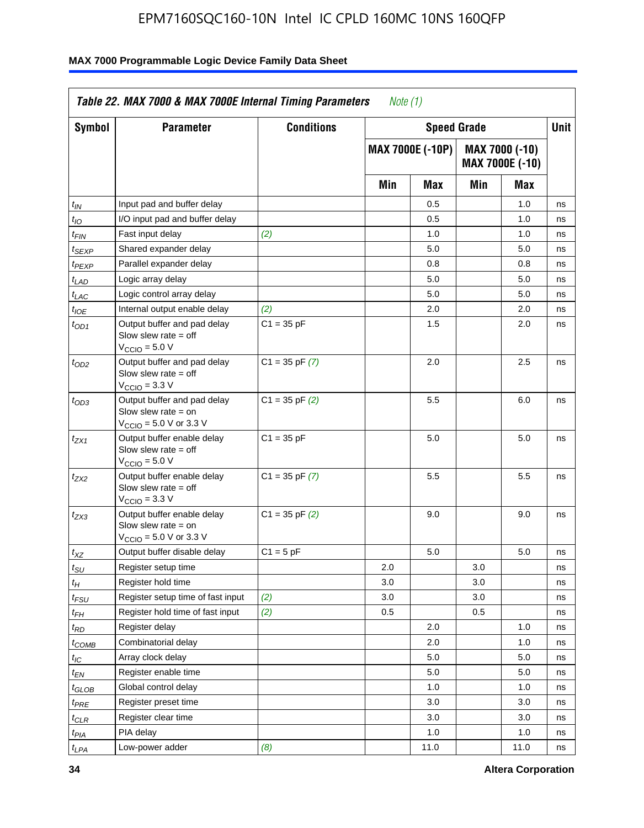| Symbol              | <b>Parameter</b>                                                                                            | <b>Conditions</b>  |     | <b>Speed Grade</b>      |     |                                   | Unit |     |  |
|---------------------|-------------------------------------------------------------------------------------------------------------|--------------------|-----|-------------------------|-----|-----------------------------------|------|-----|--|
|                     |                                                                                                             |                    |     | <b>MAX 7000E (-10P)</b> |     | MAX 7000 (-10)<br>MAX 7000E (-10) |      |     |  |
|                     |                                                                                                             |                    |     |                         | Min | Max                               | Min  | Max |  |
| $t_{IN}$            | Input pad and buffer delay                                                                                  |                    |     | 0.5                     |     | 1.0                               | ns   |     |  |
| $t_{IO}$            | I/O input pad and buffer delay                                                                              |                    |     | 0.5                     |     | 1.0                               | ns   |     |  |
| t <sub>FIN</sub>    | Fast input delay                                                                                            | (2)                |     | 1.0                     |     | 1.0                               | ns   |     |  |
| <sup>t</sup> SEXP   | Shared expander delay                                                                                       |                    |     | 5.0                     |     | 5.0                               | ns   |     |  |
| t <sub>PEXP</sub>   | Parallel expander delay                                                                                     |                    |     | 0.8                     |     | 0.8                               | ns   |     |  |
| $t_{LAD}$           | Logic array delay                                                                                           |                    |     | 5.0                     |     | 5.0                               | ns   |     |  |
| $t_{LAC}$           | Logic control array delay                                                                                   |                    |     | 5.0                     |     | 5.0                               | ns   |     |  |
| $t_{IOE}$           | Internal output enable delay                                                                                | (2)                |     | 2.0                     |     | 2.0                               | ns   |     |  |
| $t_{OD1}$           | Output buffer and pad delay<br>Slow slew rate $=$ off<br>$V_{\text{CCIO}} = 5.0 V$                          | $C1 = 35 pF$       |     | 1.5                     |     | 2.0                               | ns   |     |  |
| $t_{OD2}$           | Output buffer and pad delay<br>Slow slew rate $=$ off<br>$VCCIO = 3.3 V$                                    | $C1 = 35$ pF $(7)$ |     | 2.0                     |     | 2.5                               | ns   |     |  |
| $t_{OD3}$           | Output buffer and pad delay<br>Slow slew rate $=$ on<br>$V_{\text{CCIO}} = 5.0 \text{ V or } 3.3 \text{ V}$ | $C1 = 35$ pF $(2)$ |     | 5.5                     |     | 6.0                               | ns   |     |  |
| t <sub>ZX1</sub>    | Output buffer enable delay<br>Slow slew rate $=$ off<br>$V_{\text{CCIO}} = 5.0 V$                           | $C1 = 35 pF$       |     | 5.0                     |     | 5.0                               | ns   |     |  |
| $t_{ZX2}$           | Output buffer enable delay<br>Slow slew rate $=$ off<br>$V_{\text{CCIO}} = 3.3 \text{ V}$                   | $C1 = 35$ pF $(7)$ |     | 5.5                     |     | 5.5                               | ns   |     |  |
| $t_{ZX3}$           | Output buffer enable delay<br>Slow slew rate $=$ on<br>V <sub>CCIO</sub> = 5.0 V or 3.3 V                   | $C1 = 35$ pF $(2)$ |     | 9.0                     |     | 9.0                               | ns   |     |  |
| $t_{\mathsf{XZ}}$   | Output buffer disable delay                                                                                 | $C1 = 5$ pF        |     | 5.0                     |     | 5.0                               | ns   |     |  |
| $t_{\sf SU}$        | Register setup time                                                                                         |                    | 2.0 |                         | 3.0 |                                   | ns   |     |  |
| $t_H$               | Register hold time                                                                                          |                    | 3.0 |                         | 3.0 |                                   | ns   |     |  |
| $t_{\mathit{FSU}}$  | Register setup time of fast input                                                                           | (2)                | 3.0 |                         | 3.0 |                                   | ns   |     |  |
| $t_{FH}$            | Register hold time of fast input                                                                            | (2)                | 0.5 |                         | 0.5 |                                   | ns   |     |  |
| t <sub>RD</sub>     | Register delay                                                                                              |                    |     | 2.0                     |     | 1.0                               | ns   |     |  |
| $t_{COMB}$          | Combinatorial delay                                                                                         |                    |     | 2.0                     |     | 1.0                               | ns   |     |  |
| $\iota_{\text{IC}}$ | Array clock delay                                                                                           |                    |     | 5.0                     |     | 5.0                               | ns   |     |  |
| $t_{EN}$            | Register enable time                                                                                        |                    |     | 5.0                     |     | 5.0                               | ns   |     |  |
| $t_{GLOB}$          | Global control delay                                                                                        |                    |     | 1.0                     |     | 1.0                               | ns   |     |  |
| $t_{PRE}$           | Register preset time                                                                                        |                    |     | 3.0                     |     | 3.0                               | ns   |     |  |
| $t_{\sf CLR}$       | Register clear time                                                                                         |                    |     | 3.0                     |     | 3.0                               | ns   |     |  |
| $t_{PIA}$           | PIA delay                                                                                                   |                    |     | 1.0                     |     | 1.0                               | ns   |     |  |
| $t_{LPA}$           | Low-power adder                                                                                             | (8)                |     | 11.0                    |     | 11.0                              | ns   |     |  |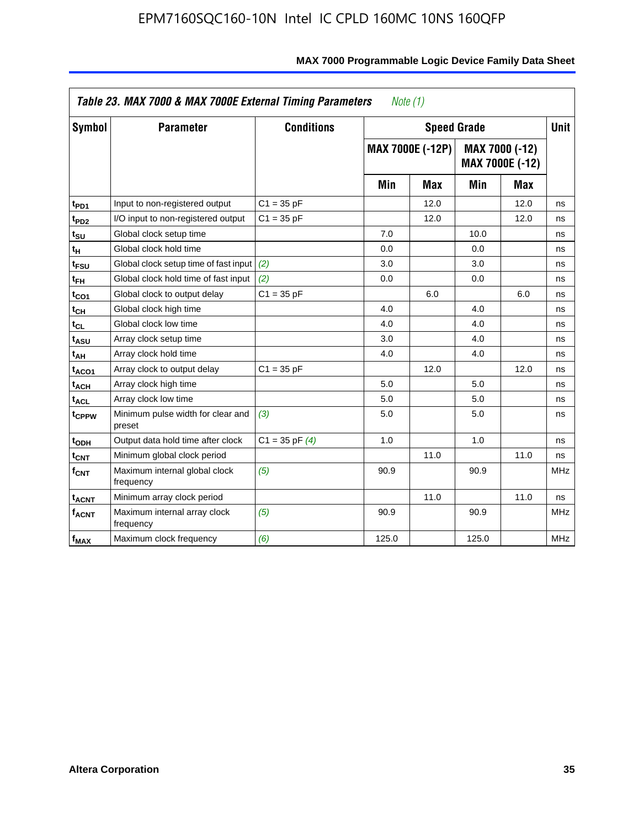|                         | Table 23. MAX 7000 & MAX 7000E External Timing Parameters |                    | Note (1) |                         |                    |                                   |             |
|-------------------------|-----------------------------------------------------------|--------------------|----------|-------------------------|--------------------|-----------------------------------|-------------|
| <b>Symbol</b>           | <b>Parameter</b>                                          | <b>Conditions</b>  |          |                         | <b>Speed Grade</b> |                                   | <b>Unit</b> |
|                         |                                                           |                    |          | <b>MAX 7000E (-12P)</b> |                    | MAX 7000 (-12)<br>MAX 7000E (-12) |             |
|                         |                                                           |                    | Min      | <b>Max</b>              | Min                | <b>Max</b>                        |             |
| t <sub>PD1</sub>        | Input to non-registered output                            | $C1 = 35 pF$       |          | 12.0                    |                    | 12.0                              | ns          |
| t <sub>PD2</sub>        | I/O input to non-registered output                        | $C1 = 35 pF$       |          | 12.0                    |                    | 12.0                              | ns          |
| t <sub>su</sub>         | Global clock setup time                                   |                    | 7.0      |                         | 10.0               |                                   | ns          |
| tн                      | Global clock hold time                                    |                    | 0.0      |                         | 0.0                |                                   | ns          |
| t <sub>FSU</sub>        | Global clock setup time of fast input                     | (2)                | 3.0      |                         | 3.0                |                                   | ns          |
| $t_{FH}$                | Global clock hold time of fast input                      | (2)                | 0.0      |                         | 0.0                |                                   | ns          |
| t <sub>CO1</sub>        | Global clock to output delay                              | $C1 = 35 pF$       |          | 6.0                     |                    | 6.0                               | ns          |
| $t_{\mathsf{CH}}$       | Global clock high time                                    |                    | 4.0      |                         | 4.0                |                                   | ns          |
| $t_{CL}$                | Global clock low time                                     |                    | 4.0      |                         | 4.0                |                                   | ns          |
| t <sub>ASU</sub>        | Array clock setup time                                    |                    | 3.0      |                         | 4.0                |                                   | ns          |
| t <sub>АН</sub>         | Array clock hold time                                     |                    | 4.0      |                         | 4.0                |                                   | ns          |
| t <sub>ACO1</sub>       | Array clock to output delay                               | $C1 = 35 pF$       |          | 12.0                    |                    | 12.0                              | ns          |
| t <sub>ACH</sub>        | Array clock high time                                     |                    | 5.0      |                         | 5.0                |                                   | ns          |
| $t_{\sf ACL}$           | Array clock low time                                      |                    | 5.0      |                         | 5.0                |                                   | ns          |
| t <sub>CPPW</sub>       | Minimum pulse width for clear and<br>preset               | (3)                | 5.0      |                         | 5.0                |                                   | ns          |
| t <sub>ODH</sub>        | Output data hold time after clock                         | $C1 = 35$ pF $(4)$ | 1.0      |                         | 1.0                |                                   | ns          |
| $t_{\mathsf{CNT}}$      | Minimum global clock period                               |                    |          | 11.0                    |                    | 11.0                              | ns          |
| $f_{\mathsf{CNT}}$      | Maximum internal global clock<br>frequency                | (5)                | 90.9     |                         | 90.9               |                                   | <b>MHz</b>  |
| <b>t<sub>ACNT</sub></b> | Minimum array clock period                                |                    |          | 11.0                    |                    | 11.0                              | ns          |
| <b>f<sub>ACNT</sub></b> | Maximum internal array clock<br>frequency                 | (5)                | 90.9     |                         | 90.9               |                                   | <b>MHz</b>  |
| $f_{MAX}$               | Maximum clock frequency                                   | (6)                | 125.0    |                         | 125.0              |                                   | <b>MHz</b>  |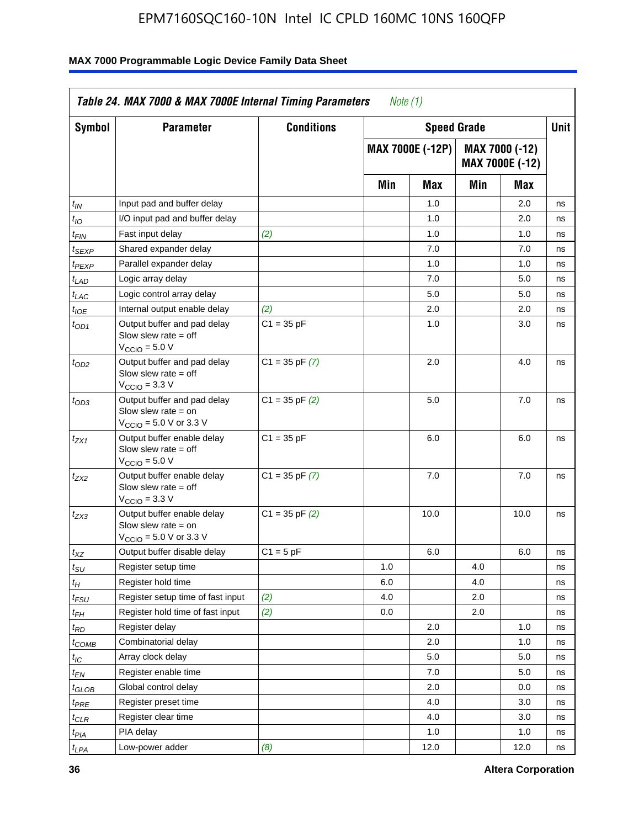| Symbol                      | <b>Parameter</b>                                                                                            | <b>Conditions</b>  |     | <b>Speed Grade</b>      |     |                                   | <b>Unit</b> |
|-----------------------------|-------------------------------------------------------------------------------------------------------------|--------------------|-----|-------------------------|-----|-----------------------------------|-------------|
|                             |                                                                                                             |                    |     | <b>MAX 7000E (-12P)</b> |     | MAX 7000 (-12)<br>MAX 7000E (-12) |             |
|                             |                                                                                                             |                    | Min | <b>Max</b>              | Min | Max                               |             |
| $t_{IN}$                    | Input pad and buffer delay                                                                                  |                    |     | 1.0                     |     | 2.0                               | ns          |
| $t_{IO}$                    | I/O input pad and buffer delay                                                                              |                    |     | 1.0                     |     | 2.0                               | ns          |
| $t_{\textit{FIN}}$          | Fast input delay                                                                                            | (2)                |     | 1.0                     |     | 1.0                               | ns          |
| t <sub>SEXP</sub>           | Shared expander delay                                                                                       |                    |     | 7.0                     |     | 7.0                               | ns          |
| t <sub>PEXP</sub>           | Parallel expander delay                                                                                     |                    |     | 1.0                     |     | 1.0                               | ns          |
| t <sub>LAD</sub>            | Logic array delay                                                                                           |                    |     | 7.0                     |     | 5.0                               | ns          |
| $t_{LAC}$                   | Logic control array delay                                                                                   |                    |     | 5.0                     |     | 5.0                               | ns          |
| $t_{IOE}$                   | Internal output enable delay                                                                                | (2)                |     | 2.0                     |     | 2.0                               | ns          |
| $t_{OD1}$                   | Output buffer and pad delay<br>Slow slew rate $=$ off<br>$V_{\text{CCIO}} = 5.0 V$                          | $C1 = 35 pF$       |     | 1.0                     |     | 3.0                               | ns          |
| $t_{OD2}$                   | Output buffer and pad delay<br>Slow slew rate $=$ off<br>$VCCIO = 3.3 V$                                    | $C1 = 35$ pF $(7)$ |     | 2.0                     |     | 4.0                               | ns          |
| $t_{OD3}$                   | Output buffer and pad delay<br>Slow slew rate $=$ on<br>$V_{\text{CCIO}} = 5.0 \text{ V or } 3.3 \text{ V}$ | $C1 = 35$ pF $(2)$ |     | 5.0                     |     | 7.0                               | ns          |
| $t_{ZX1}$                   | Output buffer enable delay<br>Slow slew rate $=$ off<br>$V_{\text{CCIO}} = 5.0 V$                           | $C1 = 35 pF$       |     | 6.0                     |     | 6.0                               | ns          |
| $t_{ZX2}$                   | Output buffer enable delay<br>Slow slew rate $=$ off<br>$V_{\rm CClO}$ = 3.3 V                              | $C1 = 35$ pF $(7)$ |     | 7.0                     |     | 7.0                               | ns          |
| $t_{ZX3}$                   | Output buffer enable delay<br>Slow slew rate $=$ on<br>$V_{\text{CCIO}} = 5.0 \text{ V or } 3.3 \text{ V}$  | $C1 = 35$ pF $(2)$ |     | 10.0                    |     | 10.0                              | ns          |
| $t_{\mathsf{XZ}}$           | Output buffer disable delay                                                                                 | $C1 = 5$ pF        |     | 6.0                     |     | 6.0                               | ns          |
| $t_{\scriptstyle\text{SU}}$ | Register setup time                                                                                         |                    | 1.0 |                         | 4.0 |                                   | ns          |
| $t_H$                       | Register hold time                                                                                          |                    | 6.0 |                         | 4.0 |                                   | ns          |
| $t_{\mathit{FSU}}$          | Register setup time of fast input                                                                           | (2)                | 4.0 |                         | 2.0 |                                   | ns          |
| t <sub>FH</sub>             | Register hold time of fast input                                                                            | (2)                | 0.0 |                         | 2.0 |                                   | ns          |
| $t_{RD}$                    | Register delay                                                                                              |                    |     | 2.0                     |     | 1.0                               | ns          |
| $t_{\sf COMB}$              | Combinatorial delay                                                                                         |                    |     | 2.0                     |     | 1.0                               | ns          |
| ЧC                          | Array clock delay                                                                                           |                    |     | $5.0\,$                 |     | 5.0                               | ns          |
| $t_{EN}$                    | Register enable time                                                                                        |                    |     | 7.0                     |     | 5.0                               | ns          |
| $t_{GLOB}$                  | Global control delay                                                                                        |                    |     | 2.0                     |     | 0.0                               | ns          |
| t <sub>PRE</sub>            | Register preset time                                                                                        |                    |     | 4.0                     |     | 3.0                               | ns          |
| $t_{\sf CLR}$               | Register clear time                                                                                         |                    |     | 4.0                     |     | 3.0                               | ns          |
| t <sub>PIA</sub>            | PIA delay                                                                                                   |                    |     | 1.0                     |     | 1.0                               | ns          |
| t <sub>LPA</sub>            | Low-power adder                                                                                             | (8)                |     | 12.0                    |     | 12.0                              | ns          |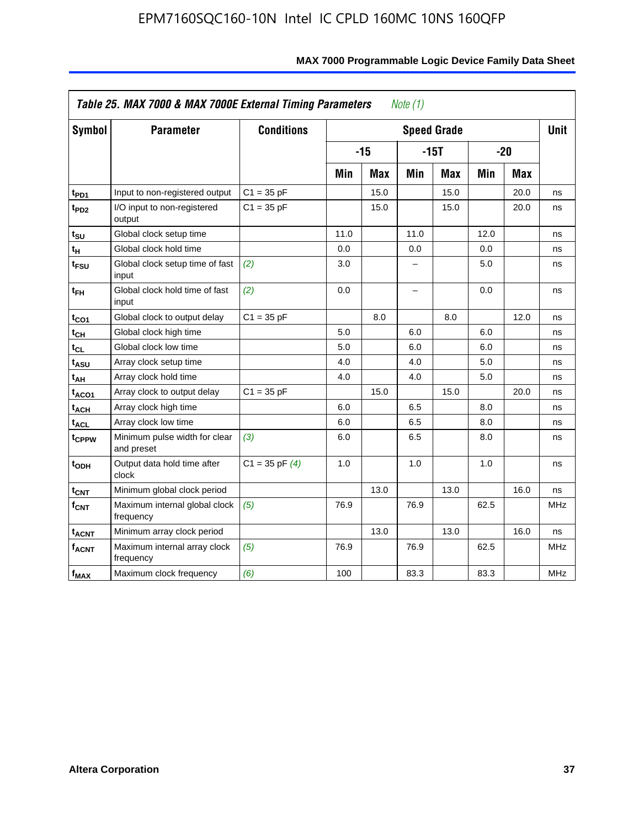| <b>Symbol</b>           | <b>Parameter</b>                            | <b>Conditions</b>  |      |            |                          | <b>Speed Grade</b> |      |            | <b>Unit</b> |
|-------------------------|---------------------------------------------|--------------------|------|------------|--------------------------|--------------------|------|------------|-------------|
|                         |                                             |                    |      | $-15$      |                          | $-15T$             |      | $-20$      |             |
|                         |                                             |                    | Min  | <b>Max</b> | Min                      | <b>Max</b>         | Min  | <b>Max</b> |             |
| t <sub>PD1</sub>        | Input to non-registered output              | $C1 = 35 pF$       |      | 15.0       |                          | 15.0               |      | 20.0       | ns          |
| t <sub>PD2</sub>        | I/O input to non-registered<br>output       | $C1 = 35 pF$       |      | 15.0       |                          | 15.0               |      | 20.0       | ns          |
| tsu                     | Global clock setup time                     |                    | 11.0 |            | 11.0                     |                    | 12.0 |            | ns          |
| $t_H$                   | Global clock hold time                      |                    | 0.0  |            | 0.0                      |                    | 0.0  |            | ns          |
| t <sub>FSU</sub>        | Global clock setup time of fast<br>input    | (2)                | 3.0  |            | -                        |                    | 5.0  |            | ns          |
| $t_{FH}$                | Global clock hold time of fast<br>input     | (2)                | 0.0  |            | $\overline{\phantom{0}}$ |                    | 0.0  |            | ns          |
| $t_{CO1}$               | Global clock to output delay                | $C1 = 35 pF$       |      | 8.0        |                          | 8.0                |      | 12.0       | ns          |
| $t_{\mathsf{CH}}$       | Global clock high time                      |                    | 5.0  |            | 6.0                      |                    | 6.0  |            | ns          |
| t <sub>CL</sub>         | Global clock low time                       |                    | 5.0  |            | 6.0                      |                    | 6.0  |            | ns          |
| t <sub>ASU</sub>        | Array clock setup time                      |                    | 4.0  |            | 4.0                      |                    | 5.0  |            | ns          |
| t <sub>АН</sub>         | Array clock hold time                       |                    | 4.0  |            | 4.0                      |                    | 5.0  |            | ns          |
| t <sub>ACO1</sub>       | Array clock to output delay                 | $C1 = 35 pF$       |      | 15.0       |                          | 15.0               |      | 20.0       | ns          |
| $t_{\sf ACH}$           | Array clock high time                       |                    | 6.0  |            | 6.5                      |                    | 8.0  |            | ns          |
| t <sub>ACL</sub>        | Array clock low time                        |                    | 6.0  |            | 6.5                      |                    | 8.0  |            | ns          |
| t <sub>CPPW</sub>       | Minimum pulse width for clear<br>and preset | (3)                | 6.0  |            | 6.5                      |                    | 8.0  |            | ns          |
| $t_{ODH}$               | Output data hold time after<br>clock        | $C1 = 35$ pF $(4)$ | 1.0  |            | 1.0                      |                    | 1.0  |            | ns          |
| $t_{\mathsf{CNT}}$      | Minimum global clock period                 |                    |      | 13.0       |                          | 13.0               |      | 16.0       | ns          |
| f <sub>CNT</sub>        | Maximum internal global clock<br>frequency  | (5)                | 76.9 |            | 76.9                     |                    | 62.5 |            | <b>MHz</b>  |
| <b>t<sub>ACNT</sub></b> | Minimum array clock period                  |                    |      | 13.0       |                          | 13.0               |      | 16.0       | ns          |
| <b>fACNT</b>            | Maximum internal array clock<br>frequency   | (5)                | 76.9 |            | 76.9                     |                    | 62.5 |            | <b>MHz</b>  |
| $f_{MAX}$               | Maximum clock frequency                     | (6)                | 100  |            | 83.3                     |                    | 83.3 |            | MHz         |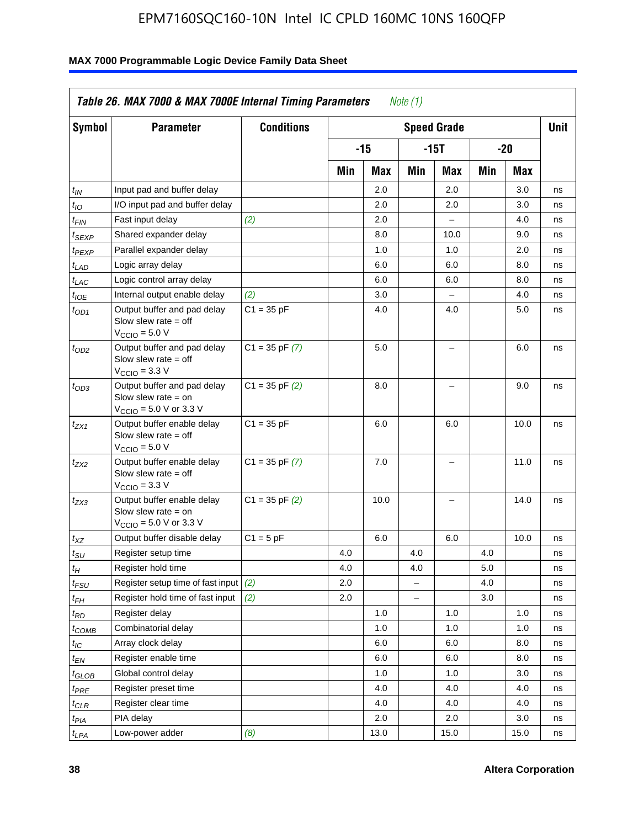| Symbol              | <b>Parameter</b>                                                                                            | <b>Conditions</b>  |     |       |          | <b>Speed Grade</b>       |         |      | <b>Unit</b> |
|---------------------|-------------------------------------------------------------------------------------------------------------|--------------------|-----|-------|----------|--------------------------|---------|------|-------------|
|                     |                                                                                                             |                    |     | $-15$ |          | $-15T$                   |         | -20  |             |
|                     |                                                                                                             |                    | Min | Max   | Min      | Max                      | Min     | Max  |             |
| $t_{\mathit{IN}}$   | Input pad and buffer delay                                                                                  |                    |     | 2.0   |          | 2.0                      |         | 3.0  | ns          |
| $t_{IO}$            | I/O input pad and buffer delay                                                                              |                    |     | 2.0   |          | 2.0                      |         | 3.0  | ns          |
| $t_{\textsf{FIN}}$  | Fast input delay                                                                                            | (2)                |     | 2.0   |          | $\overline{a}$           |         | 4.0  | ns          |
| t <sub>SEXP</sub>   | Shared expander delay                                                                                       |                    |     | 8.0   |          | 10.0                     |         | 9.0  | ns          |
| t <sub>PEXP</sub>   | Parallel expander delay                                                                                     |                    |     | 1.0   |          | 1.0                      |         | 2.0  | ns          |
| $t_{LAD}$           | Logic array delay                                                                                           |                    |     | 6.0   |          | 6.0                      |         | 8.0  | ns          |
| $t_{LAC}$           | Logic control array delay                                                                                   |                    |     | 6.0   |          | 6.0                      |         | 8.0  | ns          |
| $t_{IOE}$           | Internal output enable delay                                                                                | (2)                |     | 3.0   |          | $\overline{\phantom{0}}$ |         | 4.0  | ns          |
| $t_{OD1}$           | Output buffer and pad delay<br>Slow slew rate $=$ off<br>$V_{\text{CCIO}} = 5.0 V$                          | $C1 = 35 pF$       |     | 4.0   |          | 4.0                      |         | 5.0  | ns          |
| $t_{OD2}$           | Output buffer and pad delay<br>Slow slew rate $=$ off<br>$V_{\text{CCIO}} = 3.3 V$                          | $C1 = 35$ pF $(7)$ |     | 5.0   |          | $\equiv$                 |         | 6.0  | ns          |
| $t_{OD3}$           | Output buffer and pad delay<br>Slow slew rate $=$ on<br>$V_{\text{CCIO}} = 5.0 \text{ V or } 3.3 \text{ V}$ | $C1 = 35$ pF $(2)$ |     | 8.0   |          | $\equiv$                 |         | 9.0  | ns          |
| $t_{ZX1}$           | Output buffer enable delay<br>Slow slew rate $=$ off<br>$V_{\text{CCIO}} = 5.0 V$                           | $C1 = 35 pF$       |     | 6.0   |          | 6.0                      |         | 10.0 | ns          |
| $t_{ZX2}$           | Output buffer enable delay<br>Slow slew rate $=$ off<br>$VCCIO$ = 3.3 V                                     | $C1 = 35$ pF $(7)$ |     | 7.0   |          |                          |         | 11.0 | ns          |
| t <sub>ZX3</sub>    | Output buffer enable delay<br>Slow slew rate $=$ on<br>$V_{\text{CCIO}} = 5.0 \text{ V or } 3.3 \text{ V}$  | $C1 = 35$ pF $(2)$ |     | 10.0  |          | $\overline{\phantom{0}}$ |         | 14.0 | ns          |
| $t_{\mathsf{XZ}}$   | Output buffer disable delay                                                                                 | $C1 = 5$ pF        |     | 6.0   |          | 6.0                      |         | 10.0 | ns          |
| $t_{\text{SU}}$     | Register setup time                                                                                         |                    | 4.0 |       | 4.0      |                          | 4.0     |      | ns          |
| $t_H$               | Register hold time                                                                                          |                    | 4.0 |       | 4.0      |                          | 5.0     |      | ns          |
| $t_{\mathit{FSU}}$  | Register setup time of fast input                                                                           | (2)                | 2.0 |       | $\equiv$ |                          | $4.0\,$ |      | ns          |
| $t_{FH}$            | Register hold time of fast input                                                                            | (2)                | 2.0 |       |          |                          | 3.0     |      | ns          |
| t <sub>RD</sub>     | Register delay                                                                                              |                    |     | 1.0   |          | 1.0                      |         | 1.0  | ns          |
| $t_{\mathsf{COMB}}$ | Combinatorial delay                                                                                         |                    |     | 1.0   |          | 1.0                      |         | 1.0  | ns          |
| $t_{\text{IC}}$     | Array clock delay                                                                                           |                    |     | 6.0   |          | 6.0                      |         | 8.0  | ns          |
| $t_{EN}$            | Register enable time                                                                                        |                    |     | 6.0   |          | 6.0                      |         | 8.0  | ns          |
| $t_{\text{GLOB}}$   | Global control delay                                                                                        |                    |     | 1.0   |          | 1.0                      |         | 3.0  | ns          |
| t <sub>PRE</sub>    | Register preset time                                                                                        |                    |     | 4.0   |          | 4.0                      |         | 4.0  | ns          |
| $t_{\sf CLR}$       | Register clear time                                                                                         |                    |     | 4.0   |          | 4.0                      |         | 4.0  | ns          |
| t <sub>PIA</sub>    | PIA delay                                                                                                   |                    |     | 2.0   |          | 2.0                      |         | 3.0  | ns          |
| $t_{LPA}$           | Low-power adder                                                                                             | (8)                |     | 13.0  |          | 15.0                     |         | 15.0 | ns          |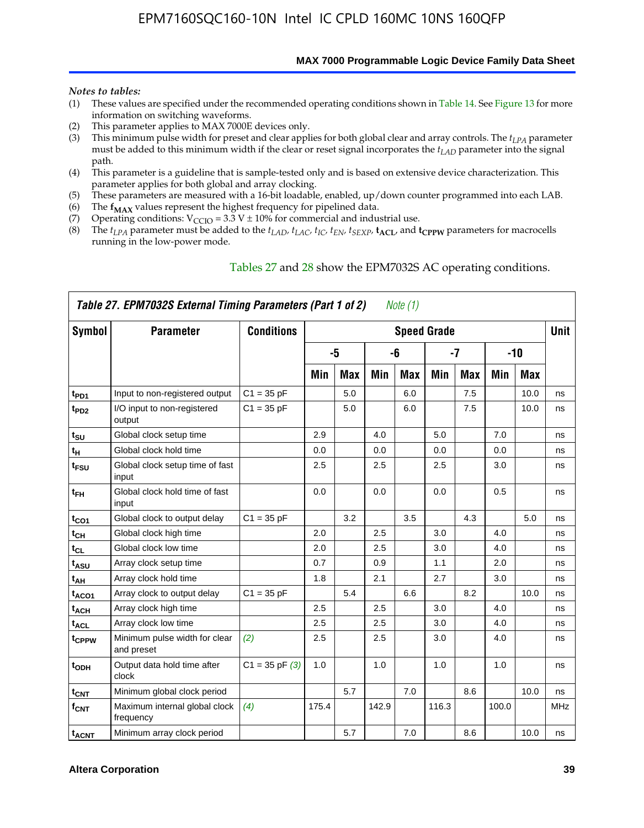**MAX 7000 Programmable Logic Device Family Data Sheet**

#### *Notes to tables:*

- (1) These values are specified under the recommended operating conditions shown in Table 14. See Figure 13 for more information on switching waveforms.
- (2) This parameter applies to MAX 7000E devices only.
- (3) This minimum pulse width for preset and clear applies for both global clear and array controls. The *tLPA* parameter must be added to this minimum width if the clear or reset signal incorporates the  $t_{LAD}$  parameter into the signal path.
- (4) This parameter is a guideline that is sample-tested only and is based on extensive device characterization. This parameter applies for both global and array clocking.
- (5) These parameters are measured with a 16-bit loadable, enabled, up/down counter programmed into each LAB.
- (6) The  $f_{MAX}$  values represent the highest frequency for pipelined data.
- (7) Operating conditions:  $V_{\text{CCIO}} = 3.3 \text{ V} \pm 10\%$  for commercial and industrial use.
- (8) The  $t_{LPA}$  parameter must be added to the  $t_{LAD}$ ,  $t_{LAC}$ ,  $t_{IC}$ ,  $t_{EN}$ ,  $t_{SEXP}$ ,  $t_{ACL}$ , and  $t_{CPPW}$  parameters for macrocells running in the low-power mode.

|                    | Table 27. EPM7032S External Timing Parameters (Part 1 of 2) |                    |       |            |       | Note (1) |                    |            |       |            |             |
|--------------------|-------------------------------------------------------------|--------------------|-------|------------|-------|----------|--------------------|------------|-------|------------|-------------|
| Symbol             | <b>Parameter</b>                                            | <b>Conditions</b>  |       |            |       |          | <b>Speed Grade</b> |            |       |            | <b>Unit</b> |
|                    |                                                             |                    |       | -5         |       | -6       |                    | -7         |       | $-10$      |             |
|                    |                                                             |                    | Min   | <b>Max</b> | Min   | Max      | Min                | <b>Max</b> | Min   | <b>Max</b> |             |
| t <sub>PD1</sub>   | Input to non-registered output                              | $C1 = 35 pF$       |       | 5.0        |       | 6.0      |                    | 7.5        |       | 10.0       | ns          |
| $t_{PD2}$          | I/O input to non-registered<br>output                       | $C1 = 35 pF$       |       | 5.0        |       | 6.0      |                    | 7.5        |       | 10.0       | ns          |
| tsu                | Global clock setup time                                     |                    | 2.9   |            | 4.0   |          | 5.0                |            | 7.0   |            | ns          |
| t <sub>H</sub>     | Global clock hold time                                      |                    | 0.0   |            | 0.0   |          | 0.0                |            | 0.0   |            | ns          |
| $t_{\text{FSU}}$   | Global clock setup time of fast<br>input                    |                    | 2.5   |            | 2.5   |          | 2.5                |            | 3.0   |            | ns          |
| $t_{FH}$           | Global clock hold time of fast<br>input                     |                    | 0.0   |            | 0.0   |          | 0.0                |            | 0.5   |            | ns          |
| $t_{CO1}$          | Global clock to output delay                                | $C1 = 35 pF$       |       | 3.2        |       | 3.5      |                    | 4.3        |       | 5.0        | ns          |
| $t_{\mathsf{CH}}$  | Global clock high time                                      |                    | 2.0   |            | 2.5   |          | 3.0                |            | 4.0   |            | ns          |
| $t_{CL}$           | Global clock low time                                       |                    | 2.0   |            | 2.5   |          | 3.0                |            | 4.0   |            | ns          |
| t <sub>ASU</sub>   | Array clock setup time                                      |                    | 0.7   |            | 0.9   |          | 1.1                |            | 2.0   |            | ns          |
| t <sub>АН</sub>    | Array clock hold time                                       |                    | 1.8   |            | 2.1   |          | 2.7                |            | 3.0   |            | ns          |
| t <sub>ACO1</sub>  | Array clock to output delay                                 | $C1 = 35 pF$       |       | 5.4        |       | 6.6      |                    | 8.2        |       | 10.0       | ns          |
| t <sub>ACH</sub>   | Array clock high time                                       |                    | 2.5   |            | 2.5   |          | 3.0                |            | 4.0   |            | ns          |
| t <sub>ACL</sub>   | Array clock low time                                        |                    | 2.5   |            | 2.5   |          | 3.0                |            | 4.0   |            | ns          |
| t <sub>CPPW</sub>  | Minimum pulse width for clear<br>and preset                 | (2)                | 2.5   |            | 2.5   |          | 3.0                |            | 4.0   |            | ns          |
| t <sub>ODH</sub>   | Output data hold time after<br>clock                        | $C1 = 35$ pF $(3)$ | 1.0   |            | 1.0   |          | 1.0                |            | 1.0   |            | ns          |
| $t_{\mathsf{CNT}}$ | Minimum global clock period                                 |                    |       | 5.7        |       | 7.0      |                    | 8.6        |       | 10.0       | ns          |
| $f_{\mathsf{CNT}}$ | Maximum internal global clock<br>frequency                  | (4)                | 175.4 |            | 142.9 |          | 116.3              |            | 100.0 |            | <b>MHz</b>  |
| t <sub>ACNT</sub>  | Minimum array clock period                                  |                    |       | 5.7        |       | 7.0      |                    | 8.6        |       | 10.0       | ns          |

### Tables 27 and 28 show the EPM7032S AC operating conditions.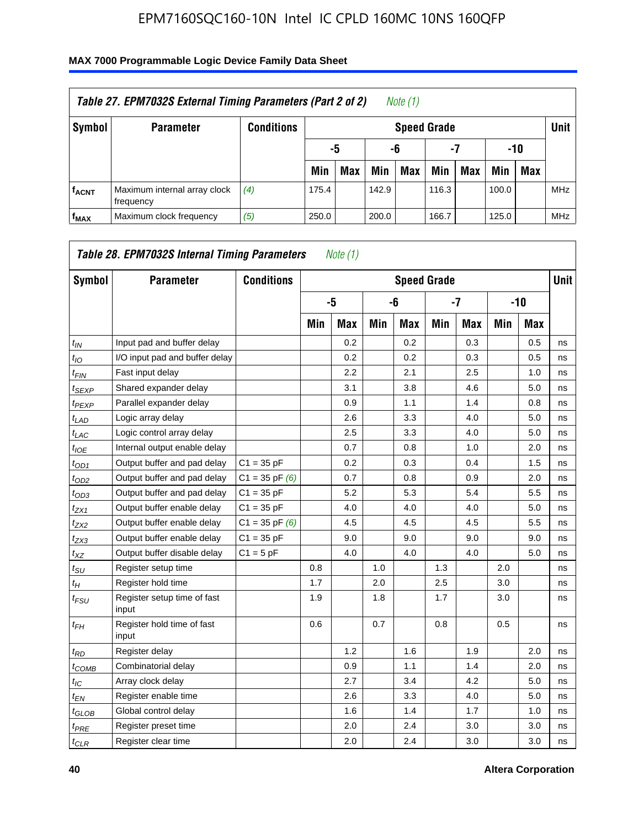| Table 27. EPM7032S External Timing Parameters (Part 2 of 2)<br>Note (1) |                                           |                   |       |                       |       |                    |       |     |       |            |            |  |  |
|-------------------------------------------------------------------------|-------------------------------------------|-------------------|-------|-----------------------|-------|--------------------|-------|-----|-------|------------|------------|--|--|
| Symbol                                                                  | <b>Parameter</b>                          | <b>Conditions</b> |       |                       |       | <b>Speed Grade</b> |       |     |       |            | Unit       |  |  |
|                                                                         |                                           |                   |       | -7<br>-10<br>-6<br>-5 |       |                    |       |     |       |            |            |  |  |
|                                                                         |                                           |                   | Min   | <b>Max</b>            | Min   | <b>Max</b>         | Min   | Max | Min   | <b>Max</b> |            |  |  |
| <b>fACNT</b>                                                            | Maximum internal array clock<br>frequency | (4)               | 175.4 |                       | 142.9 |                    | 116.3 |     | 100.0 |            | <b>MHz</b> |  |  |
| f <sub>MAX</sub>                                                        | Maximum clock frequency                   | (5)               | 250.0 |                       | 200.0 |                    | 166.7 |     | 125.0 |            | <b>MHz</b> |  |  |

| Symbol                        | <b>Parameter</b>                     | <b>Conditions</b>  |     |            |     | <b>Speed Grade</b> |     |            |     |       | Unit |
|-------------------------------|--------------------------------------|--------------------|-----|------------|-----|--------------------|-----|------------|-----|-------|------|
|                               |                                      |                    |     | -5         |     | -6                 |     | $-7$       |     | $-10$ |      |
|                               |                                      |                    | Min | <b>Max</b> | Min | <b>Max</b>         | Min | <b>Max</b> | Min | Max   |      |
| $t_{IN}$                      | Input pad and buffer delay           |                    |     | 0.2        |     | 0.2                |     | 0.3        |     | 0.5   | ns   |
| $t_{IO}$                      | I/O input pad and buffer delay       |                    |     | 0.2        |     | 0.2                |     | 0.3        |     | 0.5   | ns   |
| $t_{\sf FIN}$                 | Fast input delay                     |                    |     | 2.2        |     | 2.1                |     | 2.5        |     | 1.0   | ns   |
| t <sub>SEXP</sub>             | Shared expander delay                |                    |     | 3.1        |     | 3.8                |     | 4.6        |     | 5.0   | ns   |
| $t_{PEXP}$                    | Parallel expander delay              |                    |     | 0.9        |     | 1.1                |     | 1.4        |     | 0.8   | ns   |
| $t_{LAD}$                     | Logic array delay                    |                    |     | 2.6        |     | 3.3                |     | 4.0        |     | 5.0   | ns   |
| $t_{LAC}$                     | Logic control array delay            |                    |     | 2.5        |     | 3.3                |     | 4.0        |     | 5.0   | ns   |
| $t_{IOE}$                     | Internal output enable delay         |                    |     | 0.7        |     | 0.8                |     | 1.0        |     | 2.0   | ns   |
| $t_{OD1}$                     | Output buffer and pad delay          | $C1 = 35 pF$       |     | 0.2        |     | 0.3                |     | 0.4        |     | 1.5   | ns   |
| $t_{OD2}$                     | Output buffer and pad delay          | $C1 = 35$ pF $(6)$ |     | 0.7        |     | 0.8                |     | 0.9        |     | 2.0   | ns   |
| $t_{OD3}$                     | Output buffer and pad delay          | $C1 = 35 pF$       |     | 5.2        |     | 5.3                |     | 5.4        |     | 5.5   | ns   |
| $t_{ZX1}$                     | Output buffer enable delay           | $C1 = 35 pF$       |     | 4.0        |     | 4.0                |     | 4.0        |     | 5.0   | ns   |
| t <sub>ZX2</sub>              | Output buffer enable delay           | $C1 = 35$ pF $(6)$ |     | 4.5        |     | 4.5                |     | 4.5        |     | 5.5   | ns   |
| t <sub>ZX3</sub>              | Output buffer enable delay           | $C1 = 35 pF$       |     | 9.0        |     | 9.0                |     | 9.0        |     | 9.0   | ns   |
| $t_{XZ}$                      | Output buffer disable delay          | $C1 = 5pF$         |     | 4.0        |     | 4.0                |     | 4.0        |     | 5.0   | ns   |
| $t_{\text{SU}}$               | Register setup time                  |                    | 0.8 |            | 1.0 |                    | 1.3 |            | 2.0 |       | ns   |
| $t_H$                         | Register hold time                   |                    | 1.7 |            | 2.0 |                    | 2.5 |            | 3.0 |       | ns   |
| $t_{\mathit{FSU}}$            | Register setup time of fast<br>input |                    | 1.9 |            | 1.8 |                    | 1.7 |            | 3.0 |       | ns   |
| t <sub>FН</sub>               | Register hold time of fast<br>input  |                    | 0.6 |            | 0.7 |                    | 0.8 |            | 0.5 |       | ns   |
| $t_{RD}$                      | Register delay                       |                    |     | 1.2        |     | 1.6                |     | 1.9        |     | 2.0   | ns   |
| $t_{COMB}$                    | Combinatorial delay                  |                    |     | 0.9        |     | 1.1                |     | 1.4        |     | 2.0   | ns   |
| $t_{IC}$                      | Array clock delay                    |                    |     | 2.7        |     | 3.4                |     | 4.2        |     | 5.0   | ns   |
| $t_{EN}$                      | Register enable time                 |                    |     | 2.6        |     | 3.3                |     | 4.0        |     | 5.0   | ns   |
| $t_{\scriptstyle\text{GLOB}}$ | Global control delay                 |                    |     | 1.6        |     | 1.4                |     | 1.7        |     | 1.0   | ns   |
| $t_{PRE}$                     | Register preset time                 |                    |     | 2.0        |     | 2.4                |     | 3.0        |     | 3.0   | ns   |
| $t_{CLR}$                     | Register clear time                  |                    |     | 2.0        |     | 2.4                |     | 3.0        |     | 3.0   | ns   |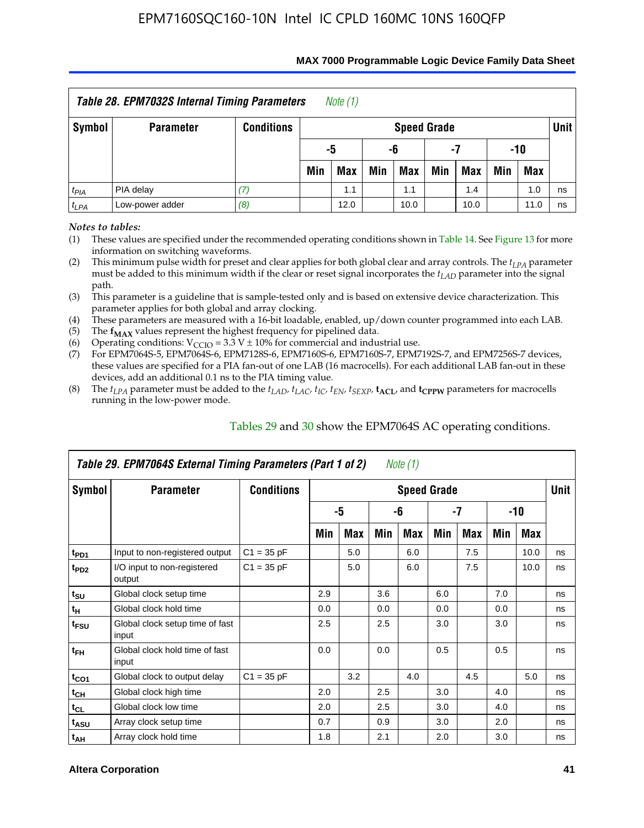| Table 28. EPM7032S Internal Timing Parameters<br>Note (1) |                  |                   |                                |                       |     |                    |     |            |     |            |             |  |
|-----------------------------------------------------------|------------------|-------------------|--------------------------------|-----------------------|-----|--------------------|-----|------------|-----|------------|-------------|--|
| Symbol                                                    | <b>Parameter</b> | <b>Conditions</b> |                                |                       |     | <b>Speed Grade</b> |     |            |     |            | <b>Unit</b> |  |
|                                                           |                  |                   |                                | -10<br>-5<br>-6<br>-7 |     |                    |     |            |     |            |             |  |
|                                                           |                  |                   | Min                            | <b>Max</b>            | Min | Max                | Min | <b>Max</b> | Min | <b>Max</b> |             |  |
| $t_{PIA}$                                                 | PIA delay        |                   | 1.0<br>1.1<br>1.4<br>1.1<br>ns |                       |     |                    |     |            |     |            |             |  |
| $t_{LPA}$                                                 | Low-power adder  | (8)               |                                | 12.0                  |     | 10.0               |     | 10.0       |     | 11.0       | ns          |  |

#### **MAX 7000 Programmable Logic Device Family Data Sheet**

*Notes to tables:*

(1) These values are specified under the recommended operating conditions shown in Table 14. See Figure 13 for more information on switching waveforms.

(2) This minimum pulse width for preset and clear applies for both global clear and array controls. The  $t_{LPA}$  parameter must be added to this minimum width if the clear or reset signal incorporates the *tLAD* parameter into the signal path.

(3) This parameter is a guideline that is sample-tested only and is based on extensive device characterization. This parameter applies for both global and array clocking.

(4) These parameters are measured with a 16-bit loadable, enabled, up/down counter programmed into each LAB.

(5) The  $f_{MAX}$  values represent the highest frequency for pipelined data.

(6) Operating conditions:  $V_{\text{CCIO}} = 3.3 \text{ V} \pm 10\%$  for commercial and industrial use.

(7) For EPM7064S-5, EPM7064S-6, EPM7128S-6, EPM7160S-6, EPM7160S-7, EPM7192S-7, and EPM7256S-7 devices, these values are specified for a PIA fan-out of one LAB (16 macrocells). For each additional LAB fan-out in these devices, add an additional 0.1 ns to the PIA timing value.

(8) The  $t_{LPA}$  parameter must be added to the  $t_{LAD}$ ,  $t_{LAC}$ ,  $t_{IC}$ ,  $t_{EN}$ ,  $t_{SEXP}$ ,  $t_{ACL}$ , and  $t_{CPPW}$  parameters for macrocells running in the low-power mode.

|                  | Table 29. EPM7064S External Timing Parameters (Part 1 of 2) |                   |     |     |     | Note (1)           |     |     |     |      |      |
|------------------|-------------------------------------------------------------|-------------------|-----|-----|-----|--------------------|-----|-----|-----|------|------|
| Symbol           | <b>Parameter</b>                                            | <b>Conditions</b> |     |     |     | <b>Speed Grade</b> |     |     |     |      | Unit |
|                  |                                                             |                   |     | -5  |     | -6                 |     | -7  |     | -10  |      |
|                  |                                                             |                   | Min | Max | Min | Max                | Min | Max | Min | Max  |      |
| t <sub>PD1</sub> | Input to non-registered output                              | $C1 = 35 pF$      |     | 5.0 |     | 6.0                |     | 7.5 |     | 10.0 | ns   |
| t <sub>PD2</sub> | I/O input to non-registered<br>output                       | $C1 = 35 pF$      |     | 5.0 |     | 6.0                |     | 7.5 |     | 10.0 | ns   |
| $t_{\text{SU}}$  | Global clock setup time                                     |                   | 2.9 |     | 3.6 |                    | 6.0 |     | 7.0 |      | ns   |
| $t_H$            | Global clock hold time                                      |                   | 0.0 |     | 0.0 |                    | 0.0 |     | 0.0 |      | ns   |
| t <sub>FSU</sub> | Global clock setup time of fast<br>input                    |                   | 2.5 |     | 2.5 |                    | 3.0 |     | 3.0 |      | ns   |
| $t_{FH}$         | Global clock hold time of fast<br>input                     |                   | 0.0 |     | 0.0 |                    | 0.5 |     | 0.5 |      | ns   |
| $t_{CO1}$        | Global clock to output delay                                | $C1 = 35 pF$      |     | 3.2 |     | 4.0                |     | 4.5 |     | 5.0  | ns   |
| $t_{CH}$         | Global clock high time                                      |                   | 2.0 |     | 2.5 |                    | 3.0 |     | 4.0 |      | ns   |
| $t_{CL}$         | Global clock low time                                       |                   | 2.0 |     | 2.5 |                    | 3.0 |     | 4.0 |      | ns   |
| $t_{ASU}$        | Array clock setup time                                      |                   | 0.7 |     | 0.9 |                    | 3.0 |     | 2.0 |      | ns   |
| $t_{AH}$         | Array clock hold time                                       |                   | 1.8 |     | 2.1 |                    | 2.0 |     | 3.0 |      | ns   |

Tables 29 and 30 show the EPM7064S AC operating conditions.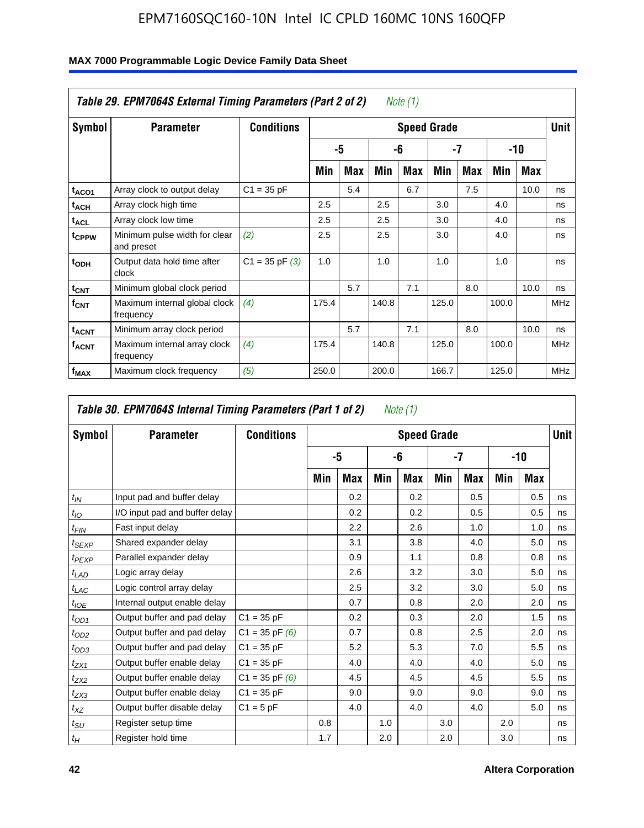|                         | Table 29. EPM7064S External Timing Parameters (Part 2 of 2) |                    |       |     |       | Note (1) |                    |     |       |      |             |
|-------------------------|-------------------------------------------------------------|--------------------|-------|-----|-------|----------|--------------------|-----|-------|------|-------------|
| Symbol                  | <b>Parameter</b>                                            | <b>Conditions</b>  |       |     |       |          | <b>Speed Grade</b> |     |       |      | <b>Unit</b> |
|                         |                                                             |                    |       | -5  |       | -6       |                    | -7  |       | -10  |             |
|                         |                                                             |                    | Min   | Max | Min   | Max      | Min                | Max | Min   | Max  |             |
| t <sub>ACO1</sub>       | Array clock to output delay                                 | $C1 = 35 pF$       |       | 5.4 |       | 6.7      |                    | 7.5 |       | 10.0 | ns          |
| $t_{ACH}$               | Array clock high time                                       |                    | 2.5   |     | 2.5   |          | 3.0                |     | 4.0   |      | ns          |
| <sup>t</sup> ACL        | Array clock low time                                        |                    | 2.5   |     | 2.5   |          | 3.0                |     | 4.0   |      | ns          |
| t <sub>CPPW</sub>       | Minimum pulse width for clear<br>and preset                 | (2)                | 2.5   |     | 2.5   |          | 3.0                |     | 4.0   |      | ns          |
| t <sub>ODH</sub>        | Output data hold time after<br>clock                        | $C1 = 35$ pF $(3)$ | 1.0   |     | 1.0   |          | 1.0                |     | 1.0   |      | ns          |
| $t_{\text{CNT}}$        | Minimum global clock period                                 |                    |       | 5.7 |       | 7.1      |                    | 8.0 |       | 10.0 | ns          |
| $f_{\text{CNT}}$        | Maximum internal global clock<br>frequency                  | (4)                | 175.4 |     | 140.8 |          | 125.0              |     | 100.0 |      | <b>MHz</b>  |
| <b>t<sub>ACNT</sub></b> | Minimum array clock period                                  |                    |       | 5.7 |       | 7.1      |                    | 8.0 |       | 10.0 | ns          |
| <sup>f</sup> acnt       | Maximum internal array clock<br>frequency                   | (4)                | 175.4 |     | 140.8 |          | 125.0              |     | 100.0 |      | <b>MHz</b>  |
| f <sub>MAX</sub>        | Maximum clock frequency                                     | (5)                | 250.0 |     | 200.0 |          | 166.7              |     | 125.0 |      | <b>MHz</b>  |

|                   | Table 30. EPM7064S Internal Timing Parameters (Part 1 of 2) |                    |     |            |     | Note (1)           |     |            |     |            |             |
|-------------------|-------------------------------------------------------------|--------------------|-----|------------|-----|--------------------|-----|------------|-----|------------|-------------|
| Symbol            | <b>Parameter</b>                                            | <b>Conditions</b>  |     |            |     | <b>Speed Grade</b> |     |            |     |            | <b>Unit</b> |
|                   |                                                             |                    |     | -5         |     | -6                 |     | -7         |     | -10        |             |
|                   |                                                             |                    | Min | <b>Max</b> | Min | Max                | Min | <b>Max</b> | Min | <b>Max</b> |             |
| $t_{IN}$          | Input pad and buffer delay                                  |                    |     | 0.2        |     | 0.2                |     | 0.5        |     | 0.5        | ns          |
| $t_{IO}$          | I/O input pad and buffer delay                              |                    |     | 0.2        |     | 0.2                |     | 0.5        |     | 0.5        | ns          |
| $t_{FIN}$         | Fast input delay                                            |                    |     | 2.2        |     | 2.6                |     | 1.0        |     | 1.0        | ns          |
| t <sub>SEXP</sub> | Shared expander delay                                       |                    |     | 3.1        |     | 3.8                |     | 4.0        |     | 5.0        | ns          |
| $t_{PEXP}$        | Parallel expander delay                                     |                    |     | 0.9        |     | 1.1                |     | 0.8        |     | 0.8        | ns          |
| $t_{LAD}$         | Logic array delay                                           |                    |     | 2.6        |     | 3.2                |     | 3.0        |     | 5.0        | ns          |
| $t_{LAC}$         | Logic control array delay                                   |                    |     | 2.5        |     | 3.2                |     | 3.0        |     | 5.0        | ns          |
| $t_{IOE}$         | Internal output enable delay                                |                    |     | 0.7        |     | 0.8                |     | 2.0        |     | 2.0        | ns          |
| $t_{OD1}$         | Output buffer and pad delay                                 | $C1 = 35 pF$       |     | 0.2        |     | 0.3                |     | 2.0        |     | 1.5        | ns          |
| $t_{OD2}$         | Output buffer and pad delay                                 | $C1 = 35$ pF $(6)$ |     | 0.7        |     | 0.8                |     | 2.5        |     | 2.0        | ns          |
| $t_{OD3}$         | Output buffer and pad delay                                 | $C1 = 35 pF$       |     | 5.2        |     | 5.3                |     | 7.0        |     | 5.5        | ns          |
| $t_{ZX1}$         | Output buffer enable delay                                  | $C1 = 35 pF$       |     | 4.0        |     | 4.0                |     | 4.0        |     | 5.0        | ns          |
| $t_{ZX2}$         | Output buffer enable delay                                  | $C1 = 35$ pF $(6)$ |     | 4.5        |     | 4.5                |     | 4.5        |     | 5.5        | ns          |
| $t_{ZX3}$         | Output buffer enable delay                                  | $C1 = 35 pF$       |     | 9.0        |     | 9.0                |     | 9.0        |     | 9.0        | ns          |
| $t_{XZ}$          | Output buffer disable delay                                 | $C1 = 5pF$         |     | 4.0        |     | 4.0                |     | 4.0        |     | 5.0        | ns          |
| $t_{\text{SU}}$   | Register setup time                                         |                    | 0.8 |            | 1.0 |                    | 3.0 |            | 2.0 |            | ns          |
| $t_H$             | Register hold time                                          |                    | 1.7 |            | 2.0 |                    | 2.0 |            | 3.0 |            | ns          |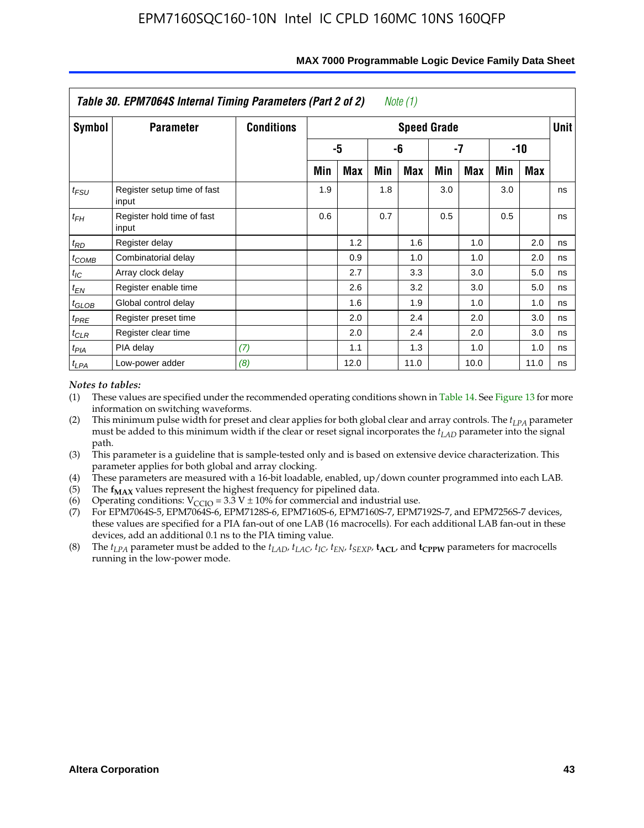|                   | Table 30. EPM7064S Internal Timing Parameters (Part 2 of 2) |                   |     |      |     | Note (1)           |     |      |     |            |             |
|-------------------|-------------------------------------------------------------|-------------------|-----|------|-----|--------------------|-----|------|-----|------------|-------------|
| Symbol            | <b>Parameter</b>                                            | <b>Conditions</b> |     |      |     | <b>Speed Grade</b> |     |      |     |            | <b>Unit</b> |
|                   |                                                             |                   |     | -5   |     | -6                 |     | -7   |     | $-10$      |             |
|                   |                                                             |                   | Min | Max  | Min | Max                | Min | Max  | Min | <b>Max</b> |             |
| $t_{FSU}$         | Register setup time of fast<br>input                        |                   | 1.9 |      | 1.8 |                    | 3.0 |      | 3.0 |            | ns          |
| $t_{FH}$          | Register hold time of fast<br>input                         |                   | 0.6 |      | 0.7 |                    | 0.5 |      | 0.5 |            | ns          |
| $t_{RD}$          | Register delay                                              |                   |     | 1.2  |     | 1.6                |     | 1.0  |     | 2.0        | ns          |
| $t_{COMB}$        | Combinatorial delay                                         |                   |     | 0.9  |     | 1.0                |     | 1.0  |     | 2.0        | ns          |
| $t_{IC}$          | Array clock delay                                           |                   |     | 2.7  |     | 3.3                |     | 3.0  |     | 5.0        | ns          |
| $t_{EN}$          | Register enable time                                        |                   |     | 2.6  |     | 3.2                |     | 3.0  |     | 5.0        | ns          |
| $t_{\text{GLOB}}$ | Global control delay                                        |                   |     | 1.6  |     | 1.9                |     | 1.0  |     | 1.0        | ns          |
| $t_{PRE}$         | Register preset time                                        |                   |     | 2.0  |     | 2.4                |     | 2.0  |     | 3.0        | ns          |
| $t_{CLR}$         | Register clear time                                         |                   |     | 2.0  |     | 2.4                |     | 2.0  |     | 3.0        | ns          |
| $t_{PIA}$         | PIA delay                                                   | (7)               |     | 1.1  |     | 1.3                |     | 1.0  |     | 1.0        | ns          |
| $t_{LPA}$         | Low-power adder                                             | (8)               |     | 12.0 |     | 11.0               |     | 10.0 |     | 11.0       | ns          |

#### **MAX 7000 Programmable Logic Device Family Data Sheet**

### *Notes to tables:*

- (1) These values are specified under the recommended operating conditions shown in Table 14. See Figure 13 for more information on switching waveforms.
- (2) This minimum pulse width for preset and clear applies for both global clear and array controls. The  $t_{LPA}$  parameter must be added to this minimum width if the clear or reset signal incorporates the *t<sub>LAD</sub>* parameter into the signal path.
- (3) This parameter is a guideline that is sample-tested only and is based on extensive device characterization. This parameter applies for both global and array clocking.
- (4) These parameters are measured with a 16-bit loadable, enabled, up/down counter programmed into each LAB.
- (5) The  $f_{MAX}$  values represent the highest frequency for pipelined data.
- (6) Operating conditions:  $V_{\text{CGO}} = 3.3 \text{ V} \pm 10\%$  for commercial and industrial use.
- (7) For EPM7064S-5, EPM7064S-6, EPM7128S-6, EPM7160S-6, EPM7160S-7, EPM7192S-7, and EPM7256S-7 devices, these values are specified for a PIA fan-out of one LAB (16 macrocells). For each additional LAB fan-out in these devices, add an additional 0.1 ns to the PIA timing value.
- (8) The  $t_{LPA}$  parameter must be added to the  $t_{LAD}$ ,  $t_{LAC}$ ,  $t_{IC}$ ,  $t_{EN}$ ,  $t_{SEXP}$ ,  $t_{ACL}$ , and  $t_{CPPW}$  parameters for macrocells running in the low-power mode.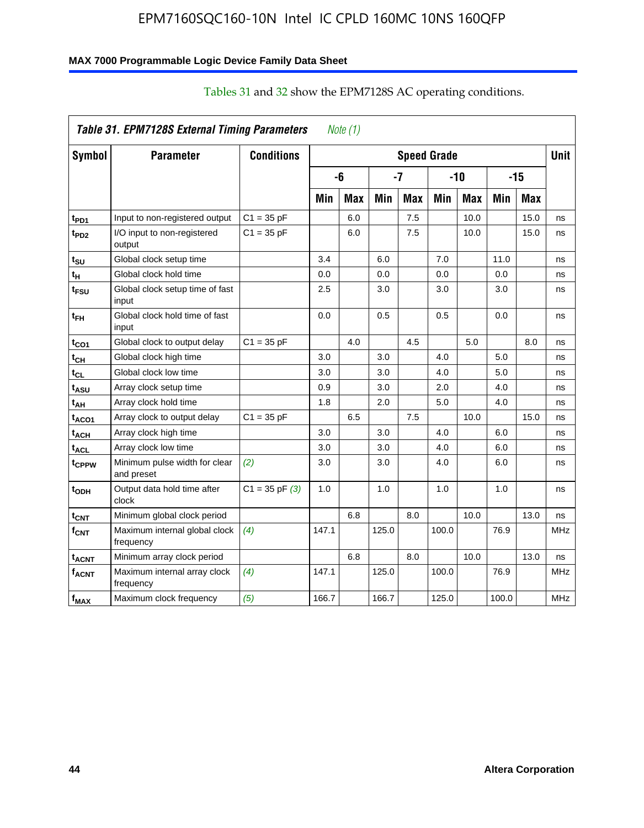### **MAX 7000 Programmable Logic Device Family Data Sheet**

|                    | Table 31. EPM7128S External Timing Parameters |                    |       | Note $(1)$ |       |            |                    |            |       |            |             |
|--------------------|-----------------------------------------------|--------------------|-------|------------|-------|------------|--------------------|------------|-------|------------|-------------|
| <b>Symbol</b>      | <b>Parameter</b>                              | <b>Conditions</b>  |       |            |       |            | <b>Speed Grade</b> |            |       |            | <b>Unit</b> |
|                    |                                               |                    | -6    |            |       | $-7$       |                    | $-10$      |       | $-15$      |             |
|                    |                                               |                    | Min   | <b>Max</b> | Min   | <b>Max</b> | Min                | <b>Max</b> | Min   | <b>Max</b> |             |
| t <sub>PD1</sub>   | Input to non-registered output                | $C1 = 35 pF$       |       | 6.0        |       | 7.5        |                    | 10.0       |       | 15.0       | ns          |
| t <sub>PD2</sub>   | I/O input to non-registered<br>output         | $C1 = 35 pF$       |       | 6.0        |       | 7.5        |                    | 10.0       |       | 15.0       | ns          |
| t <sub>SU</sub>    | Global clock setup time                       |                    | 3.4   |            | 6.0   |            | 7.0                |            | 11.0  |            | ns          |
| t <sub>Η</sub>     | Global clock hold time                        |                    | 0.0   |            | 0.0   |            | 0.0                |            | 0.0   |            | ns          |
| t <sub>FSU</sub>   | Global clock setup time of fast<br>input      |                    | 2.5   |            | 3.0   |            | 3.0                |            | 3.0   |            | ns          |
| $t_{FH}$           | Global clock hold time of fast<br>input       |                    | 0.0   |            | 0.5   |            | 0.5                |            | 0.0   |            | ns          |
| t <sub>CO1</sub>   | Global clock to output delay                  | $C1 = 35 pF$       |       | 4.0        |       | 4.5        |                    | 5.0        |       | 8.0        | ns          |
| $t_{CH}$           | Global clock high time                        |                    | 3.0   |            | 3.0   |            | 4.0                |            | 5.0   |            | ns          |
| $t_{CL}$           | Global clock low time                         |                    | 3.0   |            | 3.0   |            | 4.0                |            | 5.0   |            | ns          |
| $t_{ASU}$          | Array clock setup time                        |                    | 0.9   |            | 3.0   |            | 2.0                |            | 4.0   |            | ns          |
| t <sub>АН</sub>    | Array clock hold time                         |                    | 1.8   |            | 2.0   |            | 5.0                |            | 4.0   |            | ns          |
| t <sub>ACO1</sub>  | Array clock to output delay                   | $C1 = 35 pF$       |       | 6.5        |       | 7.5        |                    | 10.0       |       | 15.0       | ns          |
| $t_{ACH}$          | Array clock high time                         |                    | 3.0   |            | 3.0   |            | 4.0                |            | 6.0   |            | ns          |
| $t_{\sf ACL}$      | Array clock low time                          |                    | 3.0   |            | 3.0   |            | 4.0                |            | 6.0   |            | ns          |
| t <sub>CPPW</sub>  | Minimum pulse width for clear<br>and preset   | (2)                | 3.0   |            | 3.0   |            | 4.0                |            | 6.0   |            | ns          |
| t <sub>ODH</sub>   | Output data hold time after<br>clock          | $C1 = 35$ pF $(3)$ | 1.0   |            | 1.0   |            | 1.0                |            | 1.0   |            | ns          |
| $t_{\mathsf{CNT}}$ | Minimum global clock period                   |                    |       | 6.8        |       | 8.0        |                    | 10.0       |       | 13.0       | ns          |
| $f_{CNT}$          | Maximum internal global clock<br>frequency    | (4)                | 147.1 |            | 125.0 |            | 100.0              |            | 76.9  |            | <b>MHz</b>  |
| t <sub>ACNT</sub>  | Minimum array clock period                    |                    |       | 6.8        |       | 8.0        |                    | 10.0       |       | 13.0       | ns          |
| $f_{ACNT}$         | Maximum internal array clock<br>frequency     | (4)                | 147.1 |            | 125.0 |            | 100.0              |            | 76.9  |            | <b>MHz</b>  |
| f <sub>MAX</sub>   | Maximum clock frequency                       | (5)                | 166.7 |            | 166.7 |            | 125.0              |            | 100.0 |            | <b>MHz</b>  |

## Tables 31 and 32 show the EPM7128S AC operating conditions.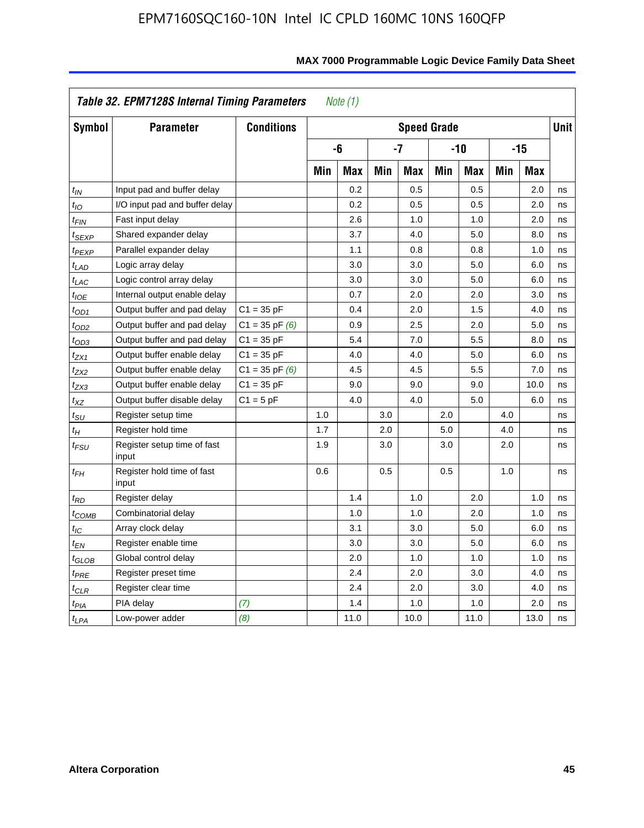| Symbol                      | <b>Parameter</b>                     | <b>Conditions</b>  |     |            |     | <b>Speed Grade</b> |     |            |     |            | <b>Unit</b> |
|-----------------------------|--------------------------------------|--------------------|-----|------------|-----|--------------------|-----|------------|-----|------------|-------------|
|                             |                                      |                    |     | -6         |     | $-7$               |     | $-10$      |     | $-15$      |             |
|                             |                                      |                    | Min | <b>Max</b> | Min | <b>Max</b>         | Min | <b>Max</b> | Min | <b>Max</b> |             |
| $t_{IN}$                    | Input pad and buffer delay           |                    |     | 0.2        |     | 0.5                |     | 0.5        |     | 2.0        | ns          |
| $t_{IO}$                    | I/O input pad and buffer delay       |                    |     | 0.2        |     | 0.5                |     | 0.5        |     | 2.0        | ns          |
| t <sub>FIN</sub>            | Fast input delay                     |                    |     | 2.6        |     | 1.0                |     | 1.0        |     | 2.0        | ns          |
| t <sub>SEXP</sub>           | Shared expander delay                |                    |     | 3.7        |     | 4.0                |     | 5.0        |     | 8.0        | ns          |
| t <sub>PEXP</sub>           | Parallel expander delay              |                    |     | 1.1        |     | 0.8                |     | 0.8        |     | 1.0        | ns          |
| $t_{LAD}$                   | Logic array delay                    |                    |     | 3.0        |     | 3.0                |     | 5.0        |     | 6.0        | ns          |
| $t_{LAC}$                   | Logic control array delay            |                    |     | 3.0        |     | 3.0                |     | 5.0        |     | 6.0        | ns          |
| $t_{IOE}$                   | Internal output enable delay         |                    |     | 0.7        |     | 2.0                |     | 2.0        |     | 3.0        | ns          |
| $t_{OD1}$                   | Output buffer and pad delay          | $C1 = 35 pF$       |     | 0.4        |     | 2.0                |     | 1.5        |     | 4.0        | ns          |
| $t_{OD2}$                   | Output buffer and pad delay          | $C1 = 35$ pF $(6)$ |     | 0.9        |     | 2.5                |     | 2.0        |     | 5.0        | ns          |
| $t_{OD3}$                   | Output buffer and pad delay          | $C1 = 35 pF$       |     | 5.4        |     | 7.0                |     | 5.5        |     | 8.0        | ns          |
| $t_{ZX1}$                   | Output buffer enable delay           | $C1 = 35 pF$       |     | 4.0        |     | 4.0                |     | 5.0        |     | 6.0        | ns          |
| $t_{ZX2}$                   | Output buffer enable delay           | $C1 = 35$ pF $(6)$ |     | 4.5        |     | 4.5                |     | 5.5        |     | 7.0        | ns          |
| $t_{ZX3}$                   | Output buffer enable delay           | $C1 = 35 pF$       |     | 9.0        |     | 9.0                |     | 9.0        |     | 10.0       | ns          |
| $t_{XZ}$                    | Output buffer disable delay          | $C1 = 5pF$         |     | 4.0        |     | 4.0                |     | 5.0        |     | 6.0        | ns          |
| $t_{\scriptstyle\text{SU}}$ | Register setup time                  |                    | 1.0 |            | 3.0 |                    | 2.0 |            | 4.0 |            | ns          |
| $t_H$                       | Register hold time                   |                    | 1.7 |            | 2.0 |                    | 5.0 |            | 4.0 |            | ns          |
| $t_{\it FSU}$               | Register setup time of fast<br>input |                    | 1.9 |            | 3.0 |                    | 3.0 |            | 2.0 |            | ns          |
| $t_{FH}$                    | Register hold time of fast<br>input  |                    | 0.6 |            | 0.5 |                    | 0.5 |            | 1.0 |            | ns          |
| $t_{RD}$                    | Register delay                       |                    |     | 1.4        |     | 1.0                |     | 2.0        |     | 1.0        | ns          |
| $t_{\mathsf{COMB}}$         | Combinatorial delay                  |                    |     | 1.0        |     | 1.0                |     | 2.0        |     | 1.0        | ns          |
| $t_{\mathcal{IC}}$          | Array clock delay                    |                    |     | 3.1        |     | 3.0                |     | 5.0        |     | 6.0        | ns          |
| t <sub>EN</sub>             | Register enable time                 |                    |     | 3.0        |     | 3.0                |     | 5.0        |     | 6.0        | ns          |
| $t_{\scriptstyle\rm GLOB}$  | Global control delay                 |                    |     | 2.0        |     | 1.0                |     | 1.0        |     | 1.0        | ns          |
| $t_{PRE}$                   | Register preset time                 |                    |     | 2.4        |     | 2.0                |     | 3.0        |     | 4.0        | ns          |
| $t_{CLR}$                   | Register clear time                  |                    |     | 2.4        |     | 2.0                |     | 3.0        |     | 4.0        | ns          |
| t <sub>PIA</sub>            | PIA delay                            | (7)                |     | 1.4        |     | 1.0                |     | 1.0        |     | 2.0        | ns          |
| $t_{LPA}$                   | Low-power adder                      | (8)                |     | 11.0       |     | 10.0               |     | 11.0       |     | 13.0       | ns          |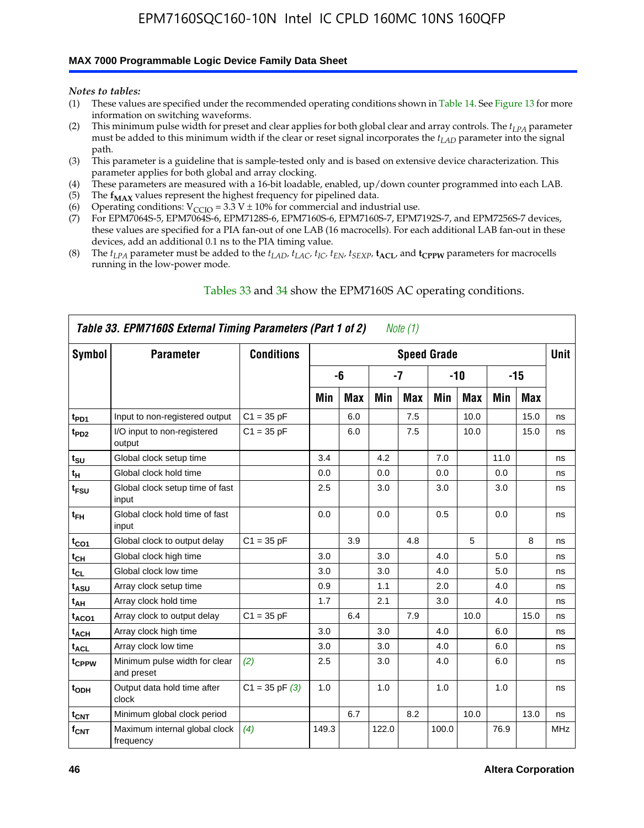#### **MAX 7000 Programmable Logic Device Family Data Sheet**

*Notes to tables:*

- (1) These values are specified under the recommended operating conditions shown in Table 14. See Figure 13 for more information on switching waveforms.
- (2) This minimum pulse width for preset and clear applies for both global clear and array controls. The  $t_{LPA}$  parameter must be added to this minimum width if the clear or reset signal incorporates the *tLAD* parameter into the signal path.
- (3) This parameter is a guideline that is sample-tested only and is based on extensive device characterization. This parameter applies for both global and array clocking.
- (4) These parameters are measured with a 16-bit loadable, enabled, up/down counter programmed into each LAB.
- (5) The  $f_{MAX}$  values represent the highest frequency for pipelined data.
- (6) Operating conditions:  $V_{\text{CCIO}} = 3.3 \text{ V} \pm 10\%$  for commercial and industrial use.
- (7) For EPM7064S-5, EPM7064S-6, EPM7128S-6, EPM7160S-6, EPM7160S-7, EPM7192S-7, and EPM7256S-7 devices, these values are specified for a PIA fan-out of one LAB (16 macrocells). For each additional LAB fan-out in these devices, add an additional 0.1 ns to the PIA timing value.
- (8) The  $t_{LPA}$  parameter must be added to the  $t_{LAD}$ ,  $t_{LAC}$ ,  $t_{IC}$ ,  $t_{EN}$ ,  $t_{SEXP}$ ,  $t_{ACL}$ , and  $t_{CPPW}$  parameters for macrocells running in the low-power mode.

|                  | Table 33. EPM7160S External Timing Parameters (Part 1 of 2) |                    |       |            |       | Note (1)   |                    |            |      |      |            |
|------------------|-------------------------------------------------------------|--------------------|-------|------------|-------|------------|--------------------|------------|------|------|------------|
| Symbol           | <b>Parameter</b>                                            | <b>Conditions</b>  |       |            |       |            | <b>Speed Grade</b> |            |      |      | Unit       |
|                  |                                                             |                    |       | -6         |       | -7         |                    | -10        |      | -15  |            |
|                  |                                                             |                    | Min   | <b>Max</b> | Min   | <b>Max</b> | Min                | <b>Max</b> | Min  | Max  |            |
| t <sub>PD1</sub> | Input to non-registered output                              | $C1 = 35 pF$       |       | 6.0        |       | 7.5        |                    | 10.0       |      | 15.0 | ns         |
| t <sub>PD2</sub> | I/O input to non-registered<br>output                       | $C1 = 35 pF$       |       | 6.0        |       | 7.5        |                    | 10.0       |      | 15.0 | ns         |
| $t_{\text{SU}}$  | Global clock setup time                                     |                    | 3.4   |            | 4.2   |            | 7.0                |            | 11.0 |      | ns         |
| $t_H$            | Global clock hold time                                      |                    | 0.0   |            | 0.0   |            | 0.0                |            | 0.0  |      | ns         |
| t <sub>FSU</sub> | Global clock setup time of fast<br>input                    |                    | 2.5   |            | 3.0   |            | 3.0                |            | 3.0  |      | ns         |
| $t_{FH}$         | Global clock hold time of fast<br>input                     |                    | 0.0   |            | 0.0   |            | 0.5                |            | 0.0  |      | ns         |
| $t_{CO1}$        | Global clock to output delay                                | $C1 = 35 pF$       |       | 3.9        |       | 4.8        |                    | 5          |      | 8    | ns         |
| $t_{CH}$         | Global clock high time                                      |                    | 3.0   |            | 3.0   |            | 4.0                |            | 5.0  |      | ns         |
| $t_{CL}$         | Global clock low time                                       |                    | 3.0   |            | 3.0   |            | 4.0                |            | 5.0  |      | ns         |
| t <sub>ASU</sub> | Array clock setup time                                      |                    | 0.9   |            | 1.1   |            | 2.0                |            | 4.0  |      | ns         |
| t <sub>АН</sub>  | Array clock hold time                                       |                    | 1.7   |            | 2.1   |            | 3.0                |            | 4.0  |      | ns         |
| $t_{ACO1}$       | Array clock to output delay                                 | $C1 = 35 pF$       |       | 6.4        |       | 7.9        |                    | 10.0       |      | 15.0 | ns         |
| $t_{ACH}$        | Array clock high time                                       |                    | 3.0   |            | 3.0   |            | 4.0                |            | 6.0  |      | ns         |
| $t_{\sf ACL}$    | Array clock low time                                        |                    | 3.0   |            | 3.0   |            | 4.0                |            | 6.0  |      | ns         |
| tcppw            | Minimum pulse width for clear<br>and preset                 | (2)                | 2.5   |            | 3.0   |            | 4.0                |            | 6.0  |      | ns         |
| t <sub>ODH</sub> | Output data hold time after<br>clock                        | $C1 = 35$ pF $(3)$ | 1.0   |            | 1.0   |            | 1.0                |            | 1.0  |      | ns         |
| $t_{\text{CNT}}$ | Minimum global clock period                                 |                    |       | 6.7        |       | 8.2        |                    | 10.0       |      | 13.0 | ns         |
| $f_{\text{CNT}}$ | Maximum internal global clock<br>frequency                  | (4)                | 149.3 |            | 122.0 |            | 100.0              |            | 76.9 |      | <b>MHz</b> |

### Tables 33 and 34 show the EPM7160S AC operating conditions.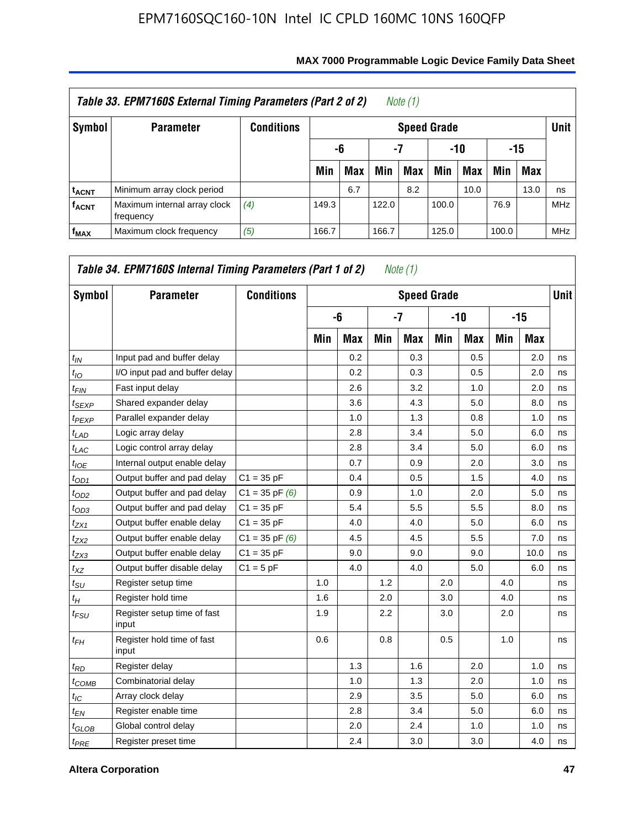|                         | Table 33. EPM7160S External Timing Parameters (Part 2 of 2) |                   |       |                        |       | Note (1)   |       |      |       |            |            |  |  |
|-------------------------|-------------------------------------------------------------|-------------------|-------|------------------------|-------|------------|-------|------|-------|------------|------------|--|--|
| Symbol                  | <b>Parameter</b>                                            | <b>Conditions</b> |       | <b>Speed Grade</b>     |       |            |       |      |       |            |            |  |  |
|                         |                                                             |                   |       | -7<br>-10<br>-15<br>-6 |       |            |       |      |       |            |            |  |  |
|                         |                                                             |                   | Min   | <b>Max</b>             | Min   | <b>Max</b> | Min   | Max  | Min   | <b>Max</b> |            |  |  |
| <sup>t</sup> acnt       | Minimum array clock period                                  |                   |       | 6.7                    |       | 8.2        |       | 10.0 |       | 13.0       | ns         |  |  |
| <b>f<sub>ACNT</sub></b> | Maximum internal array clock<br>frequency                   | (4)               | 149.3 |                        | 122.0 |            | 100.0 |      | 76.9  |            | <b>MHz</b> |  |  |
| $f_{MAX}$               | Maximum clock frequency                                     | (5)               | 166.7 |                        | 166.7 |            | 125.0 |      | 100.0 |            | <b>MHz</b> |  |  |

| Symbol                      | <b>Parameter</b>                     | <b>Conditions</b>  |     |            |     | <b>Speed Grade</b> |     |            |     |            | <b>Unit</b> |
|-----------------------------|--------------------------------------|--------------------|-----|------------|-----|--------------------|-----|------------|-----|------------|-------------|
|                             |                                      |                    |     | -6         |     | $-7$               |     | $-10$      |     | $-15$      |             |
|                             |                                      |                    | Min | <b>Max</b> | Min | <b>Max</b>         | Min | <b>Max</b> | Min | <b>Max</b> |             |
| $t_{IN}$                    | Input pad and buffer delay           |                    |     | 0.2        |     | 0.3                |     | 0.5        |     | 2.0        | ns          |
| $t_{IO}$                    | I/O input pad and buffer delay       |                    |     | 0.2        |     | 0.3                |     | 0.5        |     | 2.0        | ns          |
| $t_{FIN}$                   | Fast input delay                     |                    |     | 2.6        |     | 3.2                |     | 1.0        |     | 2.0        | ns          |
| $t_{SEXP}$                  | Shared expander delay                |                    |     | 3.6        |     | 4.3                |     | 5.0        |     | 8.0        | ns          |
| <sup>t</sup> PEXP           | Parallel expander delay              |                    |     | 1.0        |     | 1.3                |     | 0.8        |     | 1.0        | ns          |
| $t_{LAD}$                   | Logic array delay                    |                    |     | 2.8        |     | 3.4                |     | 5.0        |     | 6.0        | ns          |
| $t_{LAC}$                   | Logic control array delay            |                    |     | 2.8        |     | 3.4                |     | 5.0        |     | 6.0        | ns          |
| $t_{IOE}$                   | Internal output enable delay         |                    |     | 0.7        |     | 0.9                |     | 2.0        |     | 3.0        | ns          |
| $t_{OD1}$                   | Output buffer and pad delay          | $C1 = 35 pF$       |     | 0.4        |     | 0.5                |     | 1.5        |     | 4.0        | ns          |
| $t_{OD2}$                   | Output buffer and pad delay          | $C1 = 35$ pF $(6)$ |     | 0.9        |     | 1.0                |     | 2.0        |     | 5.0        | ns          |
| $t_{OD3}$                   | Output buffer and pad delay          | $C1 = 35 pF$       |     | 5.4        |     | 5.5                |     | 5.5        |     | 8.0        | ns          |
| $t_{ZX1}$                   | Output buffer enable delay           | $C1 = 35 pF$       |     | 4.0        |     | 4.0                |     | 5.0        |     | 6.0        | ns          |
| $t_{ZX2}$                   | Output buffer enable delay           | $C1 = 35$ pF $(6)$ |     | 4.5        |     | 4.5                |     | 5.5        |     | 7.0        | ns          |
| $t_{ZX3}$                   | Output buffer enable delay           | $C1 = 35 pF$       |     | 9.0        |     | 9.0                |     | 9.0        |     | 10.0       | ns          |
| $t_{XZ}$                    | Output buffer disable delay          | $C1 = 5pF$         |     | 4.0        |     | 4.0                |     | 5.0        |     | 6.0        | ns          |
| $t_{\scriptstyle\text{SU}}$ | Register setup time                  |                    | 1.0 |            | 1.2 |                    | 2.0 |            | 4.0 |            | ns          |
| $t_H$                       | Register hold time                   |                    | 1.6 |            | 2.0 |                    | 3.0 |            | 4.0 |            | ns          |
| t <sub>FSU</sub>            | Register setup time of fast<br>input |                    | 1.9 |            | 2.2 |                    | 3.0 |            | 2.0 |            | ns          |
| $t_{FH}$                    | Register hold time of fast<br>input  |                    | 0.6 |            | 0.8 |                    | 0.5 |            | 1.0 |            | ns          |
| $t_{RD}$                    | Register delay                       |                    |     | 1.3        |     | 1.6                |     | 2.0        |     | 1.0        | ns          |
| $t_{COMB}$                  | Combinatorial delay                  |                    |     | 1.0        |     | 1.3                |     | 2.0        |     | 1.0        | ns          |
| $t_{IC}$                    | Array clock delay                    |                    |     | 2.9        |     | 3.5                |     | 5.0        |     | 6.0        | ns          |
| $t_{EN}$                    | Register enable time                 |                    |     | 2.8        |     | 3.4                |     | 5.0        |     | 6.0        | ns          |
| t <sub>GLOB</sub>           | Global control delay                 |                    |     | 2.0        |     | 2.4                |     | 1.0        |     | 1.0        | ns          |
| $t_{PRE}$                   | Register preset time                 |                    |     | 2.4        |     | 3.0                |     | 3.0        |     | 4.0        | ns          |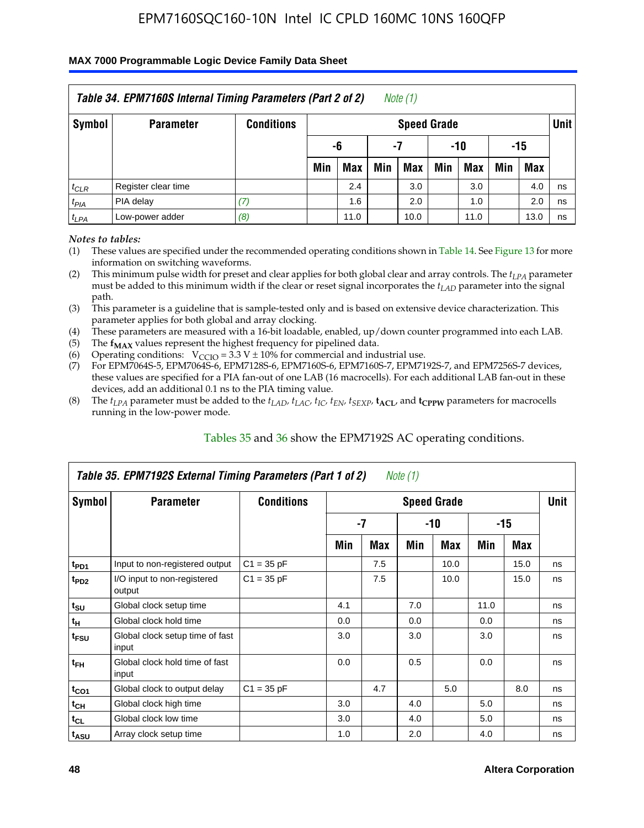### **MAX 7000 Programmable Logic Device Family Data Sheet**

|           | Table 34. EPM7160S Internal Timing Parameters (Part 2 of 2) |                   |                        |            |     | Note $(1)$         |     |      |     |            |             |  |
|-----------|-------------------------------------------------------------|-------------------|------------------------|------------|-----|--------------------|-----|------|-----|------------|-------------|--|
| Symbol    | <b>Parameter</b>                                            | <b>Conditions</b> |                        |            |     | <b>Speed Grade</b> |     |      |     |            | <b>Unit</b> |  |
|           |                                                             |                   | -15<br>-6<br>-7<br>-10 |            |     |                    |     |      |     |            |             |  |
|           |                                                             |                   | Min                    | <b>Max</b> | Min | <b>Max</b>         | Min | Max  | Min | <b>Max</b> |             |  |
| $t_{CLR}$ | Register clear time                                         |                   |                        | 2.4        |     | 3.0                |     | 3.0  |     | 4.0        | ns          |  |
| $t_{PIA}$ | PIA delay                                                   | (7)               |                        | 1.6        |     | 2.0                |     | 1.0  |     | 2.0        | ns          |  |
| $t_{LPA}$ | Low-power adder                                             | (8)               |                        | 11.0       |     | 10.0               |     | 11.0 |     | 13.0       | ns          |  |

*Notes to tables:*

- (1) These values are specified under the recommended operating conditions shown in Table 14. See Figure 13 for more information on switching waveforms.
- (2) This minimum pulse width for preset and clear applies for both global clear and array controls. The  $t_{LPA}$  parameter must be added to this minimum width if the clear or reset signal incorporates the *t<sub>LAD</sub>* parameter into the signal path.
- (3) This parameter is a guideline that is sample-tested only and is based on extensive device characterization. This parameter applies for both global and array clocking.
- (4) These parameters are measured with a 16-bit loadable, enabled, up/down counter programmed into each LAB.
- (5) The  $f_{MAX}$  values represent the highest frequency for pipelined data.
- (6) Operating conditions:  $V_{\text{CCIO}} = 3.3 V \pm 10\%$  for commercial and industrial use.
- (7) For EPM7064S-5, EPM7064S-6, EPM7128S-6, EPM7160S-6, EPM7160S-7, EPM7192S-7, and EPM7256S-7 devices, these values are specified for a PIA fan-out of one LAB (16 macrocells). For each additional LAB fan-out in these devices, add an additional 0.1 ns to the PIA timing value.
- (8) The  $t_{LPA}$  parameter must be added to the  $t_{LAP}$ ,  $t_{LAC}$ ,  $t_{IC}$ ,  $t_{EN}$ ,  $t_{SEXP}$ ,  $t_{ACL}$ , and  $t_{CPPW}$  parameters for macrocells running in the low-power mode.

|                             | Table 35. EPM7192S External Timing Parameters (Part 1 of 2) |                   |     |     | Note $(1)$ |                    |      |       |             |
|-----------------------------|-------------------------------------------------------------|-------------------|-----|-----|------------|--------------------|------|-------|-------------|
| Symbol                      | <b>Parameter</b>                                            | <b>Conditions</b> |     |     |            | <b>Speed Grade</b> |      |       | <b>Unit</b> |
|                             |                                                             |                   |     | -7  |            | -10                |      | $-15$ |             |
|                             |                                                             |                   | Min | Max | Min        | Max                | Min  | Max   |             |
| t <sub>PD1</sub>            | Input to non-registered output                              | $C1 = 35 pF$      |     | 7.5 |            | 10.0               |      | 15.0  | ns          |
| $t_{PD2}$                   | I/O input to non-registered<br>output                       | $C1 = 35 pF$      |     | 7.5 |            | 10.0               |      | 15.0  | ns          |
| $t_{\scriptstyle\text{SU}}$ | Global clock setup time                                     |                   | 4.1 |     | 7.0        |                    | 11.0 |       | ns          |
| $t_H$                       | Global clock hold time                                      |                   | 0.0 |     | 0.0        |                    | 0.0  |       | ns          |
| t <sub>FSU</sub>            | Global clock setup time of fast<br>input                    |                   | 3.0 |     | 3.0        |                    | 3.0  |       | ns          |
| $t_{FH}$                    | Global clock hold time of fast<br>input                     |                   | 0.0 |     | 0.5        |                    | 0.0  |       | ns          |
| $t_{CO1}$                   | Global clock to output delay                                | $C1 = 35 pF$      |     | 4.7 |            | 5.0                |      | 8.0   | ns          |
| $t_{CH}$                    | Global clock high time                                      |                   | 3.0 |     | 4.0        |                    | 5.0  |       | ns          |
| $t_{CL}$                    | Global clock low time                                       |                   | 3.0 |     | 4.0        |                    | 5.0  |       | ns          |
| t <sub>ASU</sub>            | Array clock setup time                                      |                   | 1.0 |     | 2.0        |                    | 4.0  |       | ns          |

### Tables 35 and 36 show the EPM7192S AC operating conditions.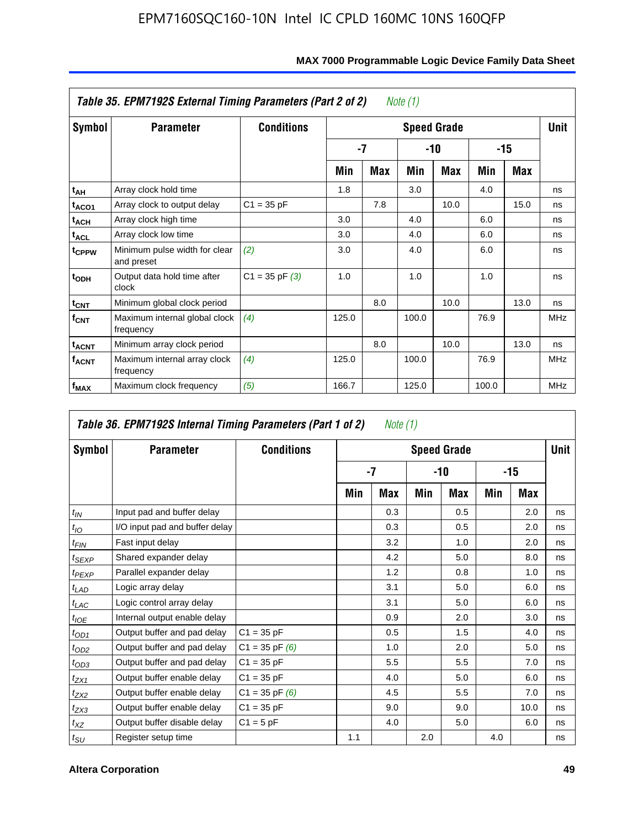|                         | Table 35. EPM7192S External Timing Parameters (Part 2 of 2) |                    |       |            | Note (1) |                    |       |      |            |
|-------------------------|-------------------------------------------------------------|--------------------|-------|------------|----------|--------------------|-------|------|------------|
| Symbol                  | <b>Parameter</b>                                            | <b>Conditions</b>  |       |            |          | <b>Speed Grade</b> |       |      | Unit       |
|                         |                                                             |                    |       | -7         |          | -10                |       | -15  |            |
|                         |                                                             |                    | Min   | <b>Max</b> | Min      | <b>Max</b>         | Min   | Max  |            |
| t <sub>АН</sub>         | Array clock hold time                                       |                    | 1.8   |            | 3.0      |                    | 4.0   |      | ns         |
| t <sub>ACO1</sub>       | Array clock to output delay                                 | $C1 = 35 pF$       |       | 7.8        |          | 10.0               |       | 15.0 | ns         |
| $t_{\sf ACH}$           | Array clock high time                                       |                    | 3.0   |            | 4.0      |                    | 6.0   |      | ns         |
| $t_{\sf ACL}$           | Array clock low time                                        |                    | 3.0   |            | 4.0      |                    | 6.0   |      | ns         |
| t <sub>CPPW</sub>       | Minimum pulse width for clear<br>and preset                 | (2)                | 3.0   |            | 4.0      |                    | 6.0   |      | ns         |
| $t_{ODH}$               | Output data hold time after<br>clock                        | $C1 = 35$ pF $(3)$ | 1.0   |            | 1.0      |                    | 1.0   |      | ns         |
| $t_{\text{CNT}}$        | Minimum global clock period                                 |                    |       | 8.0        |          | 10.0               |       | 13.0 | ns         |
| $f_{\text{CNT}}$        | Maximum internal global clock<br>frequency                  | (4)                | 125.0 |            | 100.0    |                    | 76.9  |      | <b>MHz</b> |
| $t_{ACNT}$              | Minimum array clock period                                  |                    |       | 8.0        |          | 10.0               |       | 13.0 | ns         |
| <b>f<sub>ACNT</sub></b> | Maximum internal array clock<br>frequency                   | (4)                | 125.0 |            | 100.0    |                    | 76.9  |      | <b>MHz</b> |
| f <sub>MAX</sub>        | Maximum clock frequency                                     | (5)                | 166.7 |            | 125.0    |                    | 100.0 |      | <b>MHz</b> |

|                             | Table 36. EPM7192S Internal Timing Parameters (Part 1 of 2) |                    |     | Note (1) |     |                    |     |      |             |
|-----------------------------|-------------------------------------------------------------|--------------------|-----|----------|-----|--------------------|-----|------|-------------|
| Symbol                      | <b>Parameter</b>                                            | <b>Conditions</b>  |     |          |     | <b>Speed Grade</b> |     |      | <b>Unit</b> |
|                             |                                                             |                    |     | -7       |     | $-10$              |     | -15  |             |
|                             |                                                             |                    | Min | Max      | Min | Max                | Min | Max  |             |
| $t_{IN}$                    | Input pad and buffer delay                                  |                    |     | 0.3      |     | 0.5                |     | 2.0  | ns          |
| $t_{IO}$                    | I/O input pad and buffer delay                              |                    |     | 0.3      |     | 0.5                |     | 2.0  | ns          |
| $t_{FIN}$                   | Fast input delay                                            |                    |     | 3.2      |     | 1.0                |     | 2.0  | ns          |
| t <sub>SEXP</sub>           | Shared expander delay                                       |                    |     | 4.2      |     | 5.0                |     | 8.0  | ns          |
| $t_{PEXP}$                  | Parallel expander delay                                     |                    |     | 1.2      |     | 0.8                |     | 1.0  | ns          |
| $t_{LAD}$                   | Logic array delay                                           |                    |     | 3.1      |     | 5.0                |     | 6.0  | ns          |
| $t_{LAC}$                   | Logic control array delay                                   |                    |     | 3.1      |     | 5.0                |     | 6.0  | ns          |
| $t_{IOE}$                   | Internal output enable delay                                |                    |     | 0.9      |     | 2.0                |     | 3.0  | ns          |
| $t_{OD1}$                   | Output buffer and pad delay                                 | $C1 = 35 pF$       |     | 0.5      |     | 1.5                |     | 4.0  | ns          |
| $t_{OD2}$                   | Output buffer and pad delay                                 | $C1 = 35$ pF $(6)$ |     | 1.0      |     | 2.0                |     | 5.0  | ns          |
| $t_{OD3}$                   | Output buffer and pad delay                                 | $C1 = 35 pF$       |     | 5.5      |     | 5.5                |     | 7.0  | ns          |
| $t_{ZX1}$                   | Output buffer enable delay                                  | $C1 = 35 pF$       |     | 4.0      |     | 5.0                |     | 6.0  | ns          |
| $t_{ZX2}$                   | Output buffer enable delay                                  | $C1 = 35$ pF $(6)$ |     | 4.5      |     | 5.5                |     | 7.0  | ns          |
| $t_{ZX3}$                   | Output buffer enable delay                                  | $C1 = 35 pF$       |     | 9.0      |     | 9.0                |     | 10.0 | ns          |
| $t_{XZ}$                    | Output buffer disable delay                                 | $C1 = 5pF$         |     | 4.0      |     | 5.0                |     | 6.0  | ns          |
| $t_{\scriptstyle\text{SU}}$ | Register setup time                                         |                    | 1.1 |          | 2.0 |                    | 4.0 |      | ns          |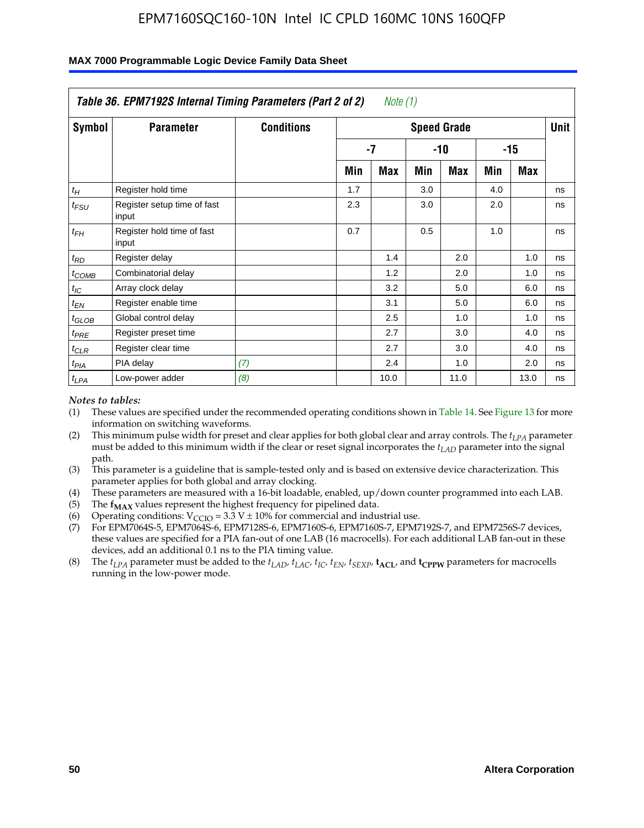|                    | Table 36. EPM7192S Internal Timing Parameters (Part 2 of 2) |                   |     | Note $(1)$ |     |                    |     |            |      |
|--------------------|-------------------------------------------------------------|-------------------|-----|------------|-----|--------------------|-----|------------|------|
| Symbol             | <b>Parameter</b>                                            | <b>Conditions</b> |     |            |     | <b>Speed Grade</b> |     |            | Unit |
|                    |                                                             |                   |     | $-7$       |     | -10                |     | $-15$      |      |
|                    |                                                             |                   | Min | <b>Max</b> | Min | <b>Max</b>         | Min | <b>Max</b> |      |
| $t_H$              | Register hold time                                          |                   | 1.7 |            | 3.0 |                    | 4.0 |            | ns   |
| $t_{\mathit{FSU}}$ | Register setup time of fast<br>input                        |                   | 2.3 |            | 3.0 |                    | 2.0 |            | ns   |
| $t_{FH}$           | Register hold time of fast<br>input                         |                   | 0.7 |            | 0.5 |                    | 1.0 |            | ns   |
| $t_{RD}$           | Register delay                                              |                   |     | 1.4        |     | 2.0                |     | 1.0        | ns   |
| $t_{COMB}$         | Combinatorial delay                                         |                   |     | 1.2        |     | 2.0                |     | 1.0        | ns   |
| $t_{IC}$           | Array clock delay                                           |                   |     | 3.2        |     | 5.0                |     | 6.0        | ns   |
| $t_{EN}$           | Register enable time                                        |                   |     | 3.1        |     | 5.0                |     | 6.0        | ns   |
| $t_{GLOB}$         | Global control delay                                        |                   |     | 2.5        |     | 1.0                |     | 1.0        | ns   |
| $t_{PRE}$          | Register preset time                                        |                   |     | 2.7        |     | 3.0                |     | 4.0        | ns   |
| $t_{CLR}$          | Register clear time                                         |                   |     | 2.7        |     | 3.0                |     | 4.0        | ns   |
| t <sub>PIA</sub>   | PIA delay                                                   | (7)               |     | 2.4        |     | 1.0                |     | 2.0        | ns   |
| $t_{LPA}$          | Low-power adder                                             | (8)               |     | 10.0       |     | 11.0               |     | 13.0       | ns   |

#### **MAX 7000 Programmable Logic Device Family Data Sheet**

#### *Notes to tables:*

- (1) These values are specified under the recommended operating conditions shown in Table 14. See Figure 13 for more information on switching waveforms.
- (2) This minimum pulse width for preset and clear applies for both global clear and array controls. The *tLPA* parameter must be added to this minimum width if the clear or reset signal incorporates the *t<sub>LAD</sub>* parameter into the signal path.
- (3) This parameter is a guideline that is sample-tested only and is based on extensive device characterization. This parameter applies for both global and array clocking.
- (4) These parameters are measured with a 16-bit loadable, enabled, up/down counter programmed into each LAB.
- (5) The  $f_{MAX}$  values represent the highest frequency for pipelined data.
- (6) Operating conditions:  $V_{\text{CCIO}} = 3.3 \text{ V} \pm 10\%$  for commercial and industrial use.
- (7) For EPM7064S-5, EPM7064S-6, EPM7128S-6, EPM7160S-6, EPM7160S-7, EPM7192S-7, and EPM7256S-7 devices, these values are specified for a PIA fan-out of one LAB (16 macrocells). For each additional LAB fan-out in these devices, add an additional 0.1 ns to the PIA timing value.
- (8) The  $t_{LPA}$  parameter must be added to the  $t_{LAD}$ ,  $t_{LAC}$ ,  $t_{IC}$ ,  $t_{EN}$ ,  $t_{SIX}$ ,  $t_{ACL}$ , and  $t_{CPW}$  parameters for macrocells running in the low-power mode.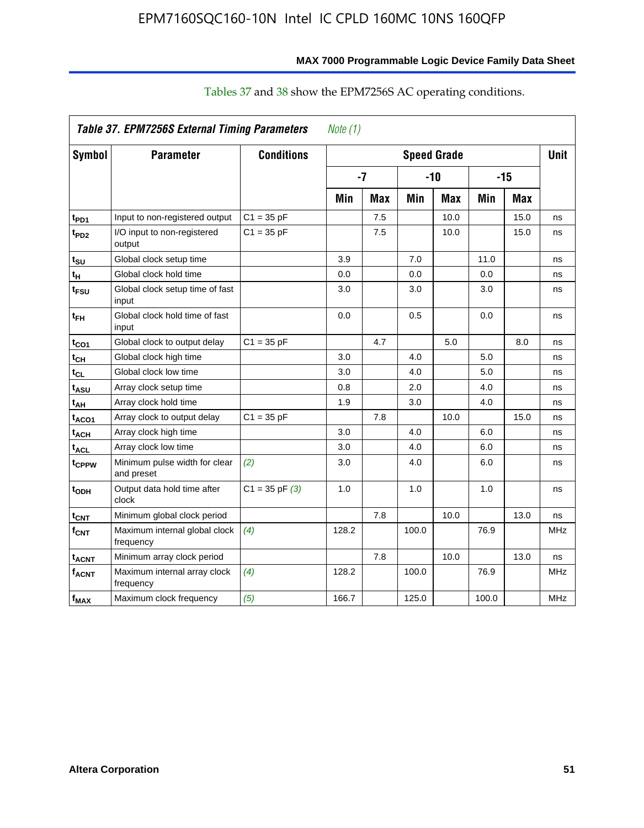|                        | <b>Table 37. EPM7256S External Timing Parameters</b> |                    | Note (1) |            |                    |            |       |            |             |
|------------------------|------------------------------------------------------|--------------------|----------|------------|--------------------|------------|-------|------------|-------------|
| Symbol                 | <b>Parameter</b>                                     | <b>Conditions</b>  |          |            | <b>Speed Grade</b> |            |       |            | <b>Unit</b> |
|                        |                                                      |                    | $-7$     |            | $-10$              |            | $-15$ |            |             |
|                        |                                                      |                    | Min      | <b>Max</b> | Min                | <b>Max</b> | Min   | <b>Max</b> |             |
| t <sub>PD1</sub>       | Input to non-registered output                       | $C1 = 35 pF$       |          | 7.5        |                    | 10.0       |       | 15.0       | ns          |
| t <sub>PD2</sub>       | I/O input to non-registered<br>output                | $C1 = 35 pF$       |          | 7.5        |                    | 10.0       |       | 15.0       | ns          |
| $t_{\text{SU}}$        | Global clock setup time                              |                    | 3.9      |            | 7.0                |            | 11.0  |            | ns          |
| $t_H$                  | Global clock hold time                               |                    | 0.0      |            | 0.0                |            | 0.0   |            | ns          |
| $t_{FSU}$              | Global clock setup time of fast<br>input             |                    | 3.0      |            | 3.0                |            | 3.0   |            | ns          |
| $t_{\sf FH}$           | Global clock hold time of fast<br>input              |                    | 0.0      |            | 0.5                |            | 0.0   |            | ns          |
| $t_{CO1}$              | Global clock to output delay                         | $C1 = 35 pF$       |          | 4.7        |                    | 5.0        |       | 8.0        | ns          |
| $t_{CH}$               | Global clock high time                               |                    | 3.0      |            | 4.0                |            | 5.0   |            | ns          |
| $t_{CL}$               | Global clock low time                                |                    | 3.0      |            | 4.0                |            | 5.0   |            | ns          |
| t <sub>ASU</sub>       | Array clock setup time                               |                    | 0.8      |            | 2.0                |            | 4.0   |            | ns          |
| $t_{AH}$               | Array clock hold time                                |                    | 1.9      |            | 3.0                |            | 4.0   |            | ns          |
| t <sub>ACO1</sub>      | Array clock to output delay                          | $C1 = 35 pF$       |          | 7.8        |                    | 10.0       |       | 15.0       | ns          |
| <b>t<sub>ACH</sub></b> | Array clock high time                                |                    | 3.0      |            | 4.0                |            | 6.0   |            | ns          |
| $t_{\text{ACL}}$       | Array clock low time                                 |                    | 3.0      |            | 4.0                |            | 6.0   |            | ns          |
| t <sub>CPPW</sub>      | Minimum pulse width for clear<br>and preset          | (2)                | 3.0      |            | 4.0                |            | 6.0   |            | ns          |
| t <sub>ODH</sub>       | Output data hold time after<br>clock                 | $C1 = 35$ pF $(3)$ | 1.0      |            | 1.0                |            | 1.0   |            | ns          |
| $t_{\text{CNI}}$       | Minimum global clock period                          |                    |          | 7.8        |                    | 10.0       |       | 13.0       | ns          |
| $f_{CNT}$              | Maximum internal global clock<br>frequency           | (4)                | 128.2    |            | 100.0              |            | 76.9  |            | <b>MHz</b>  |
| t <sub>ACNT</sub>      | Minimum array clock period                           |                    |          | 7.8        |                    | 10.0       |       | 13.0       | ns          |
| $f_{ACNT}$             | Maximum internal array clock<br>frequency            | (4)                | 128.2    |            | 100.0              |            | 76.9  |            | <b>MHz</b>  |
| $f_{\text{MAX}}$       | Maximum clock frequency                              | (5)                | 166.7    |            | 125.0              |            | 100.0 |            | <b>MHz</b>  |

## Tables 37 and 38 show the EPM7256S AC operating conditions.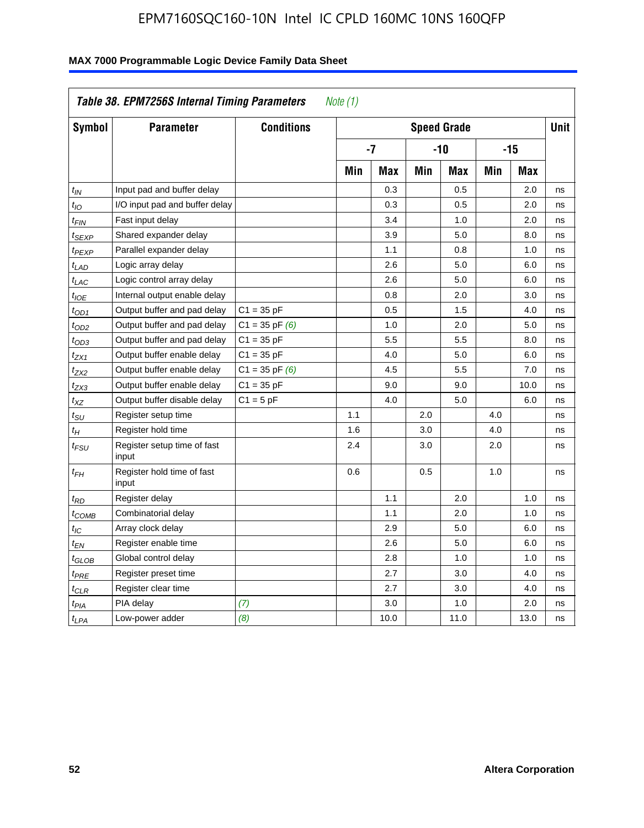| Symbol                      | <b>Parameter</b>                     | <b>Conditions</b>  |     |            |     | <b>Speed Grade</b> |            |            | <b>Unit</b> |
|-----------------------------|--------------------------------------|--------------------|-----|------------|-----|--------------------|------------|------------|-------------|
|                             |                                      |                    |     | -7         |     | $-10$              |            | $-15$      |             |
|                             |                                      |                    | Min | <b>Max</b> | Min | <b>Max</b>         | <b>Min</b> | <b>Max</b> |             |
| $t_{IN}$                    | Input pad and buffer delay           |                    |     | 0.3        |     | 0.5                |            | 2.0        | ns          |
| $t_{IO}$                    | I/O input pad and buffer delay       |                    |     | 0.3        |     | 0.5                |            | 2.0        | ns          |
| t <sub>FIN</sub>            | Fast input delay                     |                    |     | 3.4        |     | 1.0                |            | 2.0        | ns          |
| t <sub>SEXP</sub>           | Shared expander delay                |                    |     | 3.9        |     | 5.0                |            | 8.0        | ns          |
| t <sub>PEXP</sub>           | Parallel expander delay              |                    |     | 1.1        |     | 0.8                |            | 1.0        | ns          |
| t <sub>LAD</sub>            | Logic array delay                    |                    |     | 2.6        |     | 5.0                |            | 6.0        | ns          |
| $t_{LAC}$                   | Logic control array delay            |                    |     | 2.6        |     | 5.0                |            | 6.0        | ns          |
| $t_{IOE}$                   | Internal output enable delay         |                    |     | 0.8        |     | 2.0                |            | 3.0        | ns          |
| $t_{OD1}$                   | Output buffer and pad delay          | $C1 = 35 pF$       |     | 0.5        |     | 1.5                |            | 4.0        | ns          |
| t <sub>OD2</sub>            | Output buffer and pad delay          | $C1 = 35$ pF $(6)$ |     | 1.0        |     | 2.0                |            | 5.0        | ns          |
| $t_{OD3}$                   | Output buffer and pad delay          | $C1 = 35 pF$       |     | 5.5        |     | 5.5                |            | 8.0        | ns          |
| $t_{ZX1}$                   | Output buffer enable delay           | $C1 = 35 pF$       |     | 4.0        |     | 5.0                |            | 6.0        | ns          |
| t <sub>ZX2</sub>            | Output buffer enable delay           | $C1 = 35$ pF $(6)$ |     | 4.5        |     | 5.5                |            | 7.0        | ns          |
| t <sub>ZX3</sub>            | Output buffer enable delay           | $C1 = 35 pF$       |     | 9.0        |     | 9.0                |            | 10.0       | ns          |
| $t_{\chi Z}$                | Output buffer disable delay          | $C1 = 5pF$         |     | 4.0        |     | 5.0                |            | 6.0        | ns          |
| $t_{\scriptstyle\text{SU}}$ | Register setup time                  |                    | 1.1 |            | 2.0 |                    | 4.0        |            | ns          |
| $t_H$                       | Register hold time                   |                    | 1.6 |            | 3.0 |                    | 4.0        |            | ns          |
| t <sub>FSU</sub>            | Register setup time of fast<br>input |                    | 2.4 |            | 3.0 |                    | 2.0        |            | ns          |
| $t_{FH}$                    | Register hold time of fast<br>input  |                    | 0.6 |            | 0.5 |                    | 1.0        |            | ns          |
| $t_{RD}$                    | Register delay                       |                    |     | 1.1        |     | 2.0                |            | 1.0        | ns          |
| $t_{COMB}$                  | Combinatorial delay                  |                    |     | 1.1        |     | 2.0                |            | 1.0        | ns          |
| t <sub>IC</sub>             | Array clock delay                    |                    |     | 2.9        |     | 5.0                |            | 6.0        | ns          |
| t <sub>EN</sub>             | Register enable time                 |                    |     | 2.6        |     | 5.0                |            | 6.0        | ns          |
| t <sub>GLOB</sub>           | Global control delay                 |                    |     | 2.8        |     | 1.0                |            | 1.0        | ns          |
| $t_{PRE}$                   | Register preset time                 |                    |     | 2.7        |     | 3.0                |            | 4.0        | ns          |
| $t_{\sf CLR}$               | Register clear time                  |                    |     | 2.7        |     | 3.0                |            | 4.0        | ns          |
| $t_{PIA}$                   | PIA delay                            | (7)                |     | 3.0        |     | 1.0                |            | 2.0        | ns          |
| $t_{LPA}$                   | Low-power adder                      | (8)                |     | 10.0       |     | 11.0               |            | 13.0       | ns          |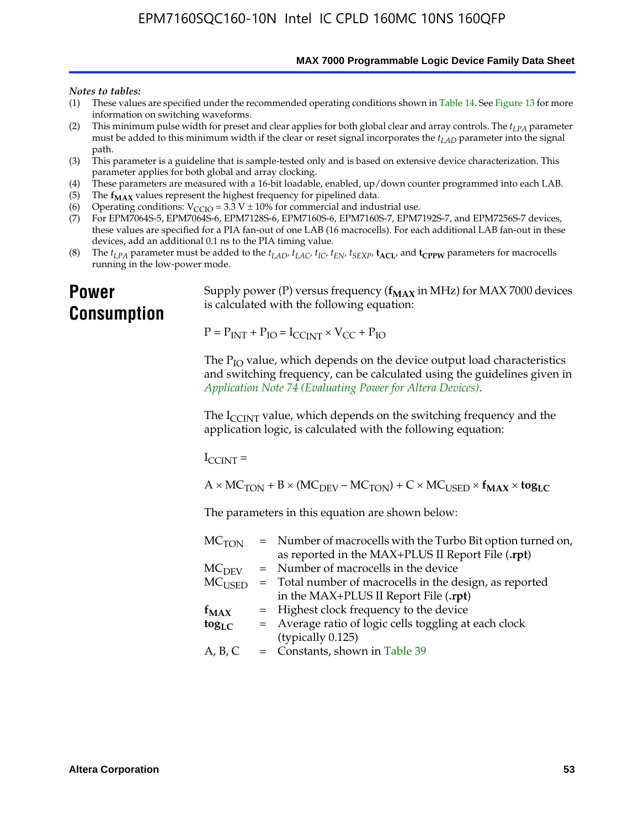**MAX 7000 Programmable Logic Device Family Data Sheet**

#### *Notes to tables:*

- (1) These values are specified under the recommended operating conditions shown in Table 14. See Figure 13 for more information on switching waveforms.
- (2) This minimum pulse width for preset and clear applies for both global clear and array controls. The  $t_{LPA}$  parameter must be added to this minimum width if the clear or reset signal incorporates the *tLAD* parameter into the signal path.
- (3) This parameter is a guideline that is sample-tested only and is based on extensive device characterization. This parameter applies for both global and array clocking.
- (4) These parameters are measured with a 16-bit loadable, enabled, up/down counter programmed into each LAB.
- (5) The  $f_{MAX}$  values represent the highest frequency for pipelined data.
- (6) Operating conditions:  $V_{\text{CCIO}} = 3.3 \text{ V} \pm 10\%$  for commercial and industrial use.
- (7) For EPM7064S-5, EPM7064S-6, EPM7128S-6, EPM7160S-6, EPM7160S-7, EPM7192S-7, and EPM7256S-7 devices, these values are specified for a PIA fan-out of one LAB (16 macrocells). For each additional LAB fan-out in these devices, add an additional 0.1 ns to the PIA timing value.
- (8) The  $t_{LPA}$  parameter must be added to the  $t_{LAD}$ ,  $t_{LAC}$ ,  $t_{IC}$ ,  $t_{EN}$ ,  $t_{SEXP}$ ,  $t_{ACL}$ , and  $t_{CPPW}$  parameters for macrocells running in the low-power mode.

## **Power Consumption**

[Supply power \(P\) versus frequency \(](http://www.altera.com/literature/an/an074.pdf) $f_{MAX}$  in MHz) for MAX 7000 devices is calculated with the following equation:

 $P = P_{INT} + P_{IO} = I_{CCLNT} \times V_{CC} + P_{IO}$ 

The  $P_{IO}$  value, which depends on the device output load characteristics and switching frequency, can be calculated using the guidelines given in *Application Note 74 (Evaluating Power for Altera Devices)*.

The  $I_{\text{CCINT}}$  value, which depends on the switching frequency and the application logic, is calculated with the following equation:

 $I_{\text{CCTNT}} =$ 

 $A \times MC_{TON} + B \times (MC_{DEFU} - MC_{TON}) + C \times MC_{LISED} \times f_{MAX} \times tog_{LC}$ 

The parameters in this equation are shown below:

| MC <sub>TON</sub> | = Number of macrocells with the Turbo Bit option turned on, |
|-------------------|-------------------------------------------------------------|
|                   | as reported in the MAX+PLUS II Report File (.rpt)           |
| MC <sub>DFV</sub> | = Number of macrocells in the device                        |
| $MC_{\rm{LISED}}$ | $=$ Total number of macrocells in the design, as reported   |
|                   | in the MAX+PLUS II Report File (.rpt)                       |
| $f_{MAX}$         | = Highest clock frequency to the device                     |
| $tog_{LC}$        | = Average ratio of logic cells toggling at each clock       |
|                   | (typically 0.125)                                           |
| A, B, C           | $=$ Constants, shown in Table 39                            |
|                   |                                                             |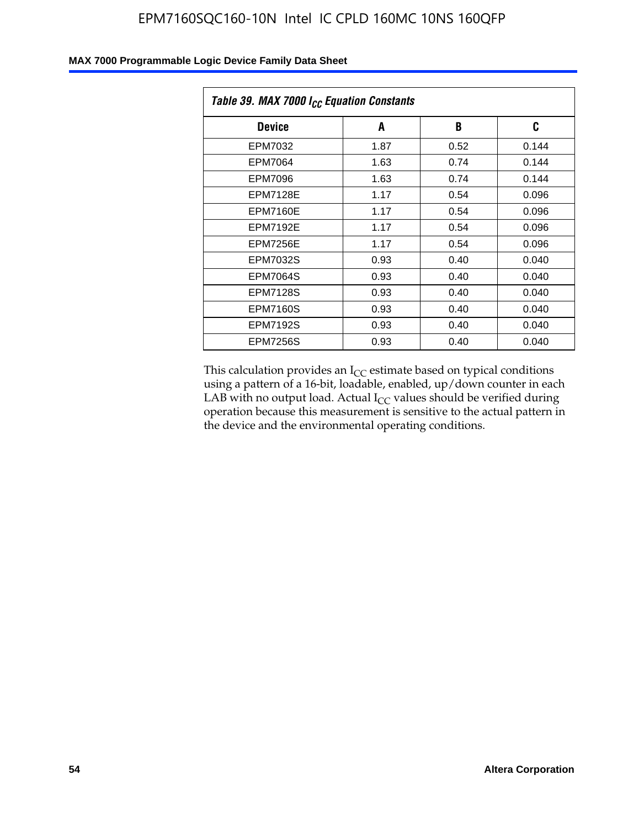| Table 39. MAX 7000 I <sub>CC</sub> Equation Constants |      |      |       |  |
|-------------------------------------------------------|------|------|-------|--|
| <b>Device</b>                                         | A    | B    | C     |  |
| EPM7032                                               | 1.87 | 0.52 | 0.144 |  |
| EPM7064                                               | 1.63 | 0.74 | 0.144 |  |
| EPM7096                                               | 1.63 | 0.74 | 0.144 |  |
| <b>EPM7128E</b>                                       | 1.17 | 0.54 | 0.096 |  |
| <b>EPM7160E</b>                                       | 1.17 | 0.54 | 0.096 |  |
| <b>EPM7192E</b>                                       | 1.17 | 0.54 | 0.096 |  |
| <b>EPM7256E</b>                                       | 1.17 | 0.54 | 0.096 |  |
| <b>EPM7032S</b>                                       | 0.93 | 0.40 | 0.040 |  |
| <b>EPM7064S</b>                                       | 0.93 | 0.40 | 0.040 |  |
| <b>EPM7128S</b>                                       | 0.93 | 0.40 | 0.040 |  |
| <b>EPM7160S</b>                                       | 0.93 | 0.40 | 0.040 |  |
| <b>EPM7192S</b>                                       | 0.93 | 0.40 | 0.040 |  |
| <b>EPM7256S</b>                                       | 0.93 | 0.40 | 0.040 |  |

This calculation provides an  $I_{CC}$  estimate based on typical conditions using a pattern of a 16-bit, loadable, enabled, up/down counter in each LAB with no output load. Actual  $I_{CC}$  values should be verified during operation because this measurement is sensitive to the actual pattern in the device and the environmental operating conditions.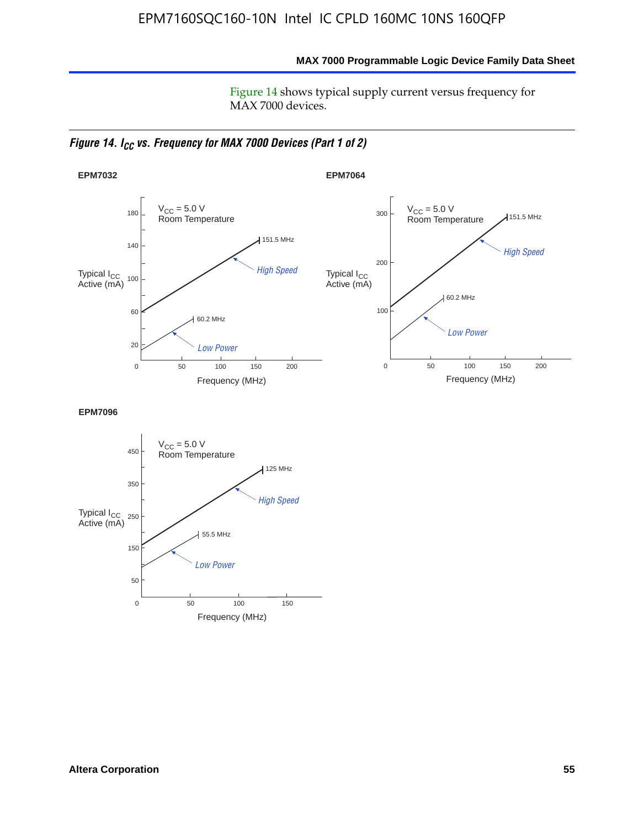**MAX 7000 Programmable Logic Device Family Data Sheet**

Figure 14 shows typical supply current versus frequency for MAX 7000 devices.

*Figure 14. I<sub>CC</sub> vs. Frequency for MAX 7000 Devices (Part 1 of 2)* 



**EPM7096**

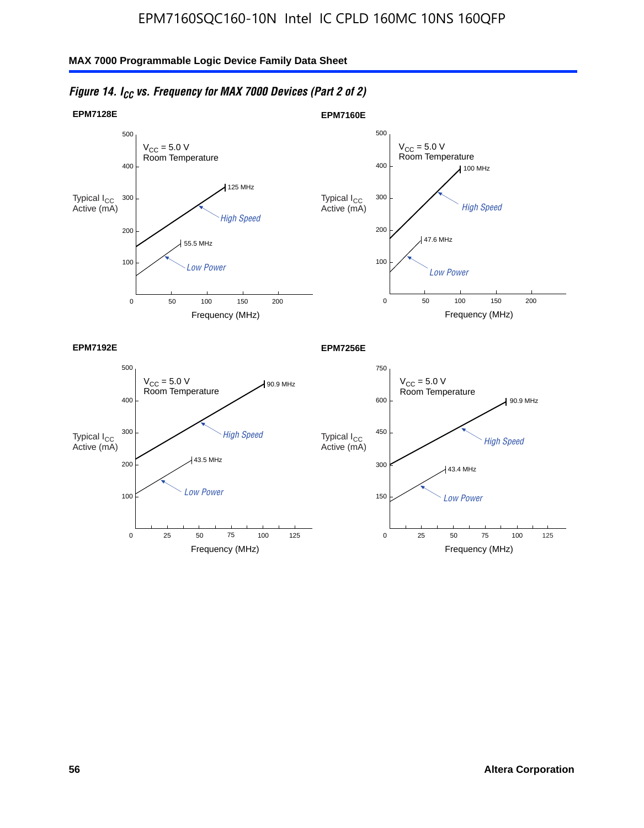

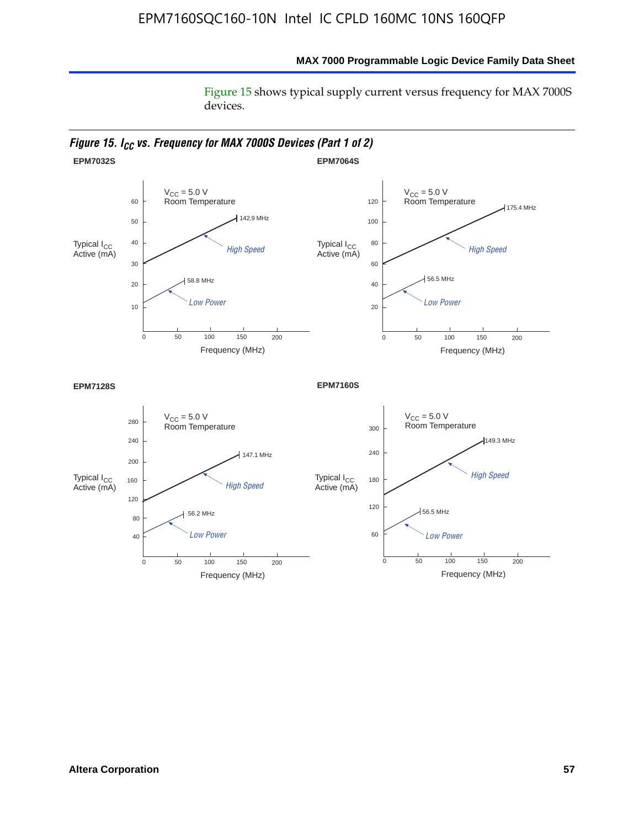Figure 15 shows typical supply current versus frequency for MAX 7000S devices.

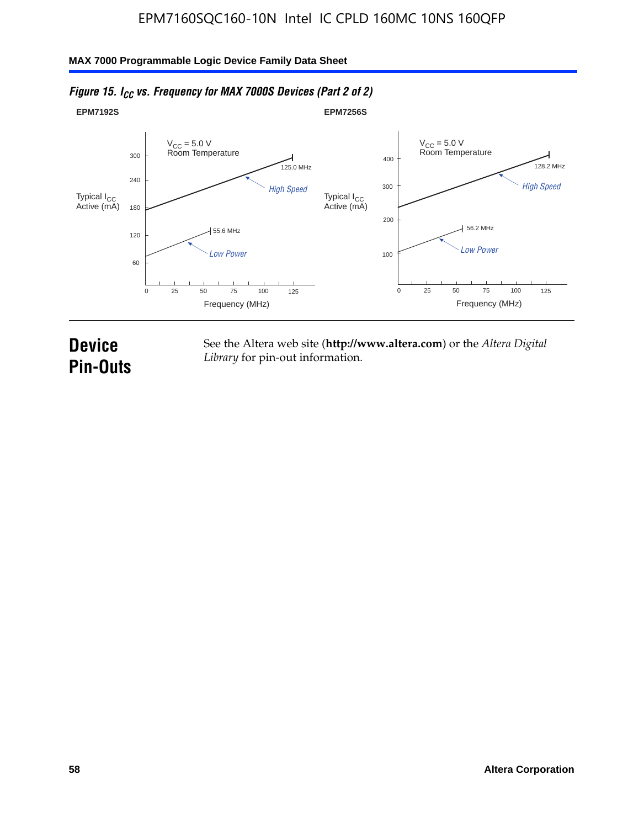#### **EPM7192S** V<sub>CC</sub> = 5.0 V<br>Room Temperature 0 Frequency (MHz) High Speed Low Power 25 100 125 125.0 MHz 55.6 MHz 60 120 180 240 300 50 75 **EPM7256S** V<sub>CC</sub> = 5.0 V<br>Room Temperature 0 Frequency (MHz) High Speed Low Power 25 100 125 128.2 MHz 56.2 MHz 100 200 300 400 50 75 Typical I<sub>CC</sub><br>Active (mA) Typical I<sub>CC</sub> Typical I<sub>CC</sub> Typical I<sub>C</sub> Typical I<sub>C</sub> Typical I<sub>C</sub> Typical I<sub>C</sub> Typical I<sub>C</sub> Typical I<sub>C</sub> Typical I<sub>C</sub> Typical I<sub>C</sub> Typical I<sub>C</sub> Typical I<sub>C</sub> Typical I<sub>C</sub> Typical I<sub>C</sub> Typical I<sub>C</sub> Typical I<sub>C</sub> Typical I<sub>C</sub> Typical I<sub>CC</sub><br>Active (mA)

## *Figure 15. I<sub>CC</sub> vs. Frequency for MAX 7000S Devices (Part 2 of 2)*

## **Device Pin-Outs**

See the Altera web site (**http://www.altera.com**) or the *Altera Digital Library* for pin-out information.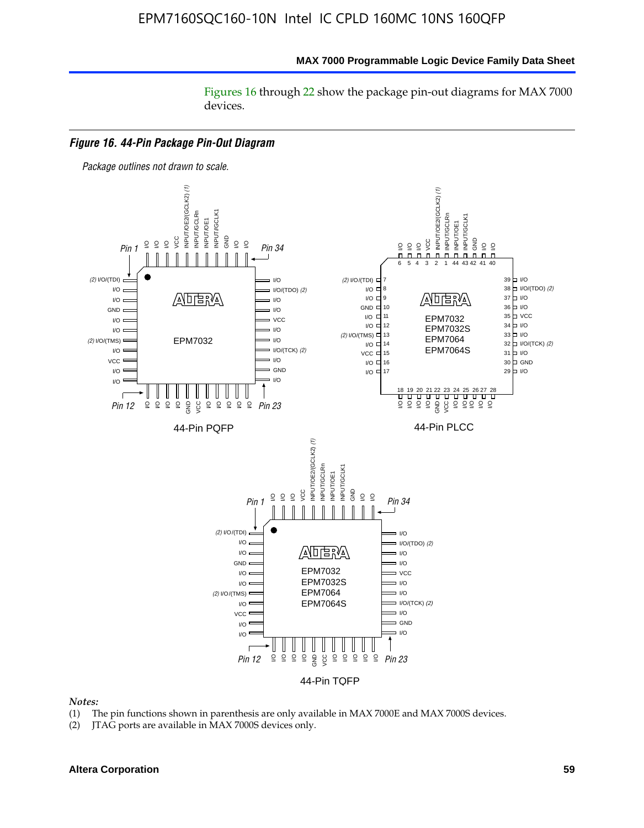Figures 16 through 22 show the package pin-out diagrams for MAX 7000 devices.



#### *Notes:*

- (1) The pin functions shown in parenthesis are only available in MAX 7000E and MAX 7000S devices.
- (2) JTAG ports are available in MAX 7000S devices only.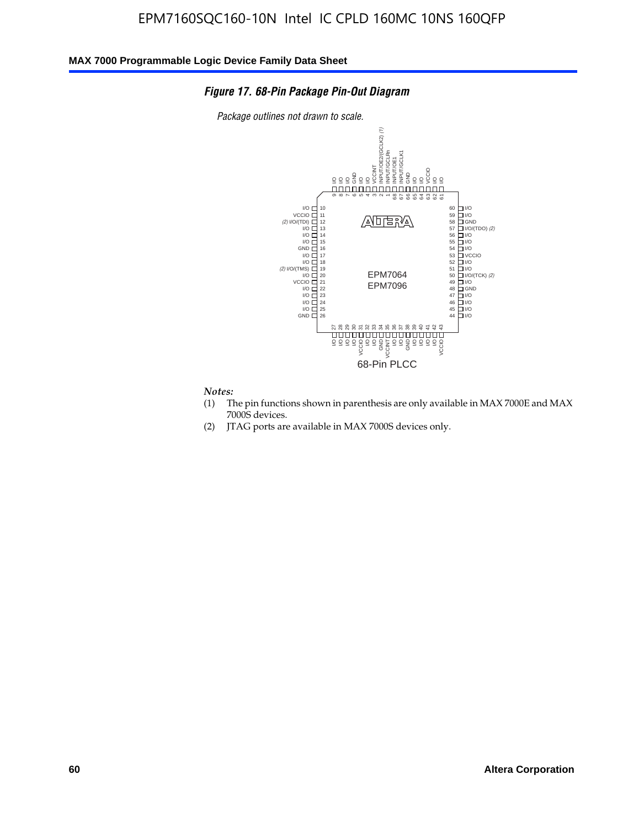### *Figure 17. 68-Pin Package Pin-Out Diagram*

*Package outlines not drawn to scale.*



#### *Notes:*

- (1) The pin functions shown in parenthesis are only available in MAX 7000E and MAX 7000S devices.
- (2) JTAG ports are available in MAX 7000S devices only.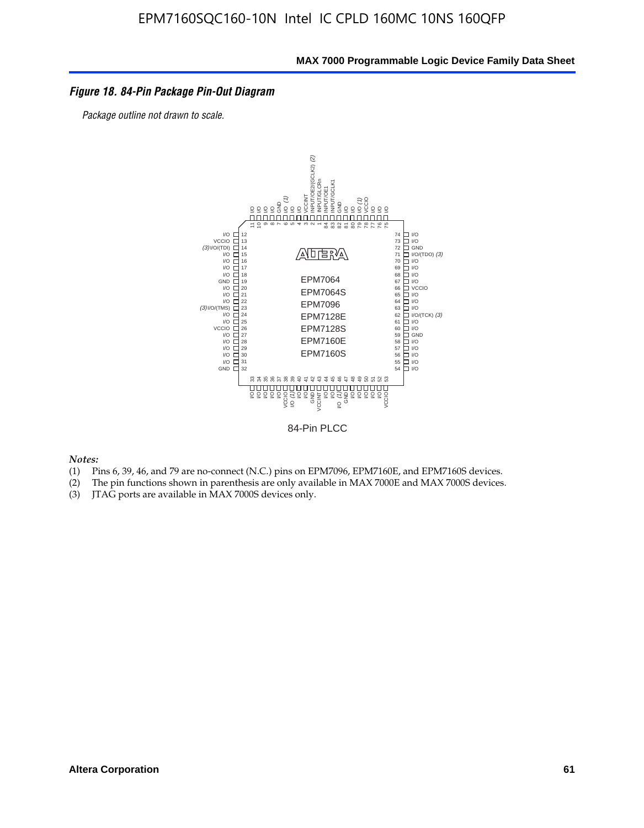### *Figure 18. 84-Pin Package Pin-Out Diagram*

*Package outline not drawn to scale.*



84-Pin PLCC

*Notes:*

- (1) Pins 6, 39, 46, and 79 are no-connect (N.C.) pins on EPM7096, EPM7160E, and EPM7160S devices.
- (2) The pin functions shown in parenthesis are only available in MAX 7000E and MAX 7000S devices.
-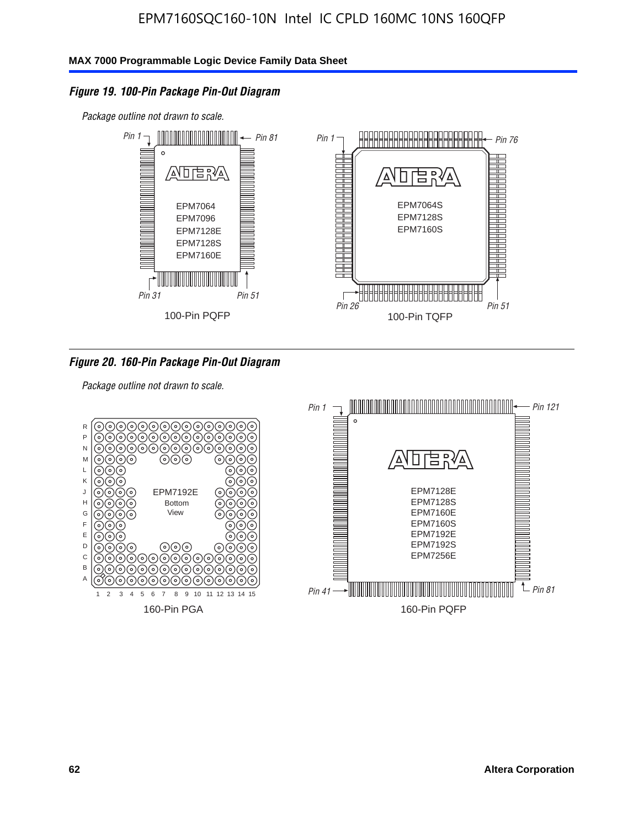### *Figure 19. 100-Pin Package Pin-Out Diagram*

*Package outline not drawn to scale.*



### *Figure 20. 160-Pin Package Pin-Out Diagram*

*Package outline not drawn to scale.*

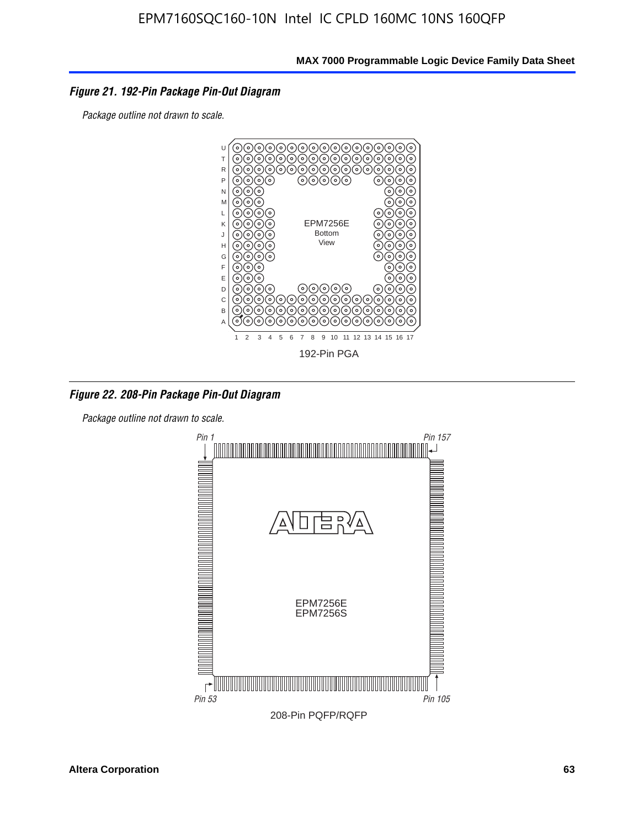### *Figure 21. 192-Pin Package Pin-Out Diagram*

*Package outline not drawn to scale.*



*Figure 22. 208-Pin Package Pin-Out Diagram*

*Package outline not drawn to scale.*

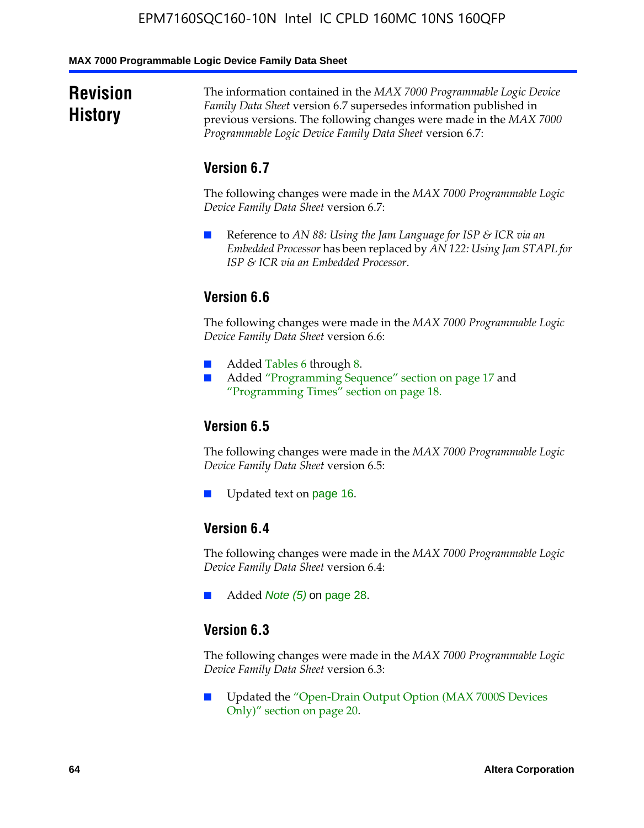#### **MAX 7000 Programmable Logic Device Family Data Sheet**

## **Revision History**

The information contained in the *MAX 7000 Programmable Logic Device Family Data Sheet* version 6.7 supersedes information published in previous versions. The following changes were made in the *MAX 7000 Programmable Logic Device Family Data Sheet* version 6.7:

### **Version 6.7**

The following changes were made in the *MAX 7000 Programmable Logic Device Family Data Sheet* version 6.7:

■ Reference to *AN 88: Using the Jam Language for ISP & ICR via an Embedded Processor* has been replaced by *AN 122: Using Jam STAPL for ISP & ICR via an Embedded Processor*.

## **Version 6.6**

The following changes were made in the *MAX 7000 Programmable Logic Device Family Data Sheet* version 6.6:

- Added Tables 6 through 8.
- Added "Programming Sequence" section on page 17 and "Programming Times" section on page 18.

## **Version 6.5**

The following changes were made in the *MAX 7000 Programmable Logic Device Family Data Sheet* version 6.5:

Updated text on page 16.

## **Version 6.4**

The following changes were made in the *MAX 7000 Programmable Logic Device Family Data Sheet* version 6.4:

■ Added *Note (5)* on page 28.

### **Version 6.3**

The following changes were made in the *MAX 7000 Programmable Logic Device Family Data Sheet* version 6.3:

■ Updated the "Open-Drain Output Option (MAX 7000S Devices Only)" section on page 20.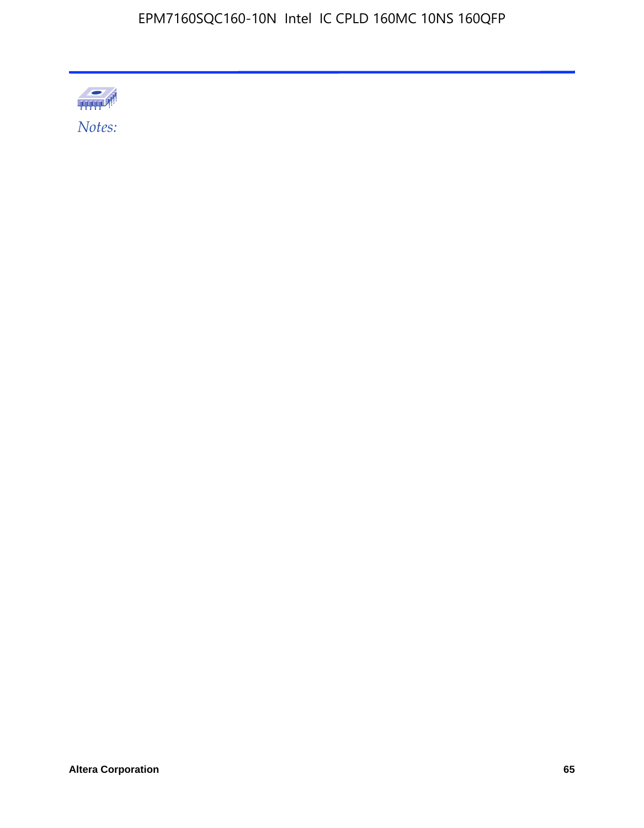

Altera Corporation 65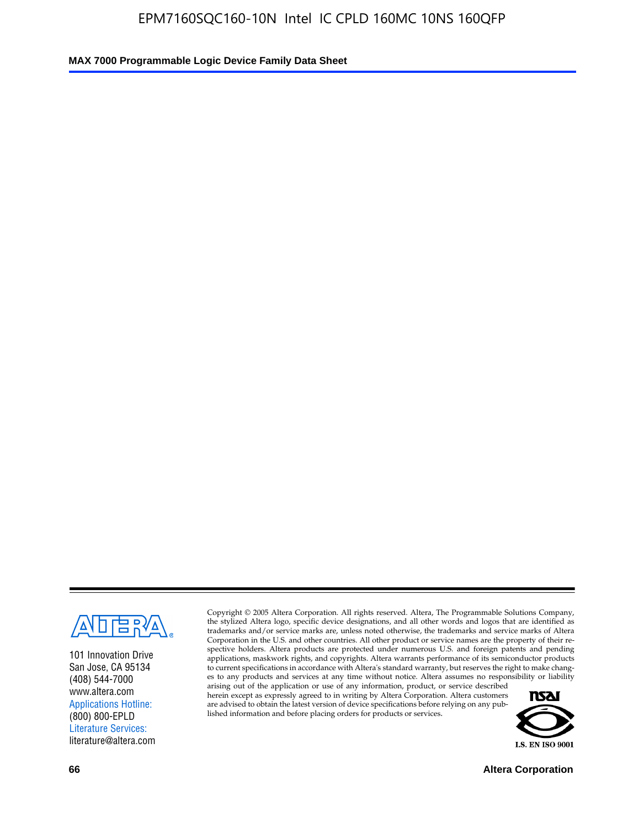

101 Innovation Drive San Jose, CA 95134 (408) 544-7000 www.altera.com Applications Hotline: (800) 800-EPLD Literature Services: literature@altera.com

Copyright © 2005 Altera Corporation. All rights reserved. Altera, The Programmable Solutions Company, the stylized Altera logo, specific device designations, and all other words and logos that are identified as trademarks and/or service marks are, unless noted otherwise, the trademarks and service marks of Altera Corporation in the U.S. and other countries. All other product or service names are the property of their respective holders. Altera products are protected under numerous U.S. and foreign patents and pending applications, maskwork rights, and copyrights. Altera warrants performance of its semiconductor products to current specifications in accordance with Altera's standard warranty, but reserves the right to make changes to any products and services at any time without notice. Altera assumes no responsibility or liability

arising out of the application or use of any information, product, or service described herein except as expressly agreed to in writing by Altera Corporation. Altera customers are advised to obtain the latest version of device specifications before relying on any published information and before placing orders for products or services.



**66 Altera Corporation**